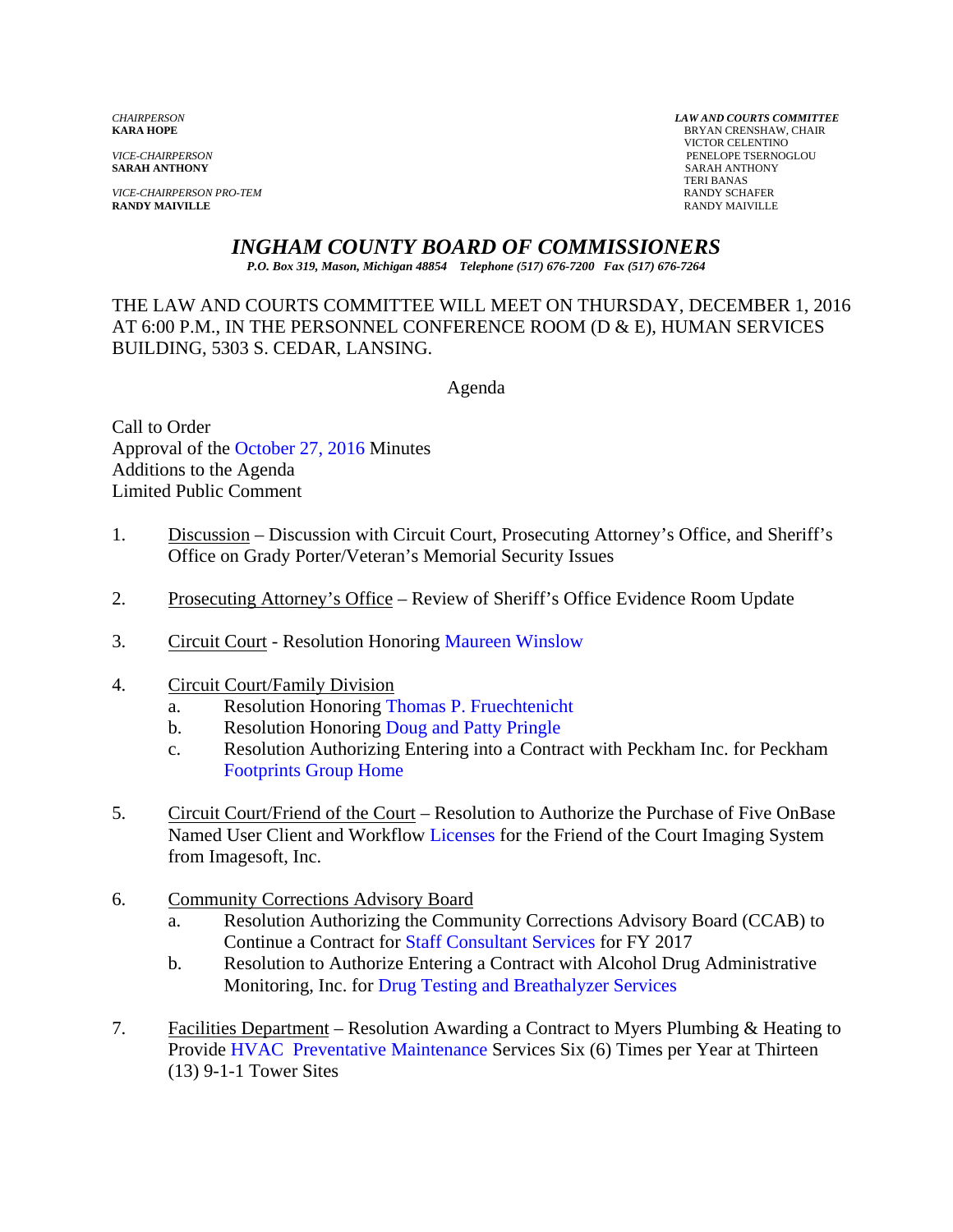**SARAH ANTHONY** SARAH ANTHONY

*VICE-CHAIRPERSON PRO-TEM* **RANDY SCHAFER**<br> **RANDY MAIVILLE RANDY SCHAFER RANDY MAIVILLE** RANDY MAIVILLE

*CHAIRPERSON LAW AND COURTS COMMITTEE* **BRYAN CRENSHAW, CHAIR**  VICTOR CELENTINO *VICE-CHAIRPERSON* PENELOPE TSERNOGLOU TERI BANAS

# *INGHAM COUNTY BOARD OF COMMISSIONERS*

*P.O. Box 319, Mason, Michigan 48854 Telephone (517) 676-7200 Fax (517) 676-7264*

THE LAW AND COURTS COMMITTEE WILL MEET ON THURSDAY, DECEMBER 1, 2016 AT 6:00 P.M., IN THE PERSONNEL CONFERENCE ROOM (D & E), HUMAN SERVICES BUILDING, 5303 S. CEDAR, LANSING.

Agenda

Call to Order Approval [of the October 27, 2016](#page-2-0) Minutes Additions to the Agenda Limited Public Comment

- 1. Discussion Discussion with Circuit Court, Prosecuting Attorney's Office, and Sheriff's Office on Grady Porter/Veteran's Memorial Security Issues
- 2. Prosecuting Attorney's Office Review of Sheriff's Office Evidence Room Update
- 3. Circuit Court Resolution Hono[ring Maureen Winslow](#page-9-0)
- 4. Circuit Court/Family Division
	- a. Resolution Honorin[g Thomas P. Fruechtenicht](#page-10-0)
	- b. Resolution Honoring Doug and Patty Pringle
	- c. Resolution Authoriz[ing Entering into a Contract with](#page-12-0) Peckham Inc. for Peckham [Footprints Group Home](#page-14-0)
- 5. Circuit Court/Friend of the Court Resolution to Authorize the Purchase of Five OnBase Named User Client and Workflow [Licenses for the F](#page-16-0)riend of the Court Imaging System from Imagesoft, Inc.
- 6. Community Corrections Advisory Board
	- a. Resolution Authorizing the Community Corrections Advisory Board (CCAB) to Continue a Contract f[or Staff Consultant Services for FY 201](#page-18-0)7
	- b. Resolution to Authorize Entering a Contract with Alcohol Drug Administrative Monitoring, Inc. [for Drug Testing and Breathalyzer Services](#page-20-0)
- 7. Facilities Department Resolution Awarding a Contract to Myers Plumbing & Heating to Provi[de HVAC Preventative Maintenance Services Si](#page-24-0)x (6) Times per Year at Thirteen (13) 9-1-1 Tower Sites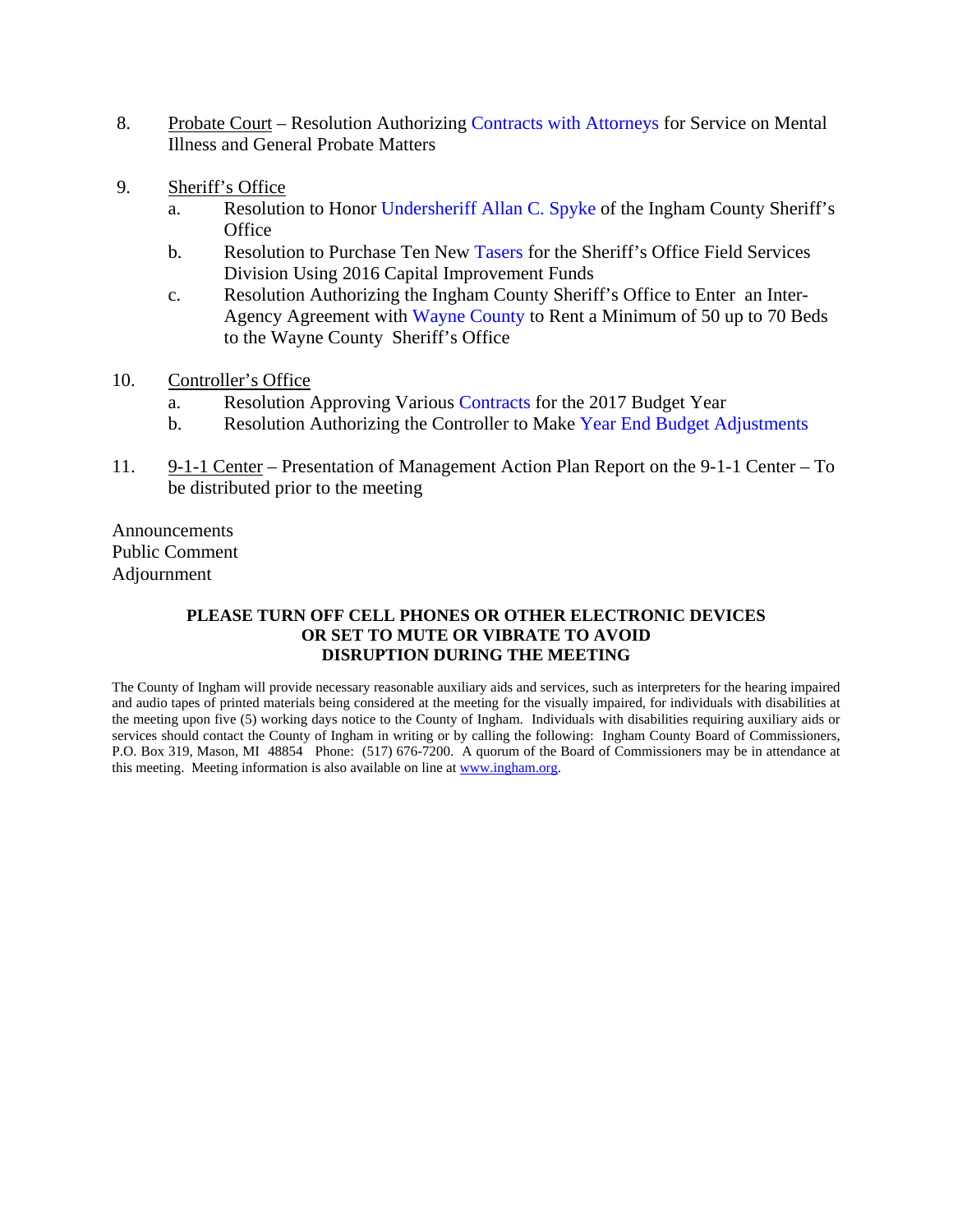- 8. Probate Court Resolution Authorizing Contracts with [Attorneys for Servic](#page-28-0)e on Mental Illness and General Probate Matters
- 9. Sheriff's Office
	- a. Resolution to Hon[or Undersheriff Allan](#page-30-0) C. Spyke of the Ingham County Sheriff's **Office**
	- b. Resolution to Purchase Ten New Tasers for the Sheriff's Office Field Services Division Using 2016 Capital I[mprovement Funds](#page-32-0)
	- c. Resolution Authorizing the Ingham County Sheriff's Office to Enter an Inter-Agency Agreement wi[th Wayne County to Rent a M](#page-34-0)inimum of 50 up to 70 Beds to the Wayne County Sheriff's Office
- 10. Controller's Office
	- a. Resolution Approving Vari[ous Contracts](#page-36-0) for the 2017 Budget Year
	- b. Resolution Authorizing the Controller to Make [Year End Budget Adjustments](#page-40-0)
- 11. 9-1-1 Center Presentation of Management Action Plan Report on the 9-1-1 Center To be distributed prior to the meeting

Announcements Public Comment Adjournment

#### **PLEASE TURN OFF CELL PHONES OR OTHER ELECTRONIC DEVICES OR SET TO MUTE OR VIBRATE TO AVOID DISRUPTION DURING THE MEETING**

The County of Ingham will provide necessary reasonable auxiliary aids and services, such as interpreters for the hearing impaired and audio tapes of printed materials being considered at the meeting for the visually impaired, for individuals with disabilities at the meeting upon five (5) working days notice to the County of Ingham. Individuals with disabilities requiring auxiliary aids or services should contact the County of Ingham in writing or by calling the following: Ingham County Board of Commissioners, P.O. Box 319, Mason, MI 48854 Phone: (517) 676-7200. A quorum of the Board of Commissioners may be in attendance at this meeting. Meeting information is also available on line at www.ingham.org.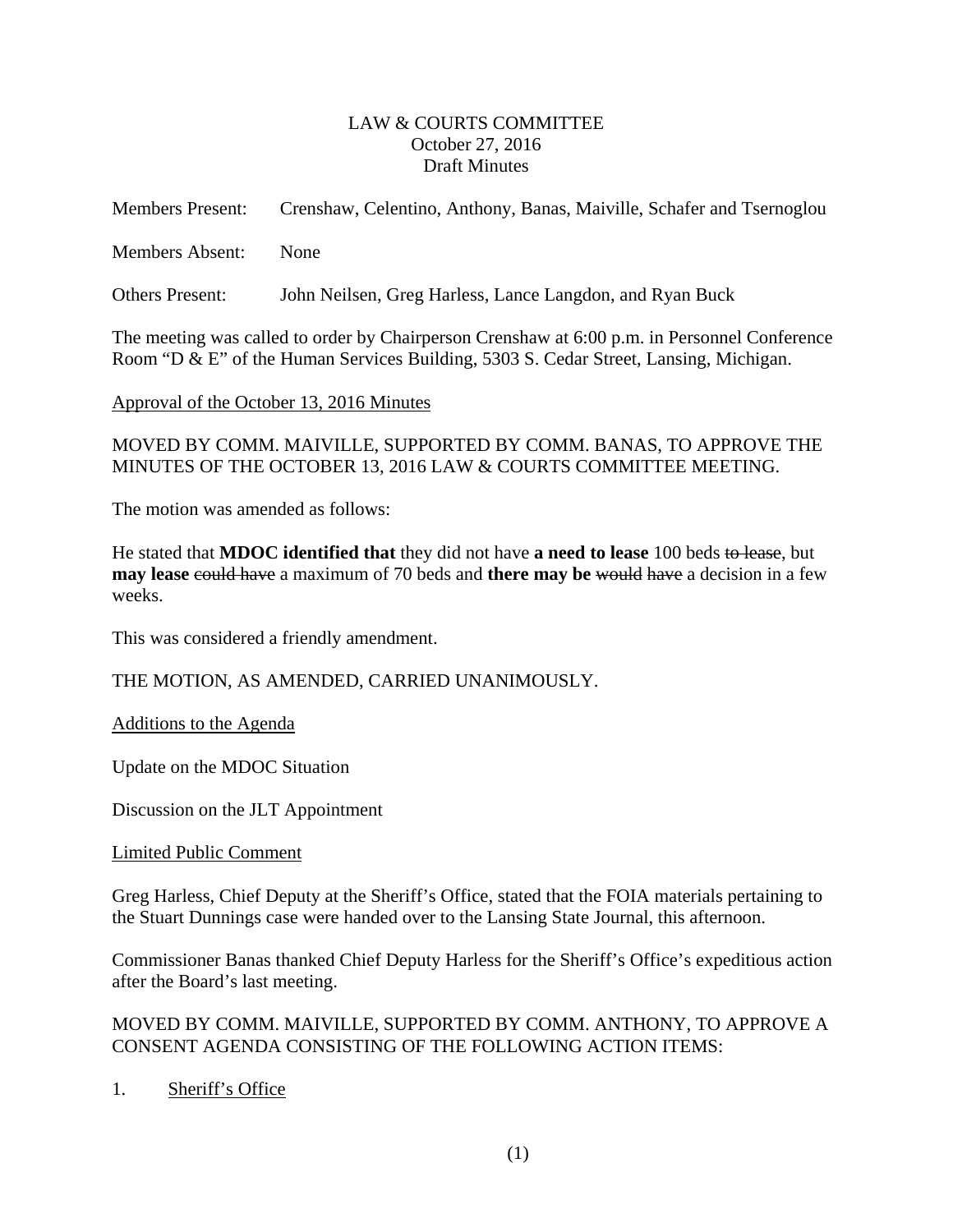#### LAW & COURTS COMMITTEE October 27, 2016 Draft Minutes

<span id="page-2-0"></span>

| <b>Members Present:</b> | Crenshaw, Celentino, Anthony, Banas, Maiville, Schafer and Tsernoglou |
|-------------------------|-----------------------------------------------------------------------|
| <b>Members Absent:</b>  | <b>None</b>                                                           |
| Others Present:         | John Neilsen, Greg Harless, Lance Langdon, and Ryan Buck              |

The meeting was called to order by Chairperson Crenshaw at 6:00 p.m. in Personnel Conference Room "D & E" of the Human Services Building, 5303 S. Cedar Street, Lansing, Michigan.

Approval of the October 13, 2016 Minutes

MOVED BY COMM. MAIVILLE, SUPPORTED BY COMM. BANAS, TO APPROVE THE MINUTES OF THE OCTOBER 13, 2016 LAW & COURTS COMMITTEE MEETING.

The motion was amended as follows:

He stated that **MDOC identified that** they did not have **a need to lease** 100 beds to lease, but **may lease could have** a maximum of 70 beds and **there may be** would have a decision in a few weeks.

This was considered a friendly amendment.

THE MOTION, AS AMENDED, CARRIED UNANIMOUSLY.

Additions to the Agenda

Update on the MDOC Situation

Discussion on the JLT Appointment

Limited Public Comment

Greg Harless, Chief Deputy at the Sheriff's Office, stated that the FOIA materials pertaining to the Stuart Dunnings case were handed over to the Lansing State Journal, this afternoon.

Commissioner Banas thanked Chief Deputy Harless for the Sheriff's Office's expeditious action after the Board's last meeting.

MOVED BY COMM. MAIVILLE, SUPPORTED BY COMM. ANTHONY, TO APPROVE A CONSENT AGENDA CONSISTING OF THE FOLLOWING ACTION ITEMS:

1. Sheriff's Office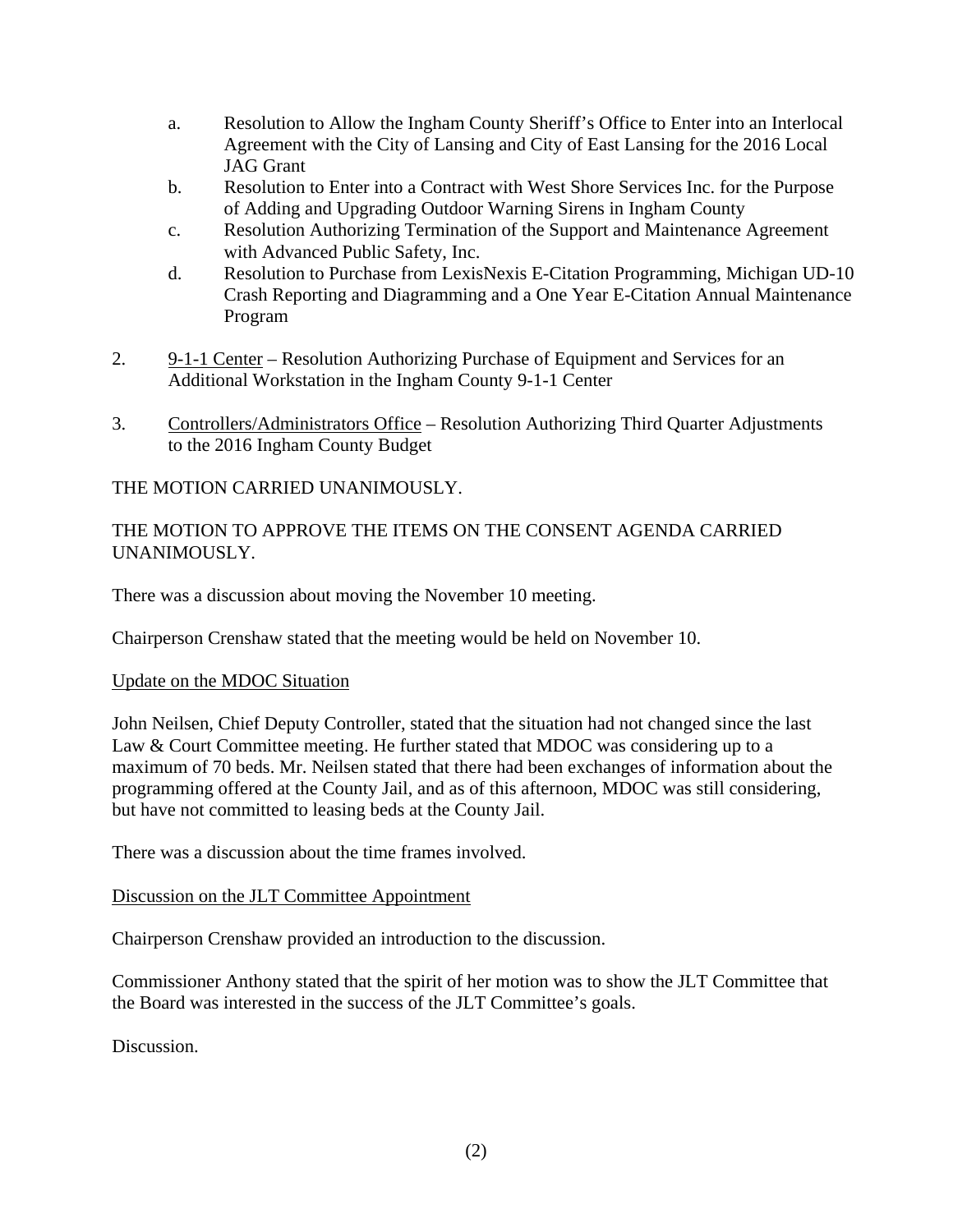- a. Resolution to Allow the Ingham County Sheriff's Office to Enter into an Interlocal Agreement with the City of Lansing and City of East Lansing for the 2016 Local JAG Grant
- b. Resolution to Enter into a Contract with West Shore Services Inc. for the Purpose of Adding and Upgrading Outdoor Warning Sirens in Ingham County
- c. Resolution Authorizing Termination of the Support and Maintenance Agreement with Advanced Public Safety, Inc.
- d. Resolution to Purchase from LexisNexis E-Citation Programming, Michigan UD-10 Crash Reporting and Diagramming and a One Year E-Citation Annual Maintenance Program
- 2. 9-1-1 Center Resolution Authorizing Purchase of Equipment and Services for an Additional Workstation in the Ingham County 9-1-1 Center
- 3. Controllers/Administrators Office Resolution Authorizing Third Quarter Adjustments to the 2016 Ingham County Budget

THE MOTION CARRIED UNANIMOUSLY.

# THE MOTION TO APPROVE THE ITEMS ON THE CONSENT AGENDA CARRIED UNANIMOUSLY.

There was a discussion about moving the November 10 meeting.

Chairperson Crenshaw stated that the meeting would be held on November 10.

# Update on the MDOC Situation

John Neilsen, Chief Deputy Controller, stated that the situation had not changed since the last Law & Court Committee meeting. He further stated that MDOC was considering up to a maximum of 70 beds. Mr. Neilsen stated that there had been exchanges of information about the programming offered at the County Jail, and as of this afternoon, MDOC was still considering, but have not committed to leasing beds at the County Jail.

There was a discussion about the time frames involved.

# Discussion on the JLT Committee Appointment

Chairperson Crenshaw provided an introduction to the discussion.

Commissioner Anthony stated that the spirit of her motion was to show the JLT Committee that the Board was interested in the success of the JLT Committee's goals.

Discussion.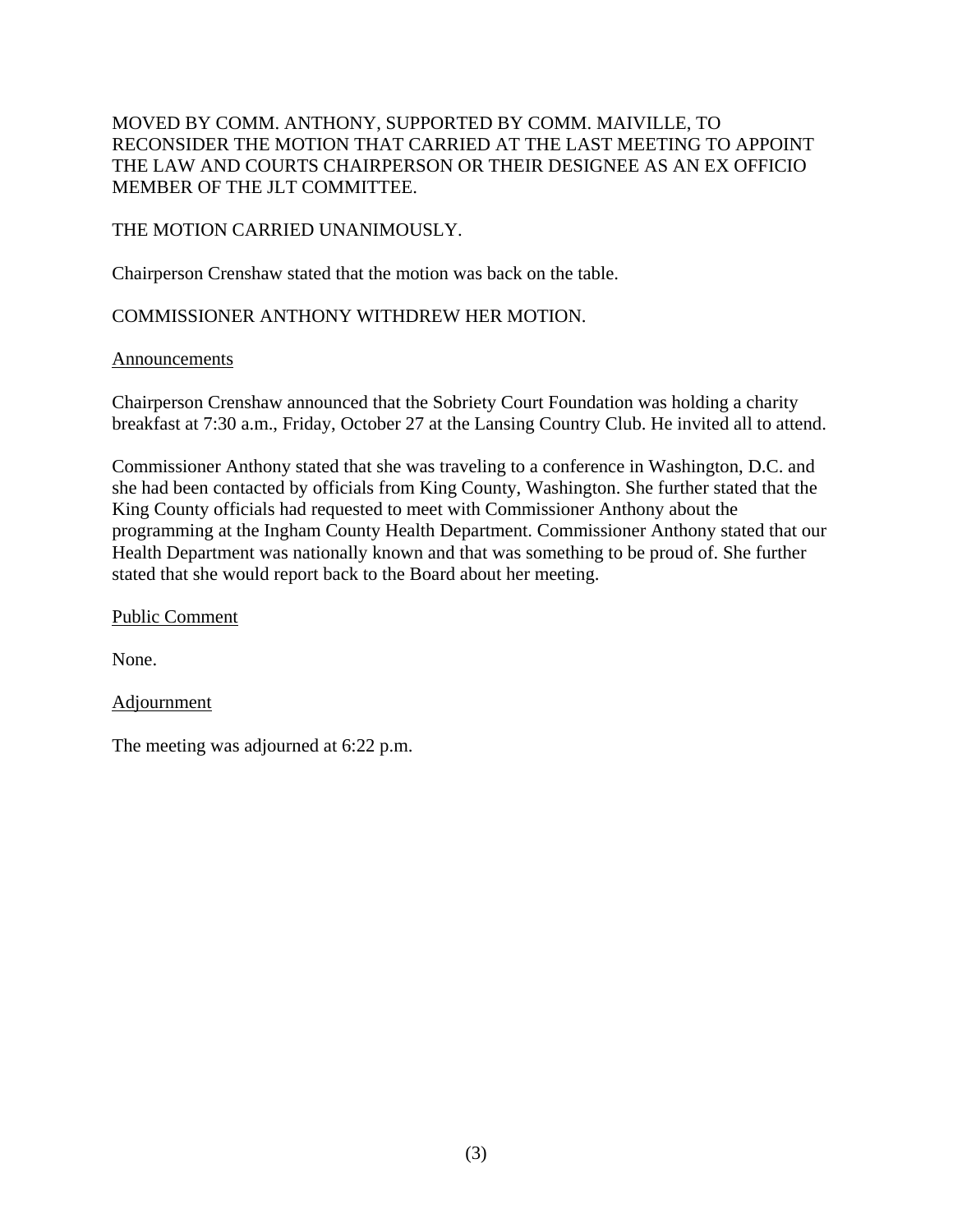# MOVED BY COMM. ANTHONY, SUPPORTED BY COMM. MAIVILLE, TO RECONSIDER THE MOTION THAT CARRIED AT THE LAST MEETING TO APPOINT THE LAW AND COURTS CHAIRPERSON OR THEIR DESIGNEE AS AN EX OFFICIO MEMBER OF THE JLT COMMITTEE.

# THE MOTION CARRIED UNANIMOUSLY.

Chairperson Crenshaw stated that the motion was back on the table.

# COMMISSIONER ANTHONY WITHDREW HER MOTION.

# Announcements

Chairperson Crenshaw announced that the Sobriety Court Foundation was holding a charity breakfast at 7:30 a.m., Friday, October 27 at the Lansing Country Club. He invited all to attend.

Commissioner Anthony stated that she was traveling to a conference in Washington, D.C. and she had been contacted by officials from King County, Washington. She further stated that the King County officials had requested to meet with Commissioner Anthony about the programming at the Ingham County Health Department. Commissioner Anthony stated that our Health Department was nationally known and that was something to be proud of. She further stated that she would report back to the Board about her meeting.

Public Comment

None.

Adjournment

The meeting was adjourned at 6:22 p.m.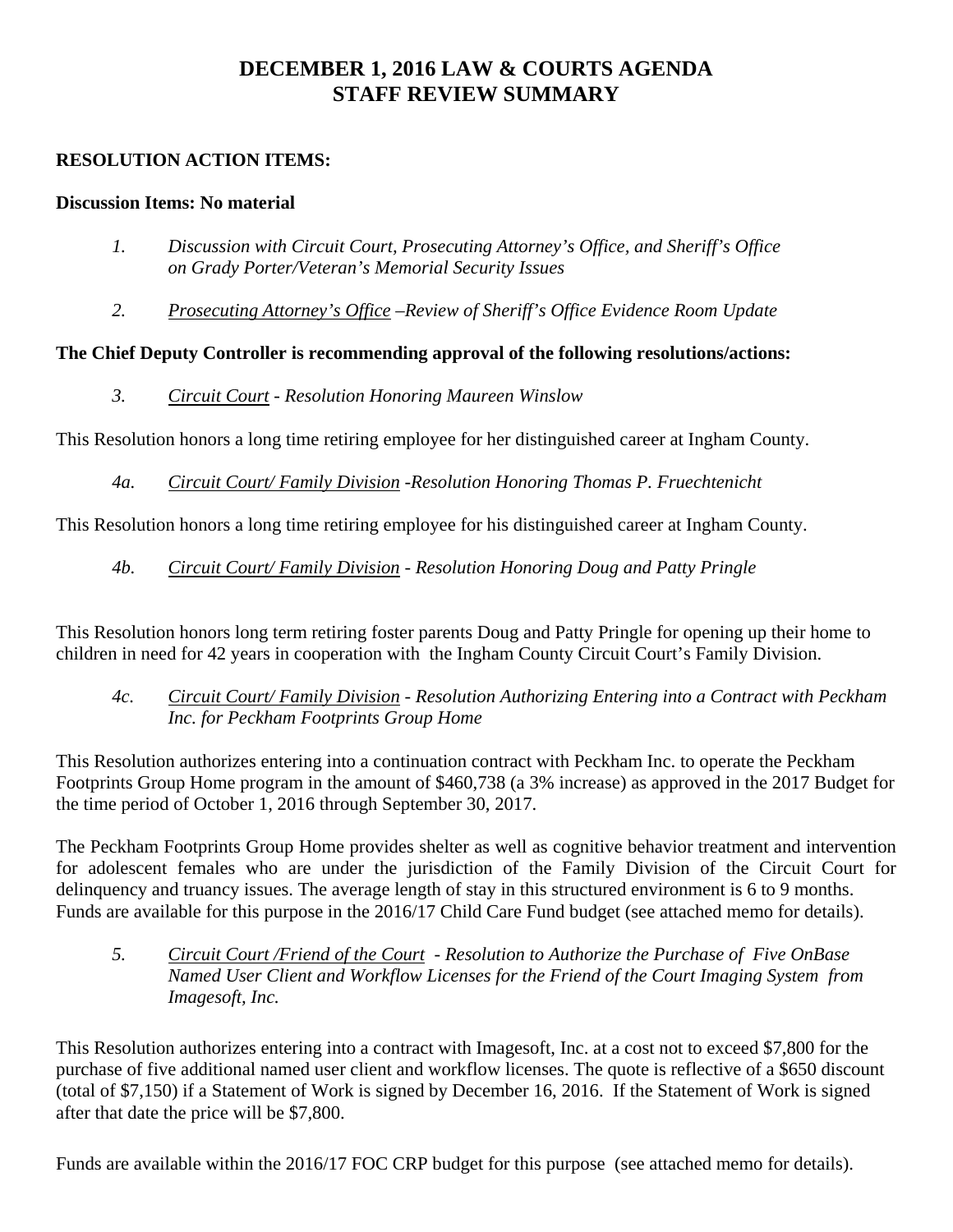# **DECEMBER 1, 2016 LAW & COURTS AGENDA STAFF REVIEW SUMMARY**

# **RESOLUTION ACTION ITEMS:**

# **Discussion Items: No material**

- *1. Discussion with Circuit Court, Prosecuting Attorney's Office, and Sheriff's Office on Grady Porter/Veteran's Memorial Security Issues*
- *2. Prosecuting Attorney's Office –Review of Sheriff's Office Evidence Room Update*

# **The Chief Deputy Controller is recommending approval of the following resolutions/actions:**

 *3. Circuit Court - Resolution Honoring Maureen Winslow* 

This Resolution honors a long time retiring employee for her distinguished career at Ingham County.

*4a. Circuit Court/ Family Division -Resolution Honoring Thomas P. Fruechtenicht* 

This Resolution honors a long time retiring employee for his distinguished career at Ingham County.

# *4b. Circuit Court/ Family Division - Resolution Honoring Doug and Patty Pringle*

This Resolution honors long term retiring foster parents Doug and Patty Pringle for opening up their home to children in need for 42 years in cooperation with the Ingham County Circuit Court's Family Division.

# *4c. Circuit Court/ Family Division - Resolution Authorizing Entering into a Contract with Peckham Inc. for Peckham Footprints Group Home*

This Resolution authorizes entering into a continuation contract with Peckham Inc. to operate the Peckham Footprints Group Home program in the amount of \$460,738 (a 3% increase) as approved in the 2017 Budget for the time period of October 1, 2016 through September 30, 2017.

The Peckham Footprints Group Home provides shelter as well as cognitive behavior treatment and intervention for adolescent females who are under the jurisdiction of the Family Division of the Circuit Court for delinquency and truancy issues. The average length of stay in this structured environment is 6 to 9 months. Funds are available for this purpose in the 2016/17 Child Care Fund budget (see attached memo for details).

 *5. Circuit Court /Friend of the Court - Resolution to Authorize the Purchase of Five OnBase Named User Client and Workflow Licenses for the Friend of the Court Imaging System from Imagesoft, Inc.* 

This Resolution authorizes entering into a contract with Imagesoft, Inc. at a cost not to exceed \$7,800 for the purchase of five additional named user client and workflow licenses. The quote is reflective of a \$650 discount (total of \$7,150) if a Statement of Work is signed by December 16, 2016. If the Statement of Work is signed after that date the price will be \$7,800.

Funds are available within the 2016/17 FOC CRP budget for this purpose (see attached memo for details).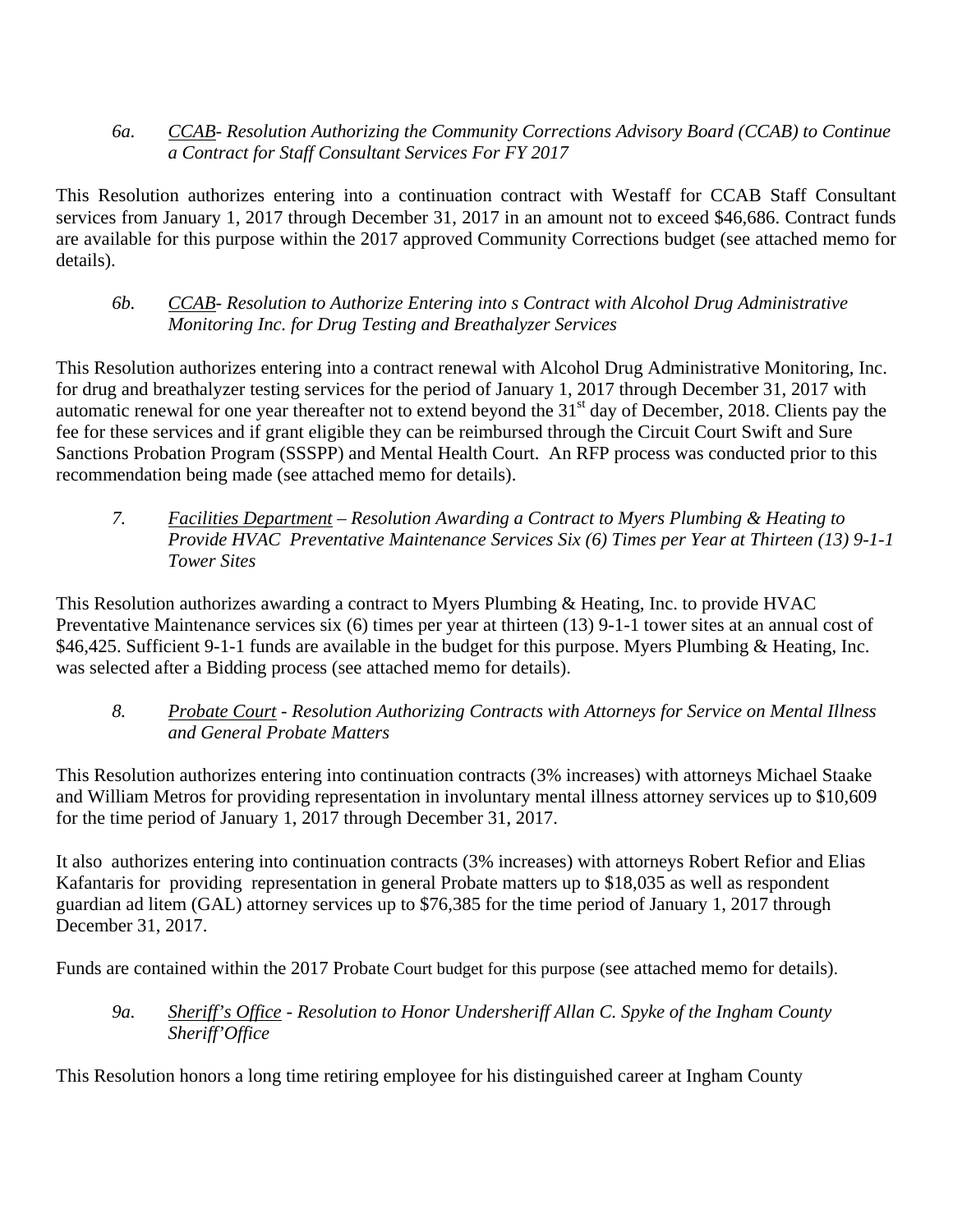# *6a. CCAB- Resolution Authorizing the Community Corrections Advisory Board (CCAB) to Continue a Contract for Staff Consultant Services For FY 2017*

This Resolution authorizes entering into a continuation contract with Westaff for CCAB Staff Consultant services from January 1, 2017 through December 31, 2017 in an amount not to exceed \$46,686. Contract funds are available for this purpose within the 2017 approved Community Corrections budget (see attached memo for details).

# *6b. CCAB- Resolution to Authorize Entering into s Contract with Alcohol Drug Administrative Monitoring Inc. for Drug Testing and Breathalyzer Services*

This Resolution authorizes entering into a contract renewal with Alcohol Drug Administrative Monitoring, Inc. for drug and breathalyzer testing services for the period of January 1, 2017 through December 31, 2017 with automatic renewal for one year thereafter not to extend beyond the  $31<sup>st</sup>$  day of December, 2018. Clients pay the fee for these services and if grant eligible they can be reimbursed through the Circuit Court Swift and Sure Sanctions Probation Program (SSSPP) and Mental Health Court. An RFP process was conducted prior to this recommendation being made (see attached memo for details).

 *7. Facilities Department – Resolution Awarding a Contract to Myers Plumbing & Heating to Provide HVAC Preventative Maintenance Services Six (6) Times per Year at Thirteen (13) 9-1-1 Tower Sites*

This Resolution authorizes awarding a contract to Myers Plumbing & Heating, Inc. to provide HVAC Preventative Maintenance services six (6) times per year at thirteen (13) 9-1-1 tower sites at an annual cost of \$46,425. Sufficient 9-1-1 funds are available in the budget for this purpose. Myers Plumbing & Heating, Inc. was selected after a Bidding process (see attached memo for details).

# *8. Probate Court - Resolution Authorizing Contracts with Attorneys for Service on Mental Illness and General Probate Matters*

This Resolution authorizes entering into continuation contracts (3% increases) with attorneys Michael Staake and William Metros for providing representation in involuntary mental illness attorney services up to \$10,609 for the time period of January 1, 2017 through December 31, 2017.

It also authorizes entering into continuation contracts (3% increases) with attorneys Robert Refior and Elias Kafantaris for providing representation in general Probate matters up to \$18,035 as well as respondent guardian ad litem (GAL) attorney services up to \$76,385 for the time period of January 1, 2017 through December 31, 2017.

Funds are contained within the 2017 Probate Court budget for this purpose (see attached memo for details).

# *9a. Sheriff's Office - Resolution to Honor Undersheriff Allan C. Spyke of the Ingham County Sheriff'Office*

This Resolution honors a long time retiring employee for his distinguished career at Ingham County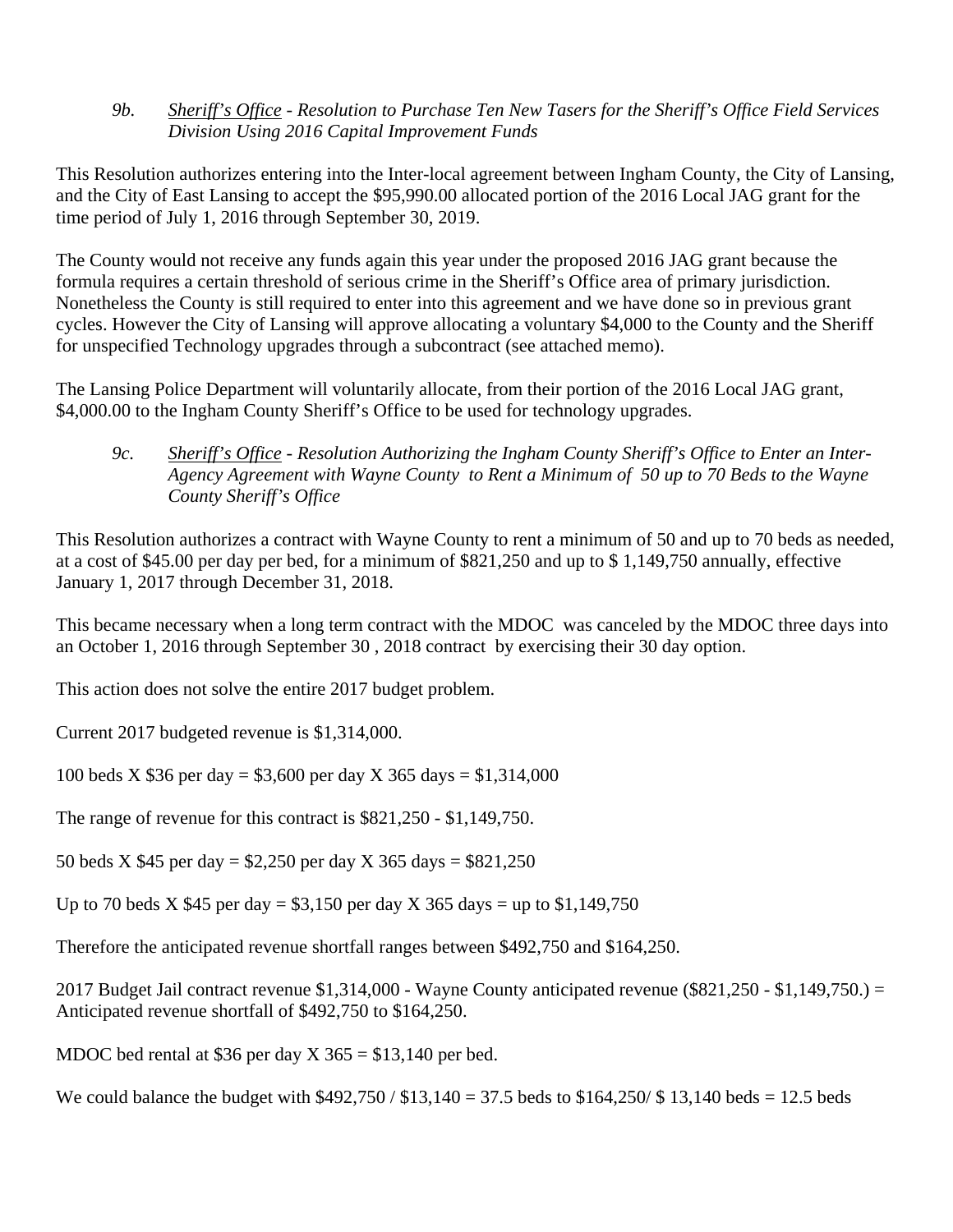*9b. Sheriff's Office - Resolution to Purchase Ten New Tasers for the Sheriff's Office Field Services Division Using 2016 Capital Improvement Funds* 

This Resolution authorizes entering into the Inter-local agreement between Ingham County, the City of Lansing, and the City of East Lansing to accept the \$95,990.00 allocated portion of the 2016 Local JAG grant for the time period of July 1, 2016 through September 30, 2019.

The County would not receive any funds again this year under the proposed 2016 JAG grant because the formula requires a certain threshold of serious crime in the Sheriff's Office area of primary jurisdiction. Nonetheless the County is still required to enter into this agreement and we have done so in previous grant cycles. However the City of Lansing will approve allocating a voluntary \$4,000 to the County and the Sheriff for unspecified Technology upgrades through a subcontract (see attached memo).

The Lansing Police Department will voluntarily allocate, from their portion of the 2016 Local JAG grant, \$4,000.00 to the Ingham County Sheriff's Office to be used for technology upgrades.

 *9c. Sheriff's Office - Resolution Authorizing the Ingham County Sheriff's Office to Enter an Inter- Agency Agreement with Wayne County to Rent a Minimum of 50 up to 70 Beds to the Wayne County Sheriff's Office* 

This Resolution authorizes a contract with Wayne County to rent a minimum of 50 and up to 70 beds as needed, at a cost of \$45.00 per day per bed, for a minimum of \$821,250 and up to \$ 1,149,750 annually, effective January 1, 2017 through December 31, 2018.

This became necessary when a long term contract with the MDOC was canceled by the MDOC three days into an October 1, 2016 through September 30 , 2018 contract by exercising their 30 day option.

This action does not solve the entire 2017 budget problem.

Current 2017 budgeted revenue is \$1,314,000.

100 beds X \$36 per day = \$3,600 per day X 365 days = \$1,314,000

The range of revenue for this contract is \$821,250 - \$1,149,750.

50 beds X \$45 per day = \$2,250 per day X 365 days = \$821,250

Up to 70 beds X \$45 per day = \$3,150 per day X 365 days = up to \$1,149,750

Therefore the anticipated revenue shortfall ranges between \$492,750 and \$164,250.

2017 Budget Jail contract revenue  $$1,314,000$  - Wayne County anticipated revenue ( $$821,250$  -  $$1,149,750$ .) = Anticipated revenue shortfall of \$492,750 to \$164,250.

MDOC bed rental at \$36 per day  $X$  365 = \$13,140 per bed.

We could balance the budget with  $$492,750 / $13,140 = 37.5$  beds to  $$164,250 / $13,140$  beds = 12.5 beds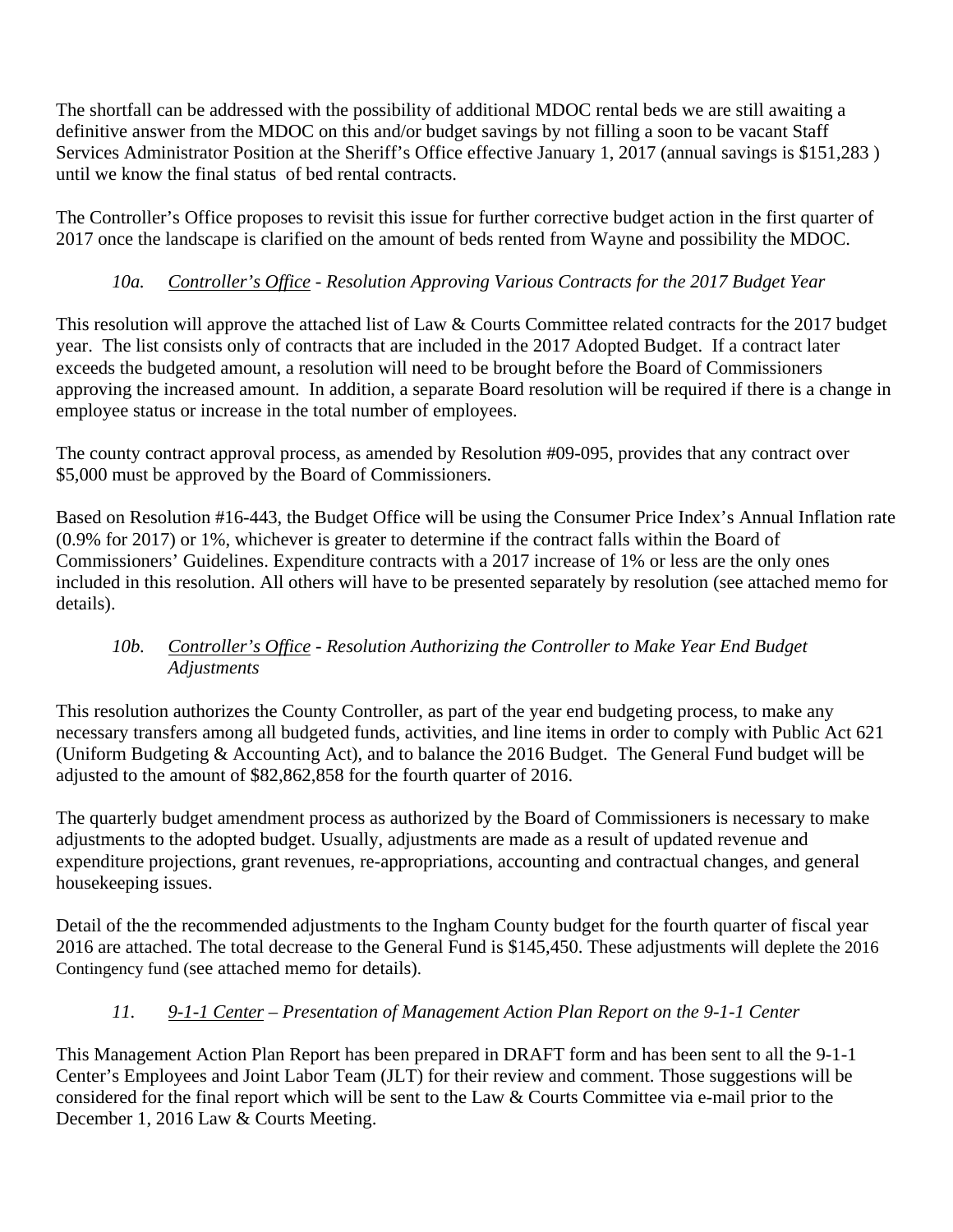The shortfall can be addressed with the possibility of additional MDOC rental beds we are still awaiting a definitive answer from the MDOC on this and/or budget savings by not filling a soon to be vacant Staff Services Administrator Position at the Sheriff's Office effective January 1, 2017 (annual savings is \$151,283) until we know the final status of bed rental contracts.

The Controller's Office proposes to revisit this issue for further corrective budget action in the first quarter of 2017 once the landscape is clarified on the amount of beds rented from Wayne and possibility the MDOC.

# *10a. Controller's Office - Resolution Approving Various Contracts for the 2017 Budget Year*

This resolution will approve the attached list of Law & Courts Committee related contracts for the 2017 budget year. The list consists only of contracts that are included in the 2017 Adopted Budget. If a contract later exceeds the budgeted amount, a resolution will need to be brought before the Board of Commissioners approving the increased amount. In addition, a separate Board resolution will be required if there is a change in employee status or increase in the total number of employees.

The county contract approval process, as amended by Resolution #09-095, provides that any contract over \$5,000 must be approved by the Board of Commissioners.

Based on Resolution #16-443, the Budget Office will be using the Consumer Price Index's Annual Inflation rate (0.9% for 2017) or 1%, whichever is greater to determine if the contract falls within the Board of Commissioners' Guidelines. Expenditure contracts with a 2017 increase of 1% or less are the only ones included in this resolution. All others will have to be presented separately by resolution (see attached memo for details).

# *10b. Controller's Office - Resolution Authorizing the Controller to Make Year End Budget Adjustments*

This resolution authorizes the County Controller, as part of the year end budgeting process, to make any necessary transfers among all budgeted funds, activities, and line items in order to comply with Public Act 621 (Uniform Budgeting & Accounting Act), and to balance the 2016 Budget. The General Fund budget will be adjusted to the amount of \$82,862,858 for the fourth quarter of 2016.

The quarterly budget amendment process as authorized by the Board of Commissioners is necessary to make adjustments to the adopted budget. Usually, adjustments are made as a result of updated revenue and expenditure projections, grant revenues, re-appropriations, accounting and contractual changes, and general housekeeping issues.

Detail of the the recommended adjustments to the Ingham County budget for the fourth quarter of fiscal year 2016 are attached. The total decrease to the General Fund is \$145,450. These adjustments will deplete the 2016 Contingency fund (see attached memo for details).

# *11. 9-1-1 Center – Presentation of Management Action Plan Report on the 9-1-1 Center*

This Management Action Plan Report has been prepared in DRAFT form and has been sent to all the 9-1-1 Center's Employees and Joint Labor Team (JLT) for their review and comment. Those suggestions will be considered for the final report which will be sent to the Law & Courts Committee via e-mail prior to the December 1, 2016 Law & Courts Meeting.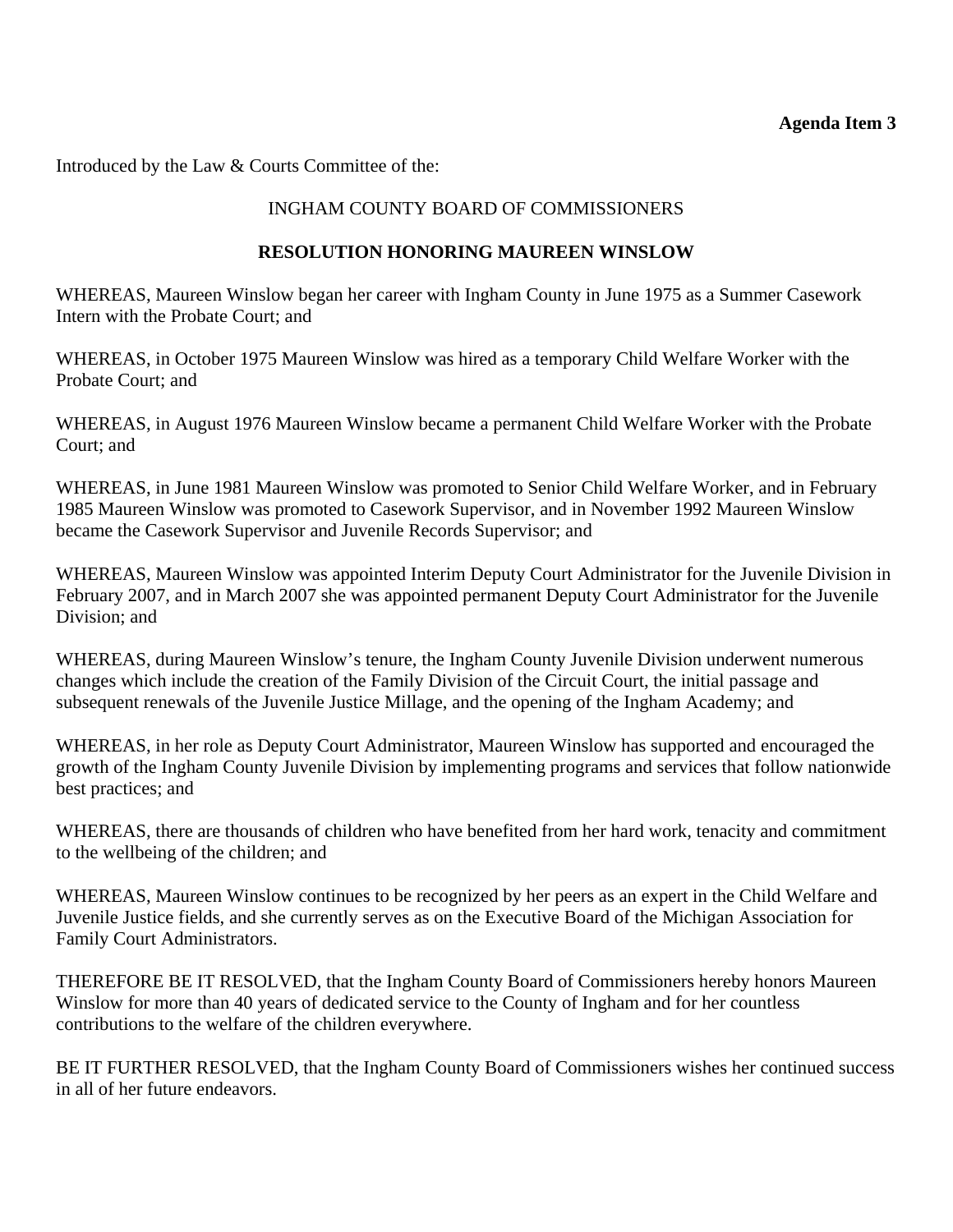# **Agenda Item 3**

<span id="page-9-0"></span>Introduced by the Law & Courts Committee of the:

# INGHAM COUNTY BOARD OF COMMISSIONERS

### **RESOLUTION HONORING MAUREEN WINSLOW**

WHEREAS, Maureen Winslow began her career with Ingham County in June 1975 as a Summer Casework Intern with the Probate Court; and

WHEREAS, in October 1975 Maureen Winslow was hired as a temporary Child Welfare Worker with the Probate Court; and

WHEREAS, in August 1976 Maureen Winslow became a permanent Child Welfare Worker with the Probate Court; and

WHEREAS, in June 1981 Maureen Winslow was promoted to Senior Child Welfare Worker, and in February 1985 Maureen Winslow was promoted to Casework Supervisor, and in November 1992 Maureen Winslow became the Casework Supervisor and Juvenile Records Supervisor; and

WHEREAS, Maureen Winslow was appointed Interim Deputy Court Administrator for the Juvenile Division in February 2007, and in March 2007 she was appointed permanent Deputy Court Administrator for the Juvenile Division; and

WHEREAS, during Maureen Winslow's tenure, the Ingham County Juvenile Division underwent numerous changes which include the creation of the Family Division of the Circuit Court, the initial passage and subsequent renewals of the Juvenile Justice Millage, and the opening of the Ingham Academy; and

WHEREAS, in her role as Deputy Court Administrator, Maureen Winslow has supported and encouraged the growth of the Ingham County Juvenile Division by implementing programs and services that follow nationwide best practices; and

WHEREAS, there are thousands of children who have benefited from her hard work, tenacity and commitment to the wellbeing of the children; and

WHEREAS, Maureen Winslow continues to be recognized by her peers as an expert in the Child Welfare and Juvenile Justice fields, and she currently serves as on the Executive Board of the Michigan Association for Family Court Administrators.

THEREFORE BE IT RESOLVED, that the Ingham County Board of Commissioners hereby honors Maureen Winslow for more than 40 years of dedicated service to the County of Ingham and for her countless contributions to the welfare of the children everywhere.

BE IT FURTHER RESOLVED, that the Ingham County Board of Commissioners wishes her continued success in all of her future endeavors.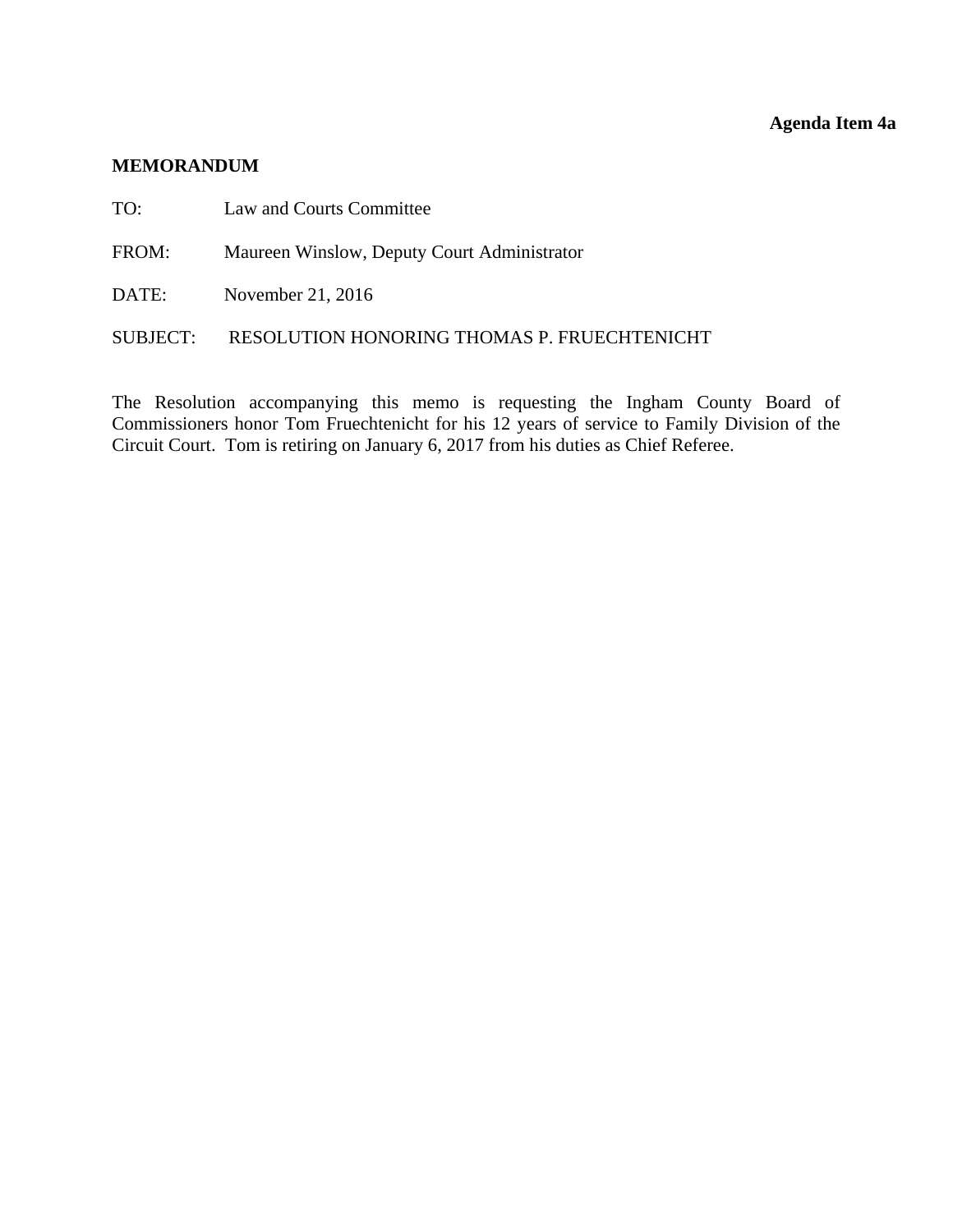# **Agenda Item 4a**

#### <span id="page-10-0"></span>**MEMORANDUM**

- TO: Law and Courts Committee
- FROM: Maureen Winslow, Deputy Court Administrator
- DATE: November 21, 2016

#### SUBJECT: RESOLUTION HONORING THOMAS P. FRUECHTENICHT

The Resolution accompanying this memo is requesting the Ingham County Board of Commissioners honor Tom Fruechtenicht for his 12 years of service to Family Division of the Circuit Court. Tom is retiring on January 6, 2017 from his duties as Chief Referee.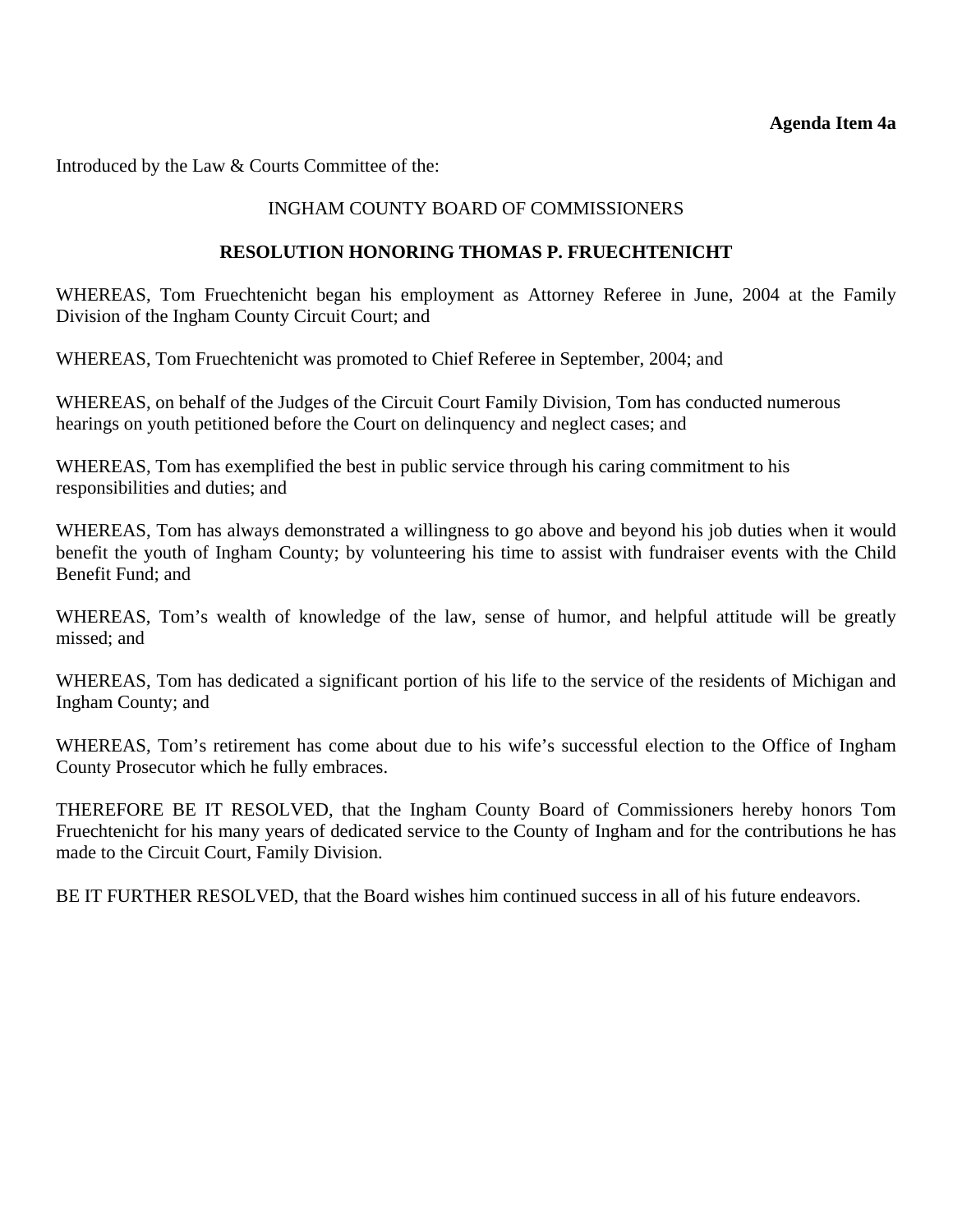#### **Agenda Item 4a**

Introduced by the Law & Courts Committee of the:

# INGHAM COUNTY BOARD OF COMMISSIONERS

### **RESOLUTION HONORING THOMAS P. FRUECHTENICHT**

WHEREAS, Tom Fruechtenicht began his employment as Attorney Referee in June, 2004 at the Family Division of the Ingham County Circuit Court; and

WHEREAS, Tom Fruechtenicht was promoted to Chief Referee in September, 2004; and

WHEREAS, on behalf of the Judges of the Circuit Court Family Division, Tom has conducted numerous hearings on youth petitioned before the Court on delinquency and neglect cases; and

WHEREAS, Tom has exemplified the best in public service through his caring commitment to his responsibilities and duties; and

WHEREAS, Tom has always demonstrated a willingness to go above and beyond his job duties when it would benefit the youth of Ingham County; by volunteering his time to assist with fundraiser events with the Child Benefit Fund; and

WHEREAS, Tom's wealth of knowledge of the law, sense of humor, and helpful attitude will be greatly missed; and

WHEREAS, Tom has dedicated a significant portion of his life to the service of the residents of Michigan and Ingham County; and

WHEREAS, Tom's retirement has come about due to his wife's successful election to the Office of Ingham County Prosecutor which he fully embraces.

THEREFORE BE IT RESOLVED, that the Ingham County Board of Commissioners hereby honors Tom Fruechtenicht for his many years of dedicated service to the County of Ingham and for the contributions he has made to the Circuit Court, Family Division.

BE IT FURTHER RESOLVED, that the Board wishes him continued success in all of his future endeavors.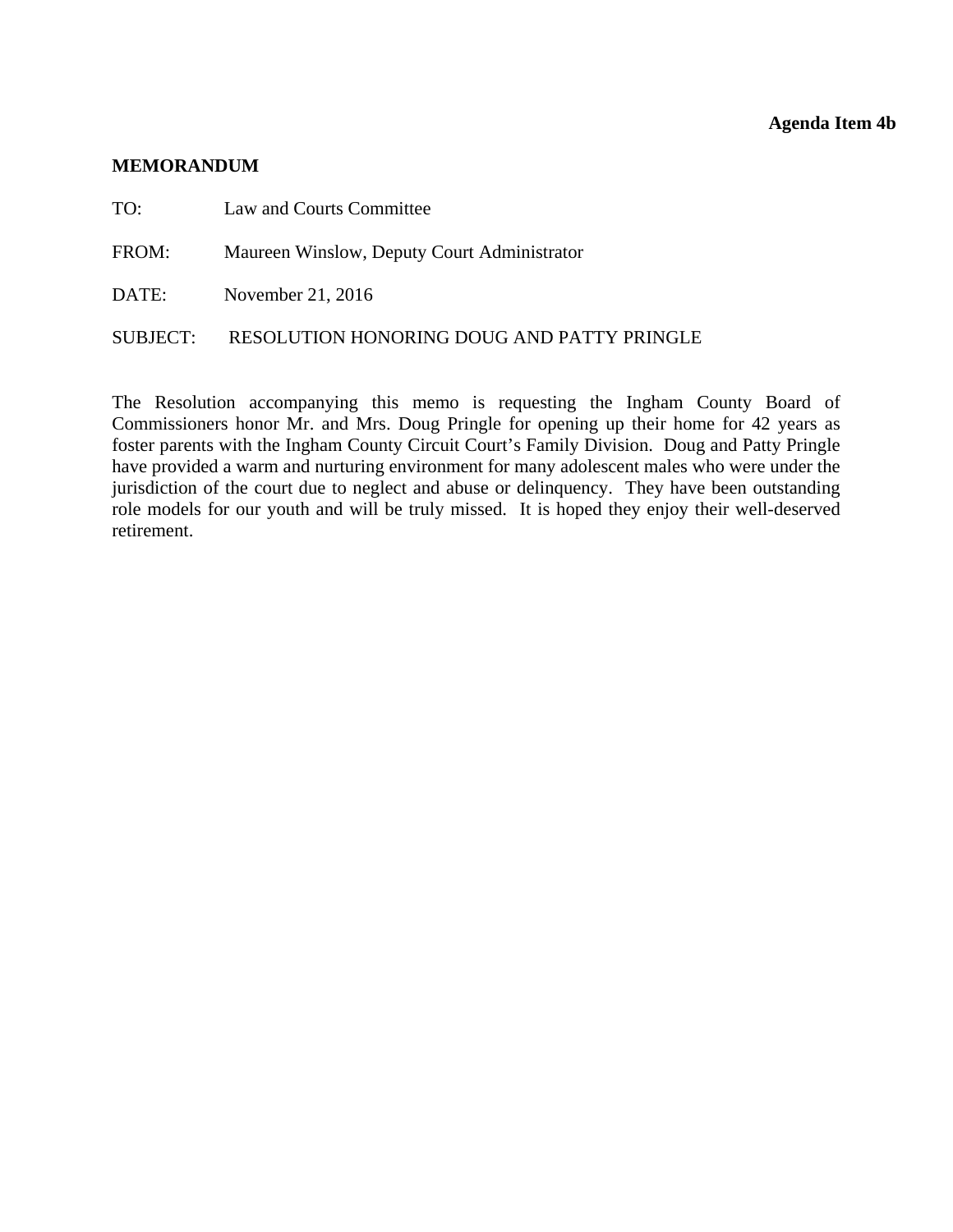#### **Agenda Item 4b**

#### <span id="page-12-0"></span>**MEMORANDUM**

TO: Law and Courts Committee

FROM: Maureen Winslow, Deputy Court Administrator

DATE: November 21, 2016

#### SUBJECT: RESOLUTION HONORING DOUG AND PATTY PRINGLE

The Resolution accompanying this memo is requesting the Ingham County Board of Commissioners honor Mr. and Mrs. Doug Pringle for opening up their home for 42 years as foster parents with the Ingham County Circuit Court's Family Division. Doug and Patty Pringle have provided a warm and nurturing environment for many adolescent males who were under the jurisdiction of the court due to neglect and abuse or delinquency. They have been outstanding role models for our youth and will be truly missed. It is hoped they enjoy their well-deserved retirement.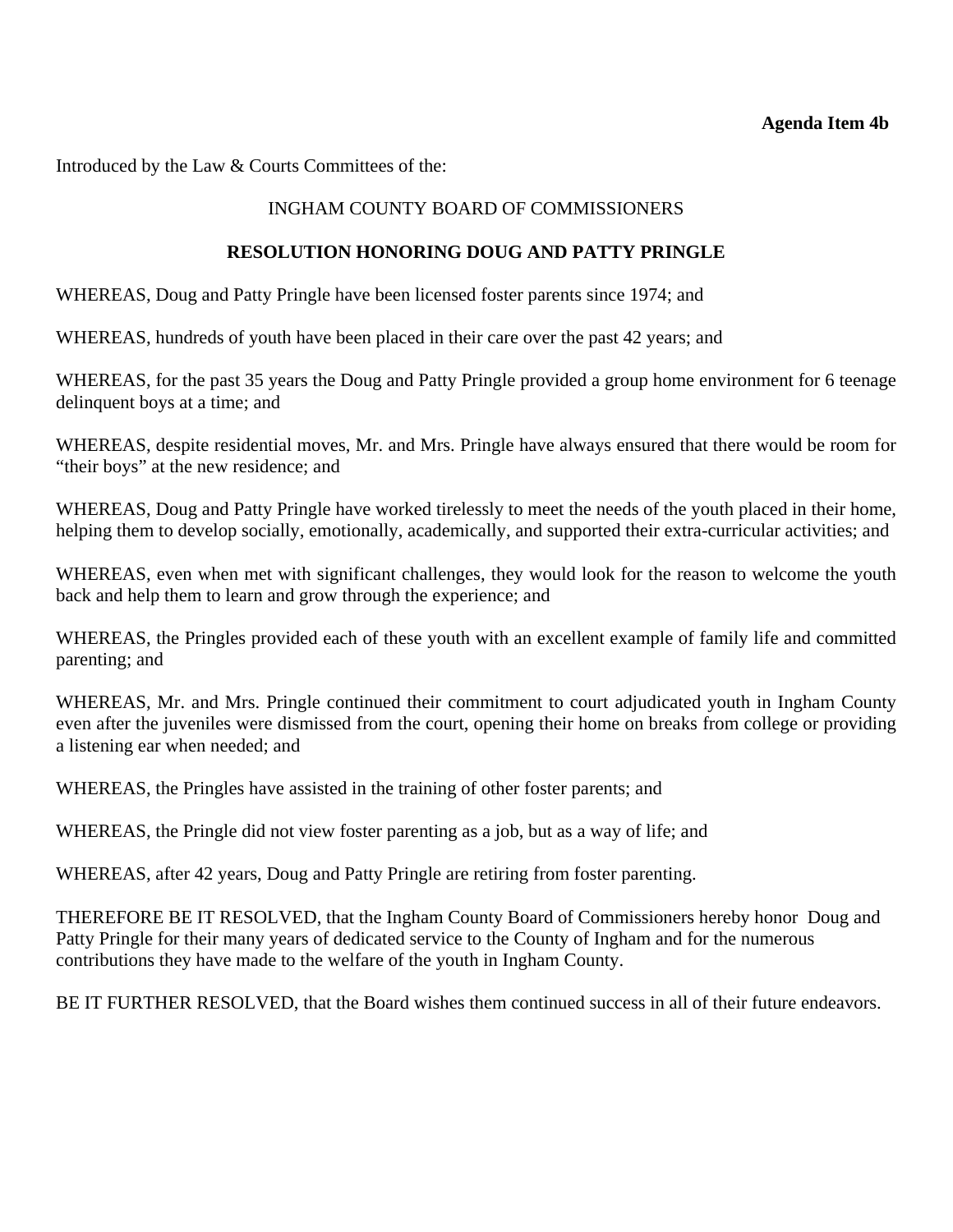#### **Agenda Item 4b**

Introduced by the Law & Courts Committees of the:

# INGHAM COUNTY BOARD OF COMMISSIONERS

### **RESOLUTION HONORING DOUG AND PATTY PRINGLE**

WHEREAS, Doug and Patty Pringle have been licensed foster parents since 1974; and

WHEREAS, hundreds of youth have been placed in their care over the past 42 years; and

WHEREAS, for the past 35 years the Doug and Patty Pringle provided a group home environment for 6 teenage delinquent boys at a time; and

WHEREAS, despite residential moves, Mr. and Mrs. Pringle have always ensured that there would be room for "their boys" at the new residence; and

WHEREAS, Doug and Patty Pringle have worked tirelessly to meet the needs of the youth placed in their home, helping them to develop socially, emotionally, academically, and supported their extra-curricular activities; and

WHEREAS, even when met with significant challenges, they would look for the reason to welcome the youth back and help them to learn and grow through the experience; and

WHEREAS, the Pringles provided each of these youth with an excellent example of family life and committed parenting; and

WHEREAS, Mr. and Mrs. Pringle continued their commitment to court adjudicated youth in Ingham County even after the juveniles were dismissed from the court, opening their home on breaks from college or providing a listening ear when needed; and

WHEREAS, the Pringles have assisted in the training of other foster parents; and

WHEREAS, the Pringle did not view foster parenting as a job, but as a way of life; and

WHEREAS, after 42 years, Doug and Patty Pringle are retiring from foster parenting.

THEREFORE BE IT RESOLVED, that the Ingham County Board of Commissioners hereby honor Doug and Patty Pringle for their many years of dedicated service to the County of Ingham and for the numerous contributions they have made to the welfare of the youth in Ingham County.

BE IT FURTHER RESOLVED, that the Board wishes them continued success in all of their future endeavors.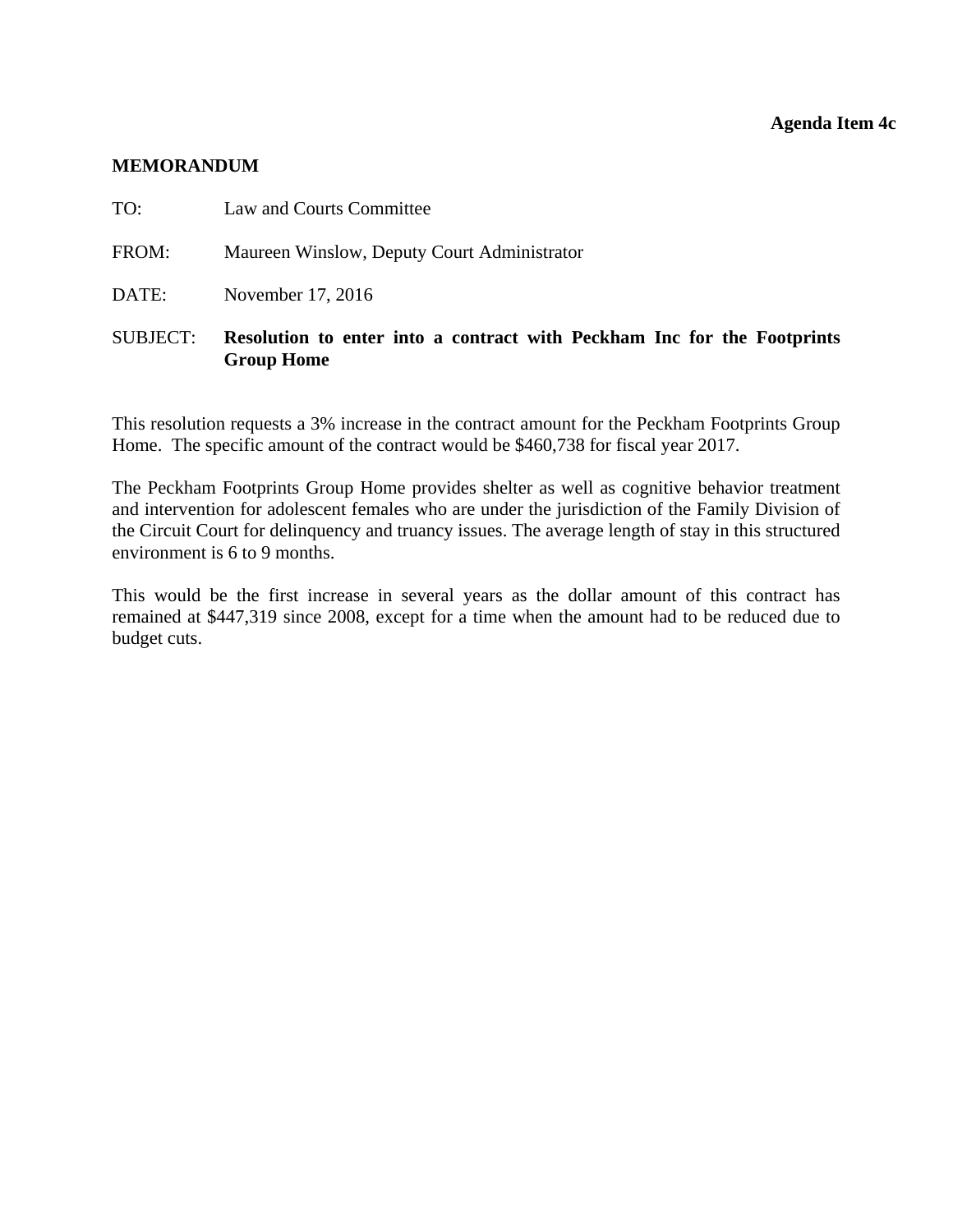#### **Agenda Item 4c**

#### <span id="page-14-0"></span>**MEMORANDUM**

| SUBJECT: | Resolution to enter into a contract with Peckham Inc for the Footprints<br><b>Group Home</b> |
|----------|----------------------------------------------------------------------------------------------|
| DATE:    | November 17, 2016                                                                            |
| FROM:    | Maureen Winslow, Deputy Court Administrator                                                  |
| TO:      | Law and Courts Committee                                                                     |

This resolution requests a 3% increase in the contract amount for the Peckham Footprints Group Home. The specific amount of the contract would be \$460,738 for fiscal year 2017.

The Peckham Footprints Group Home provides shelter as well as cognitive behavior treatment and intervention for adolescent females who are under the jurisdiction of the Family Division of the Circuit Court for delinquency and truancy issues. The average length of stay in this structured environment is 6 to 9 months.

This would be the first increase in several years as the dollar amount of this contract has remained at \$447,319 since 2008, except for a time when the amount had to be reduced due to budget cuts.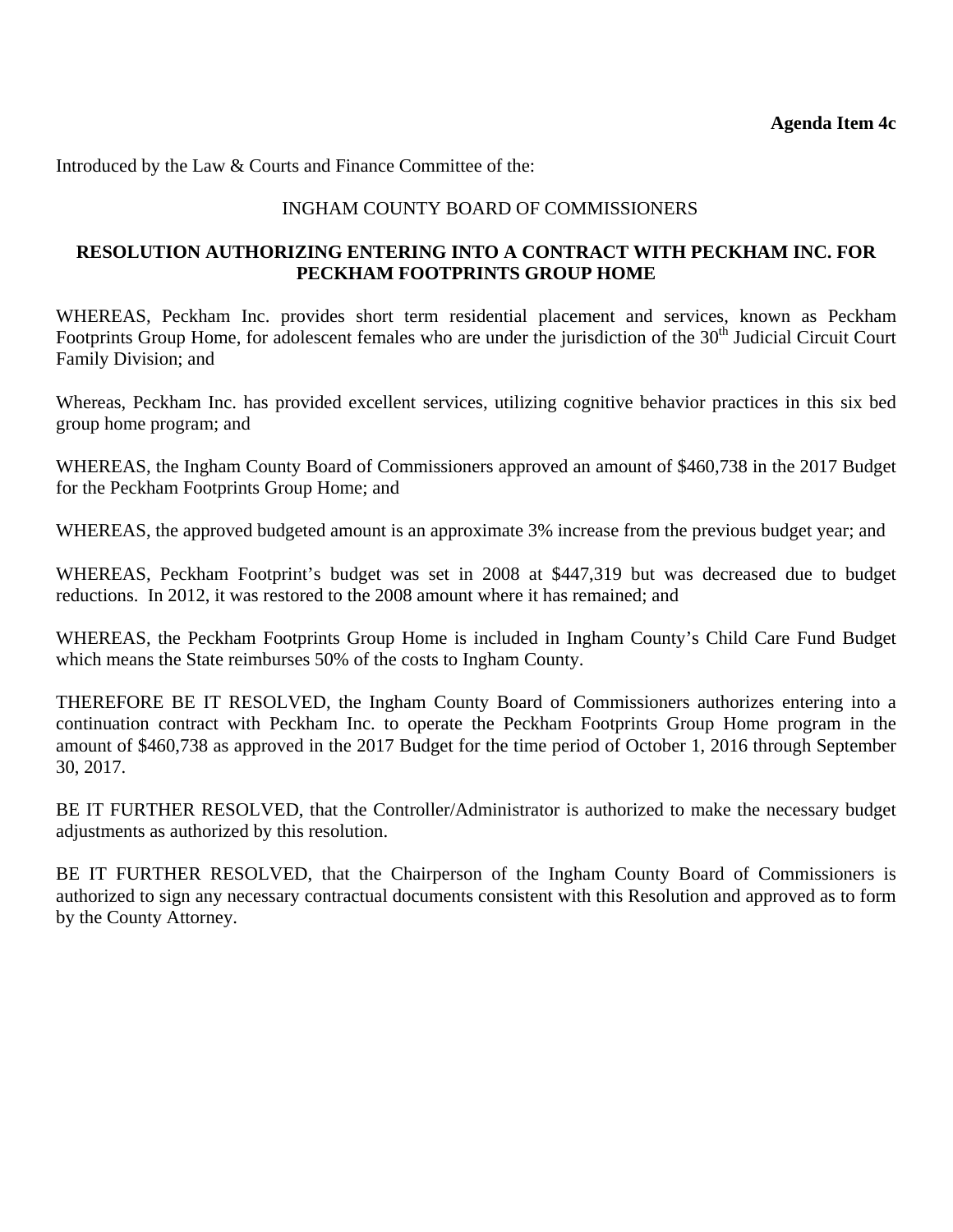Introduced by the Law & Courts and Finance Committee of the:

# INGHAM COUNTY BOARD OF COMMISSIONERS

# **RESOLUTION AUTHORIZING ENTERING INTO A CONTRACT WITH PECKHAM INC. FOR PECKHAM FOOTPRINTS GROUP HOME**

WHEREAS, Peckham Inc. provides short term residential placement and services, known as Peckham Footprints Group Home, for adolescent females who are under the jurisdiction of the 30<sup>th</sup> Judicial Circuit Court Family Division; and

Whereas, Peckham Inc. has provided excellent services, utilizing cognitive behavior practices in this six bed group home program; and

WHEREAS, the Ingham County Board of Commissioners approved an amount of \$460,738 in the 2017 Budget for the Peckham Footprints Group Home; and

WHEREAS, the approved budgeted amount is an approximate 3% increase from the previous budget year; and

WHEREAS, Peckham Footprint's budget was set in 2008 at \$447,319 but was decreased due to budget reductions. In 2012, it was restored to the 2008 amount where it has remained; and

WHEREAS, the Peckham Footprints Group Home is included in Ingham County's Child Care Fund Budget which means the State reimburses 50% of the costs to Ingham County.

THEREFORE BE IT RESOLVED, the Ingham County Board of Commissioners authorizes entering into a continuation contract with Peckham Inc. to operate the Peckham Footprints Group Home program in the amount of \$460,738 as approved in the 2017 Budget for the time period of October 1, 2016 through September 30, 2017.

BE IT FURTHER RESOLVED, that the Controller/Administrator is authorized to make the necessary budget adjustments as authorized by this resolution.

BE IT FURTHER RESOLVED, that the Chairperson of the Ingham County Board of Commissioners is authorized to sign any necessary contractual documents consistent with this Resolution and approved as to form by the County Attorney.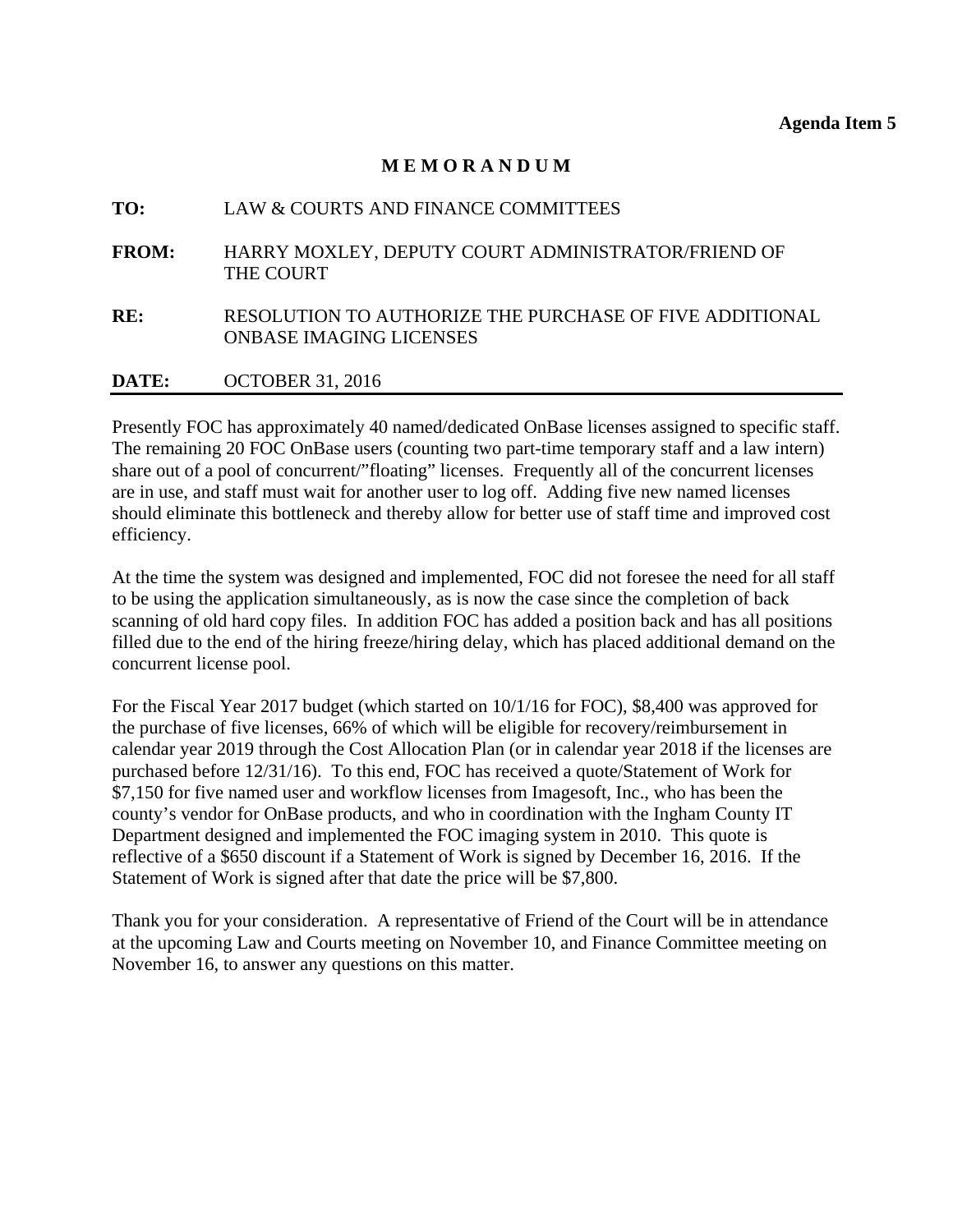### **M E M O R A N D U M**

# <span id="page-16-0"></span>**TO:** LAW & COURTS AND FINANCE COMMITTEES **FROM:** HARRY MOXLEY, DEPUTY COURT ADMINISTRATOR/FRIEND OF THE COURT **RE:** RESOLUTION TO AUTHORIZE THE PURCHASE OF FIVE ADDITIONAL ONBASE IMAGING LICENSES **DATE:** OCTOBER 31, 2016

Presently FOC has approximately 40 named/dedicated OnBase licenses assigned to specific staff. The remaining 20 FOC OnBase users (counting two part-time temporary staff and a law intern) share out of a pool of concurrent/"floating" licenses. Frequently all of the concurrent licenses are in use, and staff must wait for another user to log off. Adding five new named licenses should eliminate this bottleneck and thereby allow for better use of staff time and improved cost efficiency.

At the time the system was designed and implemented, FOC did not foresee the need for all staff to be using the application simultaneously, as is now the case since the completion of back scanning of old hard copy files. In addition FOC has added a position back and has all positions filled due to the end of the hiring freeze/hiring delay, which has placed additional demand on the concurrent license pool.

For the Fiscal Year 2017 budget (which started on 10/1/16 for FOC), \$8,400 was approved for the purchase of five licenses, 66% of which will be eligible for recovery/reimbursement in calendar year 2019 through the Cost Allocation Plan (or in calendar year 2018 if the licenses are purchased before 12/31/16). To this end, FOC has received a quote/Statement of Work for \$7,150 for five named user and workflow licenses from Imagesoft, Inc., who has been the county's vendor for OnBase products, and who in coordination with the Ingham County IT Department designed and implemented the FOC imaging system in 2010. This quote is reflective of a \$650 discount if a Statement of Work is signed by December 16, 2016. If the Statement of Work is signed after that date the price will be \$7,800.

Thank you for your consideration. A representative of Friend of the Court will be in attendance at the upcoming Law and Courts meeting on November 10, and Finance Committee meeting on November 16, to answer any questions on this matter.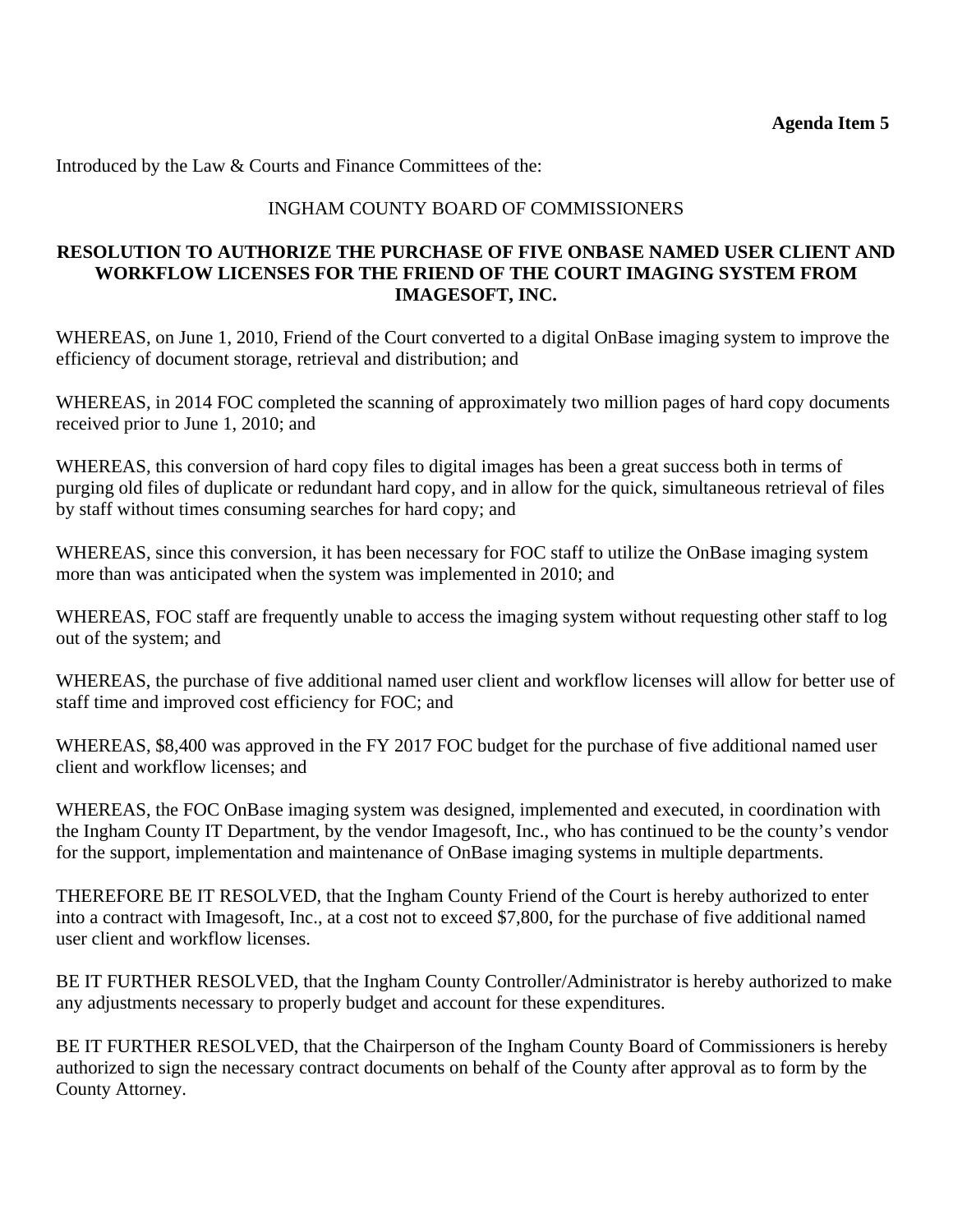Introduced by the Law & Courts and Finance Committees of the:

### INGHAM COUNTY BOARD OF COMMISSIONERS

### **RESOLUTION TO AUTHORIZE THE PURCHASE OF FIVE ONBASE NAMED USER CLIENT AND WORKFLOW LICENSES FOR THE FRIEND OF THE COURT IMAGING SYSTEM FROM IMAGESOFT, INC.**

WHEREAS, on June 1, 2010, Friend of the Court converted to a digital OnBase imaging system to improve the efficiency of document storage, retrieval and distribution; and

WHEREAS, in 2014 FOC completed the scanning of approximately two million pages of hard copy documents received prior to June 1, 2010; and

WHEREAS, this conversion of hard copy files to digital images has been a great success both in terms of purging old files of duplicate or redundant hard copy, and in allow for the quick, simultaneous retrieval of files by staff without times consuming searches for hard copy; and

WHEREAS, since this conversion, it has been necessary for FOC staff to utilize the OnBase imaging system more than was anticipated when the system was implemented in 2010; and

WHEREAS, FOC staff are frequently unable to access the imaging system without requesting other staff to log out of the system; and

WHEREAS, the purchase of five additional named user client and workflow licenses will allow for better use of staff time and improved cost efficiency for FOC; and

WHEREAS, \$8,400 was approved in the FY 2017 FOC budget for the purchase of five additional named user client and workflow licenses; and

WHEREAS, the FOC OnBase imaging system was designed, implemented and executed, in coordination with the Ingham County IT Department, by the vendor Imagesoft, Inc., who has continued to be the county's vendor for the support, implementation and maintenance of OnBase imaging systems in multiple departments.

THEREFORE BE IT RESOLVED, that the Ingham County Friend of the Court is hereby authorized to enter into a contract with Imagesoft, Inc., at a cost not to exceed \$7,800, for the purchase of five additional named user client and workflow licenses.

BE IT FURTHER RESOLVED, that the Ingham County Controller/Administrator is hereby authorized to make any adjustments necessary to properly budget and account for these expenditures.

BE IT FURTHER RESOLVED, that the Chairperson of the Ingham County Board of Commissioners is hereby authorized to sign the necessary contract documents on behalf of the County after approval as to form by the County Attorney.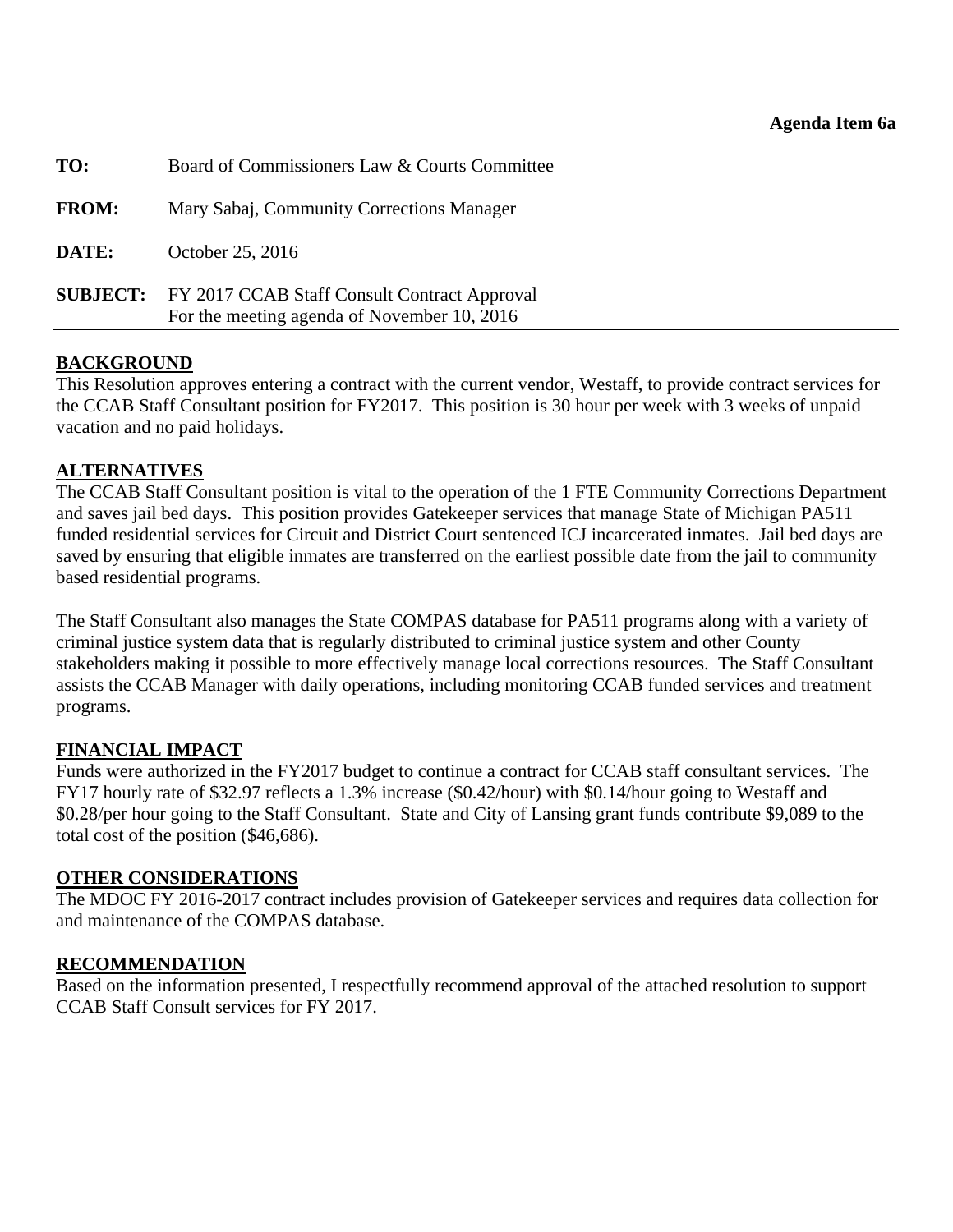<span id="page-18-0"></span>

| TO:          | Board of Commissioners Law & Courts Committee                                                               |
|--------------|-------------------------------------------------------------------------------------------------------------|
| <b>FROM:</b> | Mary Sabaj, Community Corrections Manager                                                                   |
| DATE:        | October 25, 2016                                                                                            |
|              | <b>SUBJECT:</b> FY 2017 CCAB Staff Consult Contract Approval<br>For the meeting agenda of November 10, 2016 |
|              |                                                                                                             |

# **BACKGROUND**

This Resolution approves entering a contract with the current vendor, Westaff, to provide contract services for the CCAB Staff Consultant position for FY2017. This position is 30 hour per week with 3 weeks of unpaid vacation and no paid holidays.

### **ALTERNATIVES**

The CCAB Staff Consultant position is vital to the operation of the 1 FTE Community Corrections Department and saves jail bed days. This position provides Gatekeeper services that manage State of Michigan PA511 funded residential services for Circuit and District Court sentenced ICJ incarcerated inmates. Jail bed days are saved by ensuring that eligible inmates are transferred on the earliest possible date from the jail to community based residential programs.

The Staff Consultant also manages the State COMPAS database for PA511 programs along with a variety of criminal justice system data that is regularly distributed to criminal justice system and other County stakeholders making it possible to more effectively manage local corrections resources. The Staff Consultant assists the CCAB Manager with daily operations, including monitoring CCAB funded services and treatment programs.

#### **FINANCIAL IMPACT**

Funds were authorized in the FY2017 budget to continue a contract for CCAB staff consultant services. The FY17 hourly rate of \$32.97 reflects a 1.3% increase (\$0.42/hour) with \$0.14/hour going to Westaff and \$0.28/per hour going to the Staff Consultant. State and City of Lansing grant funds contribute \$9,089 to the total cost of the position (\$46,686).

# **OTHER CONSIDERATIONS**

The MDOC FY 2016-2017 contract includes provision of Gatekeeper services and requires data collection for and maintenance of the COMPAS database.

#### **RECOMMENDATION**

Based on the information presented, I respectfully recommend approval of the attached resolution to support CCAB Staff Consult services for FY 2017.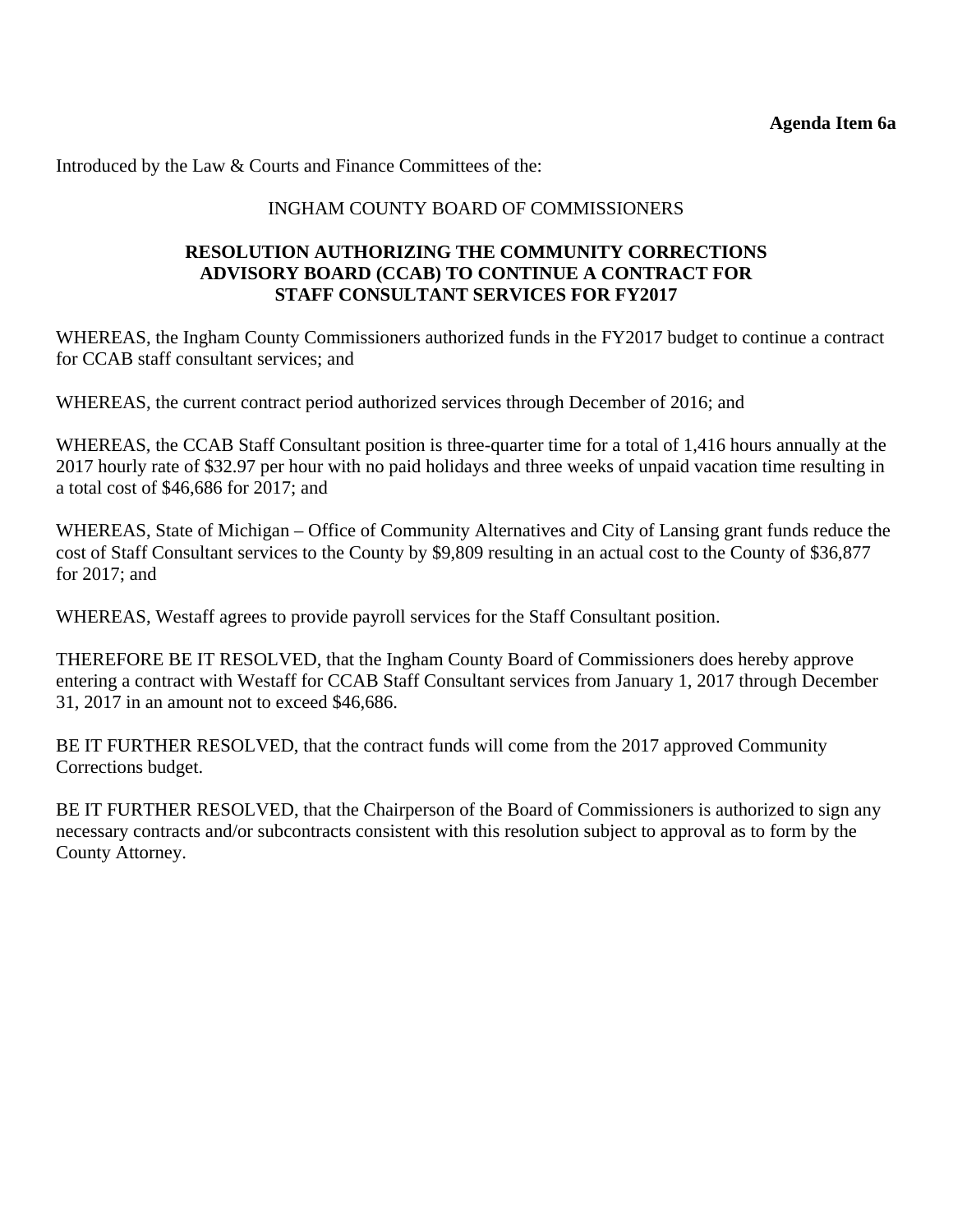Introduced by the Law & Courts and Finance Committees of the:

# INGHAM COUNTY BOARD OF COMMISSIONERS

### **RESOLUTION AUTHORIZING THE COMMUNITY CORRECTIONS ADVISORY BOARD (CCAB) TO CONTINUE A CONTRACT FOR STAFF CONSULTANT SERVICES FOR FY2017**

WHEREAS, the Ingham County Commissioners authorized funds in the FY2017 budget to continue a contract for CCAB staff consultant services; and

WHEREAS, the current contract period authorized services through December of 2016; and

WHEREAS, the CCAB Staff Consultant position is three-quarter time for a total of 1,416 hours annually at the 2017 hourly rate of \$32.97 per hour with no paid holidays and three weeks of unpaid vacation time resulting in a total cost of \$46,686 for 2017; and

WHEREAS, State of Michigan – Office of Community Alternatives and City of Lansing grant funds reduce the cost of Staff Consultant services to the County by \$9,809 resulting in an actual cost to the County of \$36,877 for 2017; and

WHEREAS, Westaff agrees to provide payroll services for the Staff Consultant position.

THEREFORE BE IT RESOLVED, that the Ingham County Board of Commissioners does hereby approve entering a contract with Westaff for CCAB Staff Consultant services from January 1, 2017 through December 31, 2017 in an amount not to exceed \$46,686.

BE IT FURTHER RESOLVED, that the contract funds will come from the 2017 approved Community Corrections budget.

BE IT FURTHER RESOLVED, that the Chairperson of the Board of Commissioners is authorized to sign any necessary contracts and/or subcontracts consistent with this resolution subject to approval as to form by the County Attorney.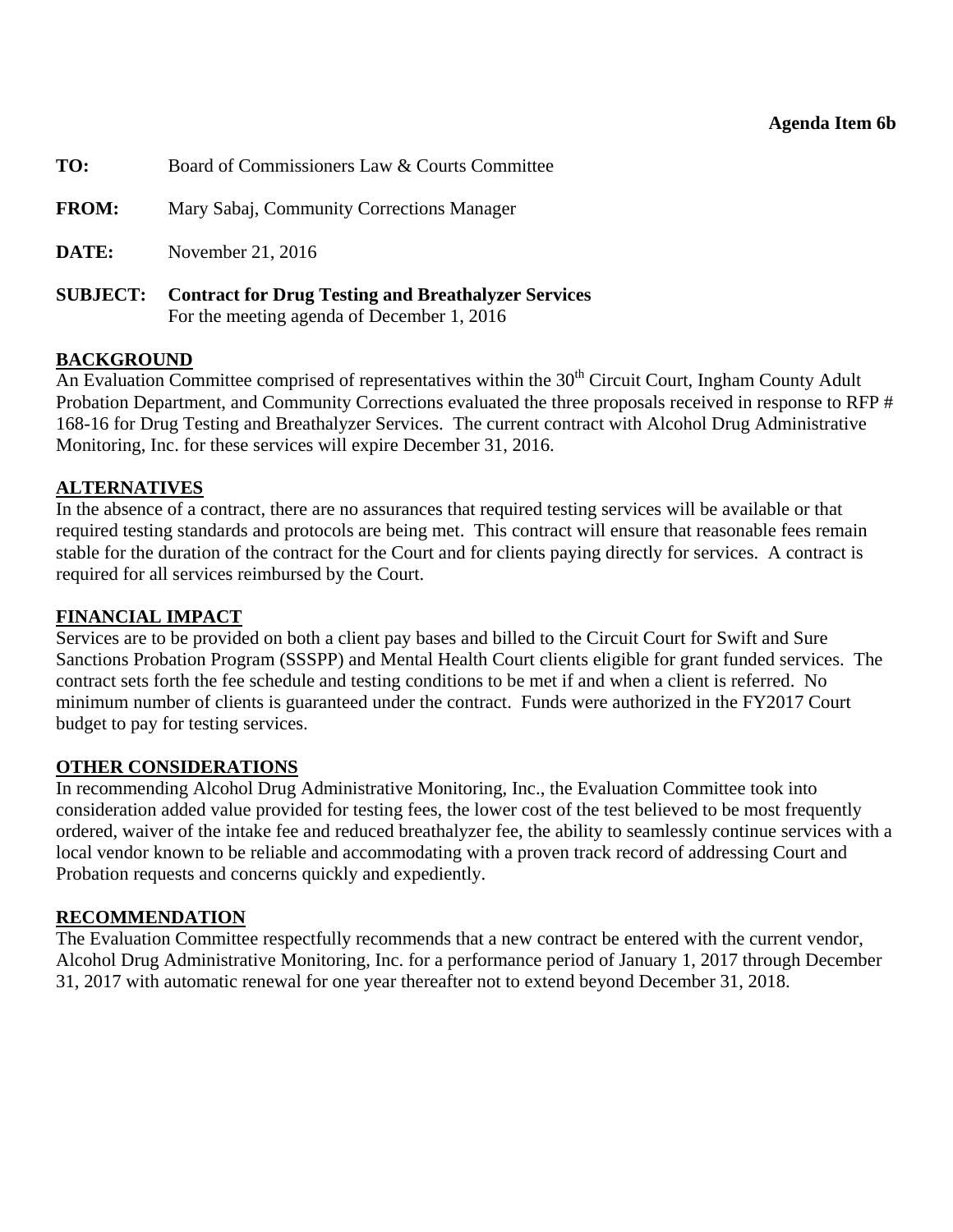#### **Agenda Item 6b**

<span id="page-20-0"></span>

| TO:             | Board of Commissioners Law & Courts Committee                                                            |
|-----------------|----------------------------------------------------------------------------------------------------------|
| <b>FROM:</b>    | Mary Sabaj, Community Corrections Manager                                                                |
| DATE:           | November 21, 2016                                                                                        |
| <b>SUBJECT:</b> | <b>Contract for Drug Testing and Breathalyzer Services</b><br>For the meeting agenda of December 1, 2016 |

#### **BACKGROUND**

An Evaluation Committee comprised of representatives within the  $30<sup>th</sup>$  Circuit Court, Ingham County Adult Probation Department, and Community Corrections evaluated the three proposals received in response to RFP # 168-16 for Drug Testing and Breathalyzer Services. The current contract with Alcohol Drug Administrative Monitoring, Inc. for these services will expire December 31, 2016.

#### **ALTERNATIVES**

In the absence of a contract, there are no assurances that required testing services will be available or that required testing standards and protocols are being met. This contract will ensure that reasonable fees remain stable for the duration of the contract for the Court and for clients paying directly for services. A contract is required for all services reimbursed by the Court.

#### **FINANCIAL IMPACT**

Services are to be provided on both a client pay bases and billed to the Circuit Court for Swift and Sure Sanctions Probation Program (SSSPP) and Mental Health Court clients eligible for grant funded services. The contract sets forth the fee schedule and testing conditions to be met if and when a client is referred. No minimum number of clients is guaranteed under the contract. Funds were authorized in the FY2017 Court budget to pay for testing services.

#### **OTHER CONSIDERATIONS**

In recommending Alcohol Drug Administrative Monitoring, Inc., the Evaluation Committee took into consideration added value provided for testing fees, the lower cost of the test believed to be most frequently ordered, waiver of the intake fee and reduced breathalyzer fee, the ability to seamlessly continue services with a local vendor known to be reliable and accommodating with a proven track record of addressing Court and Probation requests and concerns quickly and expediently.

#### **RECOMMENDATION**

The Evaluation Committee respectfully recommends that a new contract be entered with the current vendor, Alcohol Drug Administrative Monitoring, Inc. for a performance period of January 1, 2017 through December 31, 2017 with automatic renewal for one year thereafter not to extend beyond December 31, 2018.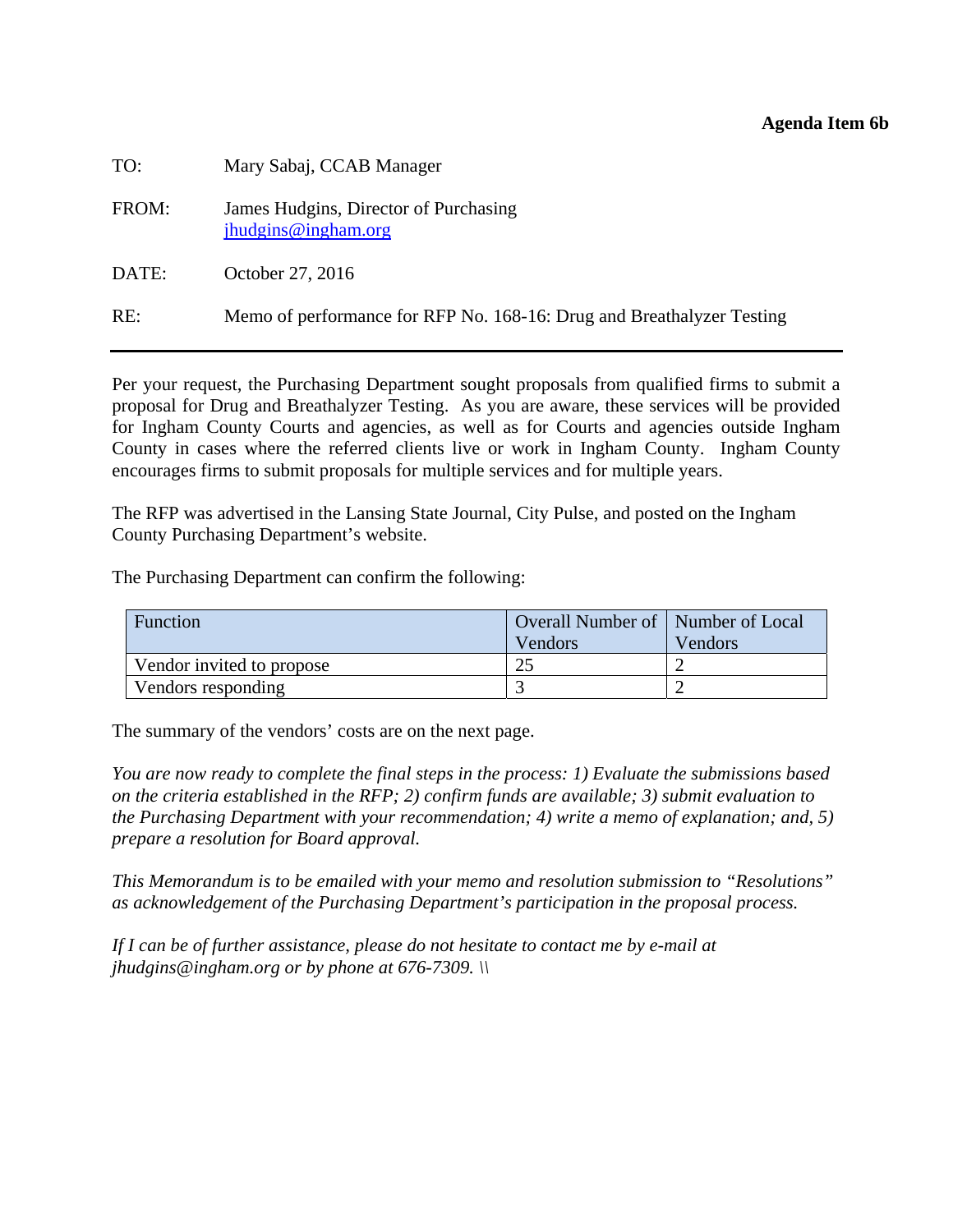#### **Agenda Item 6b**

| TO:   | Mary Sabaj, CCAB Manager                                              |
|-------|-----------------------------------------------------------------------|
| FROM: | James Hudgins, Director of Purchasing<br>jhudgins@ingham.org          |
| DATE: | October 27, 2016                                                      |
| RE:   | Memo of performance for RFP No. 168-16: Drug and Breathalyzer Testing |

Per your request, the Purchasing Department sought proposals from qualified firms to submit a proposal for Drug and Breathalyzer Testing. As you are aware, these services will be provided for Ingham County Courts and agencies, as well as for Courts and agencies outside Ingham County in cases where the referred clients live or work in Ingham County. Ingham County encourages firms to submit proposals for multiple services and for multiple years.

The RFP was advertised in the Lansing State Journal, City Pulse, and posted on the Ingham County Purchasing Department's website.

The Purchasing Department can confirm the following:

| Function                  | Overall Number of   Number of Local |         |  |
|---------------------------|-------------------------------------|---------|--|
|                           | Vendors                             | Vendors |  |
| Vendor invited to propose | 25                                  |         |  |
| Vendors responding        |                                     |         |  |

The summary of the vendors' costs are on the next page.

*You are now ready to complete the final steps in the process: 1) Evaluate the submissions based on the criteria established in the RFP; 2) confirm funds are available; 3) submit evaluation to the Purchasing Department with your recommendation; 4) write a memo of explanation; and, 5) prepare a resolution for Board approval.* 

*This Memorandum is to be emailed with your memo and resolution submission to "Resolutions" as acknowledgement of the Purchasing Department's participation in the proposal process.* 

*If I can be of further assistance, please do not hesitate to contact me by e-mail at jhudgins@ingham.org or by phone at 676-7309. \\*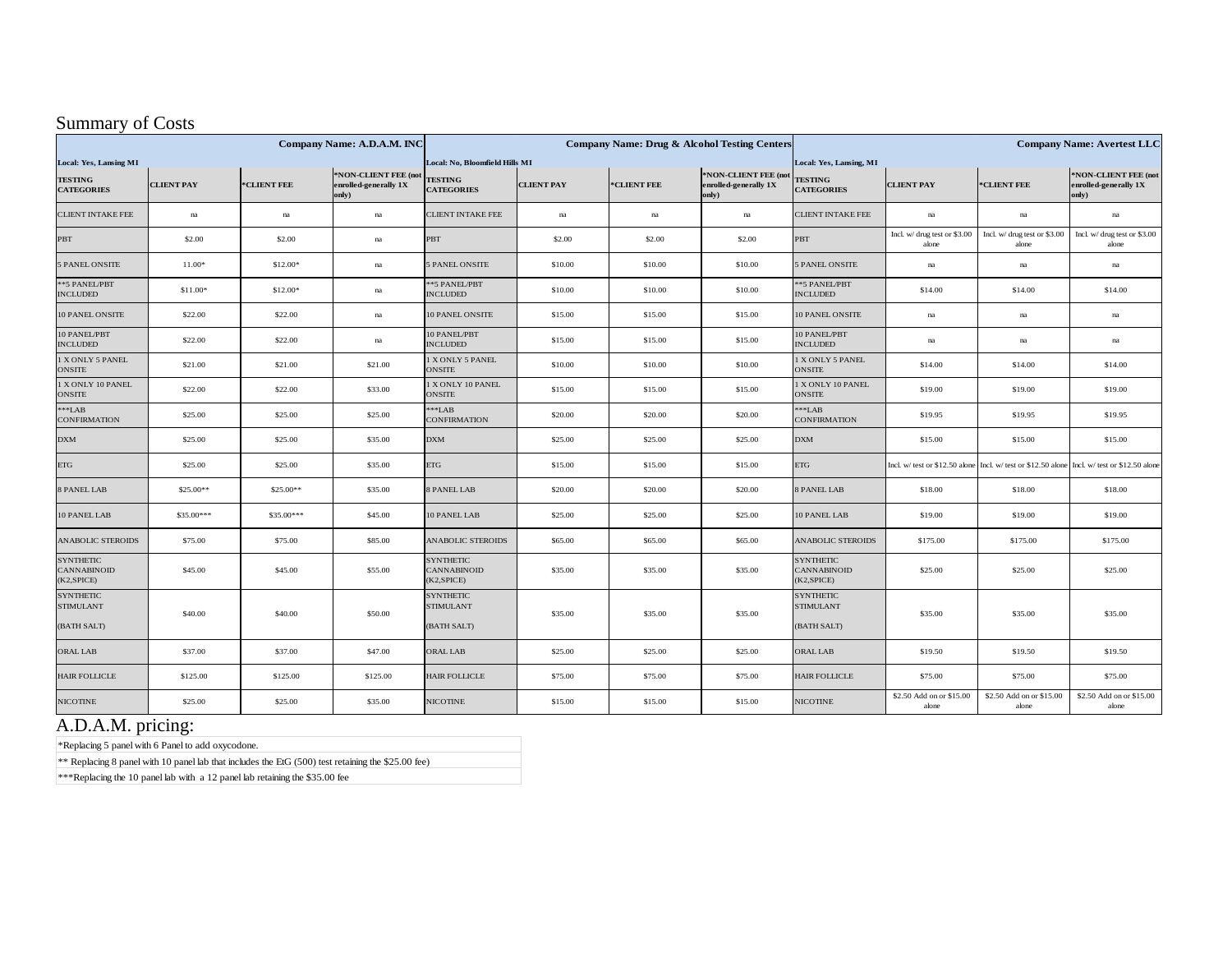# Summary of Costs

| Company Name: A.D.A.M. INC                           |                     |                     | <b>Company Name: Drug &amp; Alcohol Testing Centers</b> |                                                      |                   |                         | <b>Company Name: Avertest LLC</b>                      |                                                     |                                       |                                                                                              |                                                        |
|------------------------------------------------------|---------------------|---------------------|---------------------------------------------------------|------------------------------------------------------|-------------------|-------------------------|--------------------------------------------------------|-----------------------------------------------------|---------------------------------------|----------------------------------------------------------------------------------------------|--------------------------------------------------------|
| Local: Yes, Lansing MI                               |                     |                     | Local: No, Bloomfield Hills MI                          |                                                      |                   | Local: Yes, Lansing, MI |                                                        |                                                     |                                       |                                                                                              |                                                        |
| <b>TESTING</b><br><b>CATEGORIES</b>                  | <b>CLIENT PAY</b>   | *CLIENT FEE         | *NON-CLIENT FEE (not<br>enrolled-generally 1X<br>only)  | <b>TESTING</b><br><b>CATEGORIES</b>                  | <b>CLIENT PAY</b> | *CLIENT FEE             | *NON-CLIENT FEE (not<br>enrolled-generally 1X<br>only) | <b>TESTING</b><br><b>CATEGORIES</b>                 | <b>CLIENT PAY</b>                     | *CLIENT FEE                                                                                  | *NON-CLIENT FEE (not<br>enrolled-generally 1X<br>only) |
| <b>CLIENT INTAKE FEE</b>                             | $\operatorname{na}$ | $\operatorname{na}$ | na                                                      | <b>CLIENT INTAKE FEE</b>                             | na                | na                      | na                                                     | <b>CLIENT INTAKE FEE</b>                            | na                                    | na                                                                                           | $\operatorname{na}$                                    |
| PBT                                                  | \$2.00              | \$2.00              | na                                                      | PBT                                                  | \$2.00            | \$2.00                  | \$2.00                                                 | <b>PBT</b>                                          | Incl. w/ drug test or \$3.00<br>alone | Incl. w/ drug test or \$3.00<br>alone                                                        | Incl. w/ drug test or \$3.00<br>alone                  |
| 5 PANEL ONSITE                                       | 11.00*              | \$12.00*            | na                                                      | 5 PANEL ONSITE                                       | \$10.00           | \$10.00                 | \$10.00                                                | <b>5 PANEL ONSITE</b>                               | na                                    | na                                                                                           | na                                                     |
| ** 5 PANEL/PBT<br><b>INCLUDED</b>                    | \$11.00*            | \$12.00*            | na                                                      | ** 5 PANEL/PBT<br><b>INCLUDED</b>                    | \$10.00           | \$10.00                 | \$10.00                                                | ** 5 PANEL/PBT<br><b>INCLUDED</b>                   | \$14.00                               | \$14.00                                                                                      | \$14.00                                                |
| 10 PANEL ONSITE                                      | \$22.00             | \$22.00             | na                                                      | 10 PANEL ONSITE                                      | \$15.00           | \$15.00                 | \$15.00                                                | 10 PANEL ONSITE                                     | na                                    | na                                                                                           | na                                                     |
| 10 PANEL/PBT<br><b>INCLUDED</b>                      | \$22.00             | \$22.00             | na                                                      | 10 PANEL/PBT<br><b>INCLUDED</b>                      | \$15.00           | \$15.00                 | \$15.00                                                | 10 PANEL/PBT<br><b>INCLUDED</b>                     | $\mathbf{n}\mathbf{a}$                | na                                                                                           | na                                                     |
| 1 X ONLY 5 PANEL<br><b>ONSITE</b>                    | \$21.00             | \$21.00             | \$21.00                                                 | 1 X ONLY 5 PANEL<br>ONSITE                           | \$10.00           | \$10.00                 | \$10.00                                                | 1 X ONLY 5 PANEL<br><b>ONSITE</b>                   | \$14.00                               | \$14.00                                                                                      | \$14.00                                                |
| 1 X ONLY 10 PANEL<br><b>ONSITE</b>                   | \$22.00             | \$22.00             | \$33.00                                                 | 1 X ONLY 10 PANEL<br><b>ONSITE</b>                   | \$15.00           | \$15.00                 | \$15.00                                                | I X ONLY 10 PANEL<br><b>ONSITE</b>                  | \$19.00                               | \$19.00                                                                                      | \$19.00                                                |
| $***LAB$<br><b>CONFIRMATION</b>                      | \$25.00             | \$25.00             | \$25.00                                                 | $***$ LAB<br><b>CONFIRMATION</b>                     | \$20.00           | \$20.00                 | \$20.00                                                | $***$ LAB<br>CONFIRMATION                           | \$19.95                               | \$19.95                                                                                      | \$19.95                                                |
| <b>DXM</b>                                           | \$25.00             | \$25.00             | \$35.00                                                 | DXM                                                  | \$25.00           | \$25.00                 | \$25.00                                                | $\mathbf{D}\mathbf{X}\mathbf{M}$                    | \$15.00                               | \$15.00                                                                                      | \$15.00                                                |
| <b>ETG</b>                                           | \$25.00             | \$25.00             | \$35.00                                                 | <b>ETG</b>                                           | \$15.00           | \$15.00                 | \$15.00                                                | ETG                                                 |                                       | Incl. w/ test or \$12.50 alone Incl. w/ test or \$12.50 alone Incl. w/ test or \$12.50 alone |                                                        |
| 8 PANEL LAB                                          | \$25.00**           | \$25.00**           | \$35.00                                                 | 8 PANEL LAB                                          | \$20.00           | \$20.00                 | \$20.00                                                | <b>B PANEL LAB</b>                                  | \$18.00                               | \$18.00                                                                                      | \$18.00                                                |
| 10 PANEL LAB                                         | \$35.00***          | $$35.00***$         | \$45.00                                                 | 10 PANEL LAB                                         | \$25.00           | \$25.00                 | \$25.00                                                | 10 PANEL LAB                                        | \$19.00                               | \$19.00                                                                                      | \$19.00                                                |
| <b>ANABOLIC STEROIDS</b>                             | \$75.00             | \$75.00             | \$85.00                                                 | <b>ANABOLIC STEROIDS</b>                             | \$65.00           | \$65.00                 | \$65.00                                                | <b>ANABOLIC STEROIDS</b>                            | \$175.00                              | \$175.00                                                                                     | \$175.00                                               |
| <b>SYNTHETIC</b><br><b>CANNABINOID</b><br>(K2,SPICE) | \$45.00             | \$45.00             | \$55.00                                                 | <b>SYNTHETIC</b><br><b>CANNABINOID</b><br>(K2,SPICE) | \$35.00           | \$35.00                 | \$35.00                                                | <b>SYNTHETIC</b><br>CANNABINOID<br>(K2,SPICE)       | \$25.00                               | \$25.00                                                                                      | \$25.00                                                |
| <b>SYNTHETIC</b><br><b>STIMULANT</b><br>(BATH SALT)  | \$40.00             | \$40.00             | \$50.00                                                 | <b>SYNTHETIC</b><br><b>STIMULANT</b><br>(BATH SALT)  | \$35.00           | \$35.00                 | \$35.00                                                | <b>SYNTHETIC</b><br><b>STIMULANT</b><br>(BATH SALT) | \$35.00                               | \$35.00                                                                                      | \$35.00                                                |
| <b>ORAL LAB</b>                                      | \$37.00             | \$37.00             | \$47.00                                                 | <b>ORAL LAB</b>                                      | \$25.00           | \$25.00                 | \$25.00                                                | <b>ORAL LAB</b>                                     | \$19.50                               | \$19.50                                                                                      | \$19.50                                                |
| <b>HAIR FOLLICLE</b>                                 | \$125.00            | \$125.00            | \$125.00                                                | <b>HAIR FOLLICLE</b>                                 | \$75.00           | \$75.00                 | \$75.00                                                | <b>HAIR FOLLICLE</b>                                | \$75.00                               | \$75.00                                                                                      | \$75.00                                                |
| <b>NICOTINE</b>                                      | \$25.00             | \$25.00             | \$35.00                                                 | <b>NICOTINE</b>                                      | \$15.00           | \$15.00                 | \$15.00                                                | <b>NICOTINE</b>                                     | \$2.50 Add on or \$15.00<br>alone     | \$2.50 Add on or \$15.00<br>alone                                                            | \$2.50 Add on or \$15.00<br>alone                      |

# A.D.A.M. pricing:

\*Replacing 5 panel with 6 Panel to add oxycodone.

\*\* Replacing 8 panel with 10 panel lab that includes the EtG (500) test retaining the \$25.00 fee)

\*\*\*Replacing the 10 panel lab with a 12 panel lab retaining the \$35.00 fee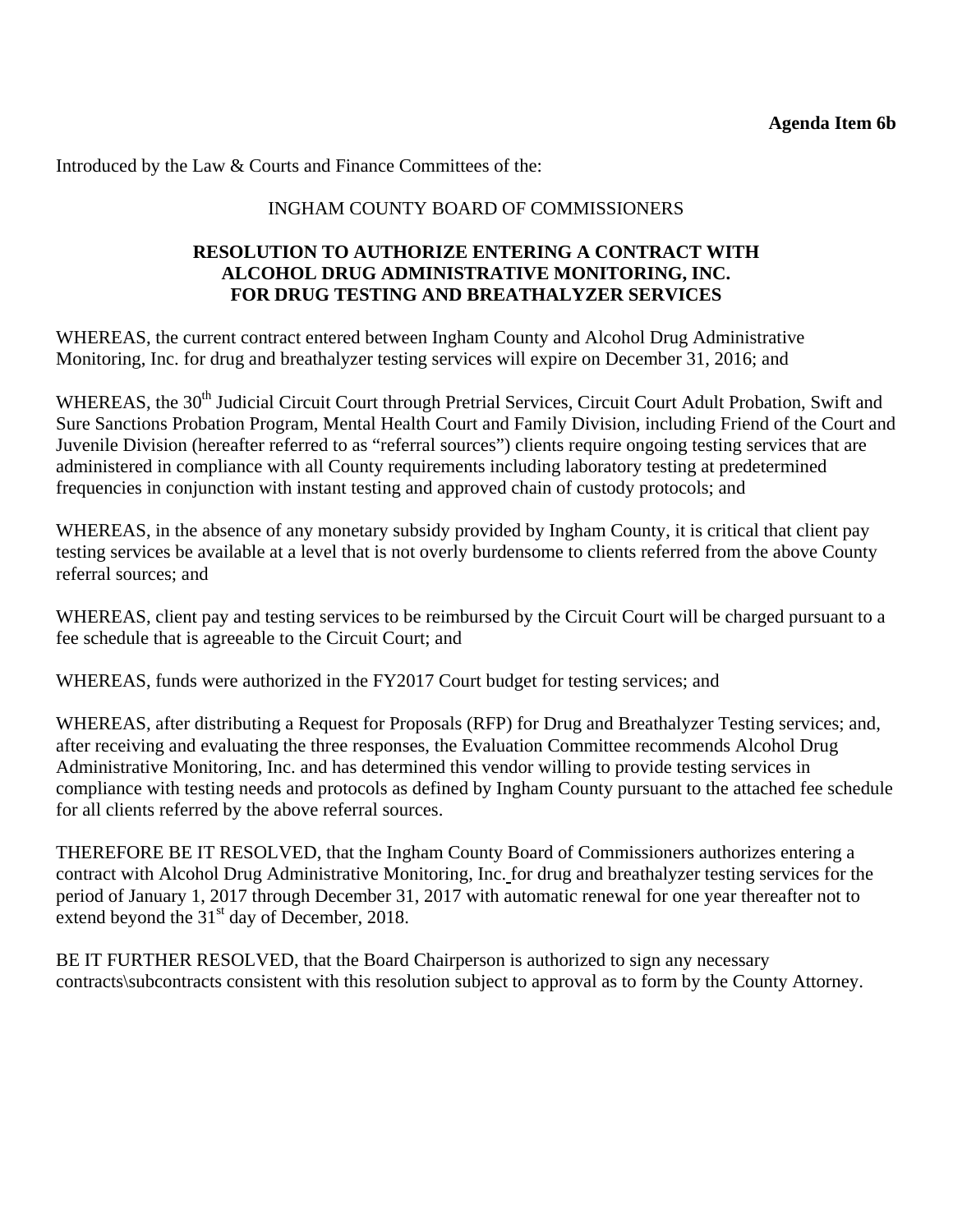Introduced by the Law & Courts and Finance Committees of the:

# INGHAM COUNTY BOARD OF COMMISSIONERS

### **RESOLUTION TO AUTHORIZE ENTERING A CONTRACT WITH ALCOHOL DRUG ADMINISTRATIVE MONITORING, INC. FOR DRUG TESTING AND BREATHALYZER SERVICES**

WHEREAS, the current contract entered between Ingham County and Alcohol Drug Administrative Monitoring, Inc. for drug and breathalyzer testing services will expire on December 31, 2016; and

WHEREAS, the 30<sup>th</sup> Judicial Circuit Court through Pretrial Services, Circuit Court Adult Probation, Swift and Sure Sanctions Probation Program, Mental Health Court and Family Division, including Friend of the Court and Juvenile Division (hereafter referred to as "referral sources") clients require ongoing testing services that are administered in compliance with all County requirements including laboratory testing at predetermined frequencies in conjunction with instant testing and approved chain of custody protocols; and

WHEREAS, in the absence of any monetary subsidy provided by Ingham County, it is critical that client pay testing services be available at a level that is not overly burdensome to clients referred from the above County referral sources; and

WHEREAS, client pay and testing services to be reimbursed by the Circuit Court will be charged pursuant to a fee schedule that is agreeable to the Circuit Court; and

WHEREAS, funds were authorized in the FY2017 Court budget for testing services; and

WHEREAS, after distributing a Request for Proposals (RFP) for Drug and Breathalyzer Testing services; and, after receiving and evaluating the three responses, the Evaluation Committee recommends Alcohol Drug Administrative Monitoring, Inc. and has determined this vendor willing to provide testing services in compliance with testing needs and protocols as defined by Ingham County pursuant to the attached fee schedule for all clients referred by the above referral sources.

THEREFORE BE IT RESOLVED, that the Ingham County Board of Commissioners authorizes entering a contract with Alcohol Drug Administrative Monitoring, Inc. for drug and breathalyzer testing services for the period of January 1, 2017 through December 31, 2017 with automatic renewal for one year thereafter not to extend beyond the  $31<sup>st</sup>$  day of December, 2018.

BE IT FURTHER RESOLVED, that the Board Chairperson is authorized to sign any necessary contracts\subcontracts consistent with this resolution subject to approval as to form by the County Attorney.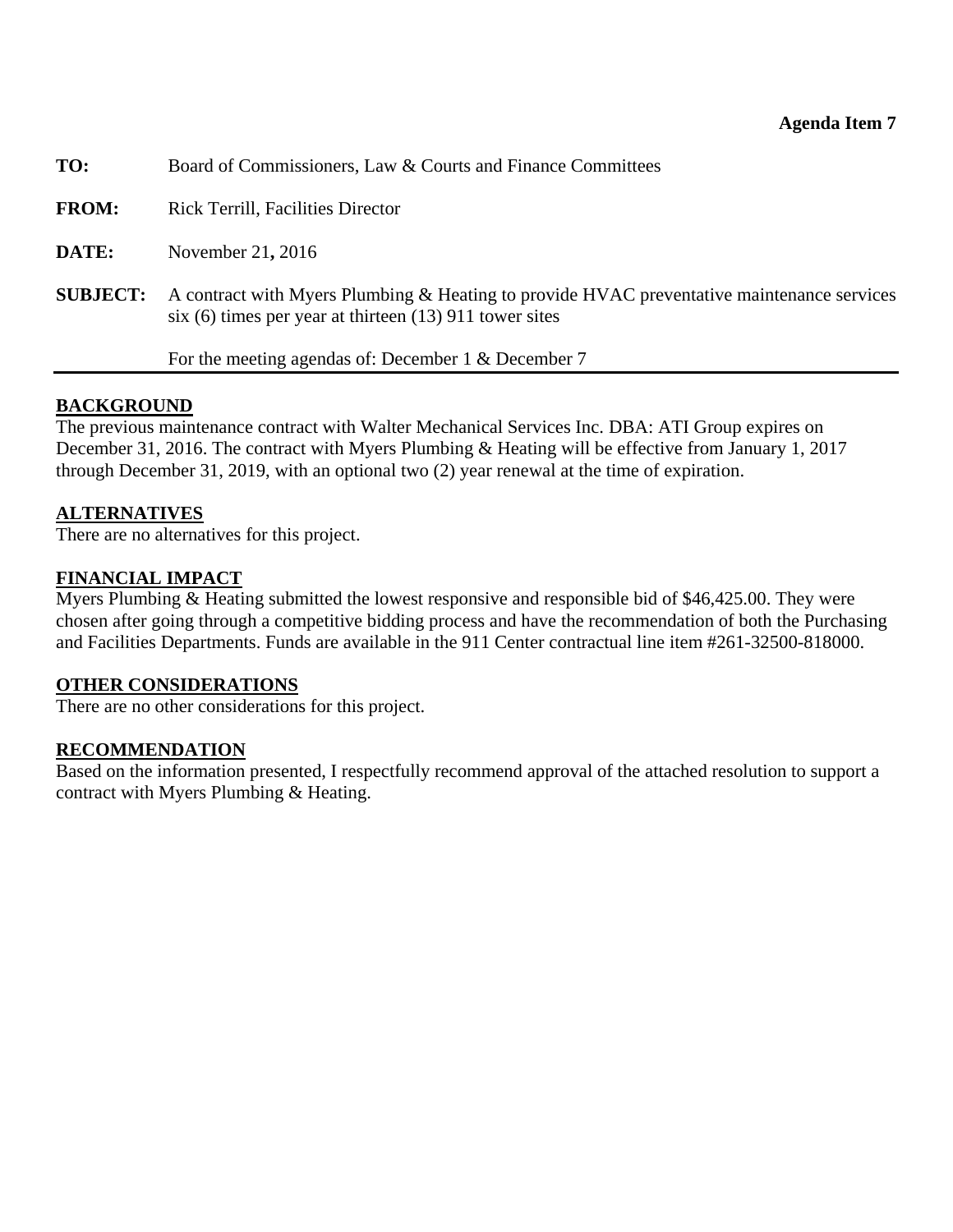<span id="page-24-0"></span>

| TO:             | Board of Commissioners, Law & Courts and Finance Committees                                                                                             |
|-----------------|---------------------------------------------------------------------------------------------------------------------------------------------------------|
| <b>FROM:</b>    | <b>Rick Terrill, Facilities Director</b>                                                                                                                |
| DATE:           | November 21, 2016                                                                                                                                       |
| <b>SUBJECT:</b> | A contract with Myers Plumbing & Heating to provide HVAC preventative maintenance services<br>six (6) times per year at thirteen $(13)$ 911 tower sites |
|                 | For the meeting agendas of: December 1 & December 7                                                                                                     |

# **BACKGROUND**

The previous maintenance contract with Walter Mechanical Services Inc. DBA: ATI Group expires on December 31, 2016. The contract with Myers Plumbing & Heating will be effective from January 1, 2017 through December 31, 2019, with an optional two (2) year renewal at the time of expiration.

# **ALTERNATIVES**

There are no alternatives for this project.

# **FINANCIAL IMPACT**

Myers Plumbing & Heating submitted the lowest responsive and responsible bid of \$46,425.00. They were chosen after going through a competitive bidding process and have the recommendation of both the Purchasing and Facilities Departments. Funds are available in the 911 Center contractual line item #261-32500-818000.

# **OTHER CONSIDERATIONS**

There are no other considerations for this project.

# **RECOMMENDATION**

Based on the information presented, I respectfully recommend approval of the attached resolution to support a contract with Myers Plumbing & Heating.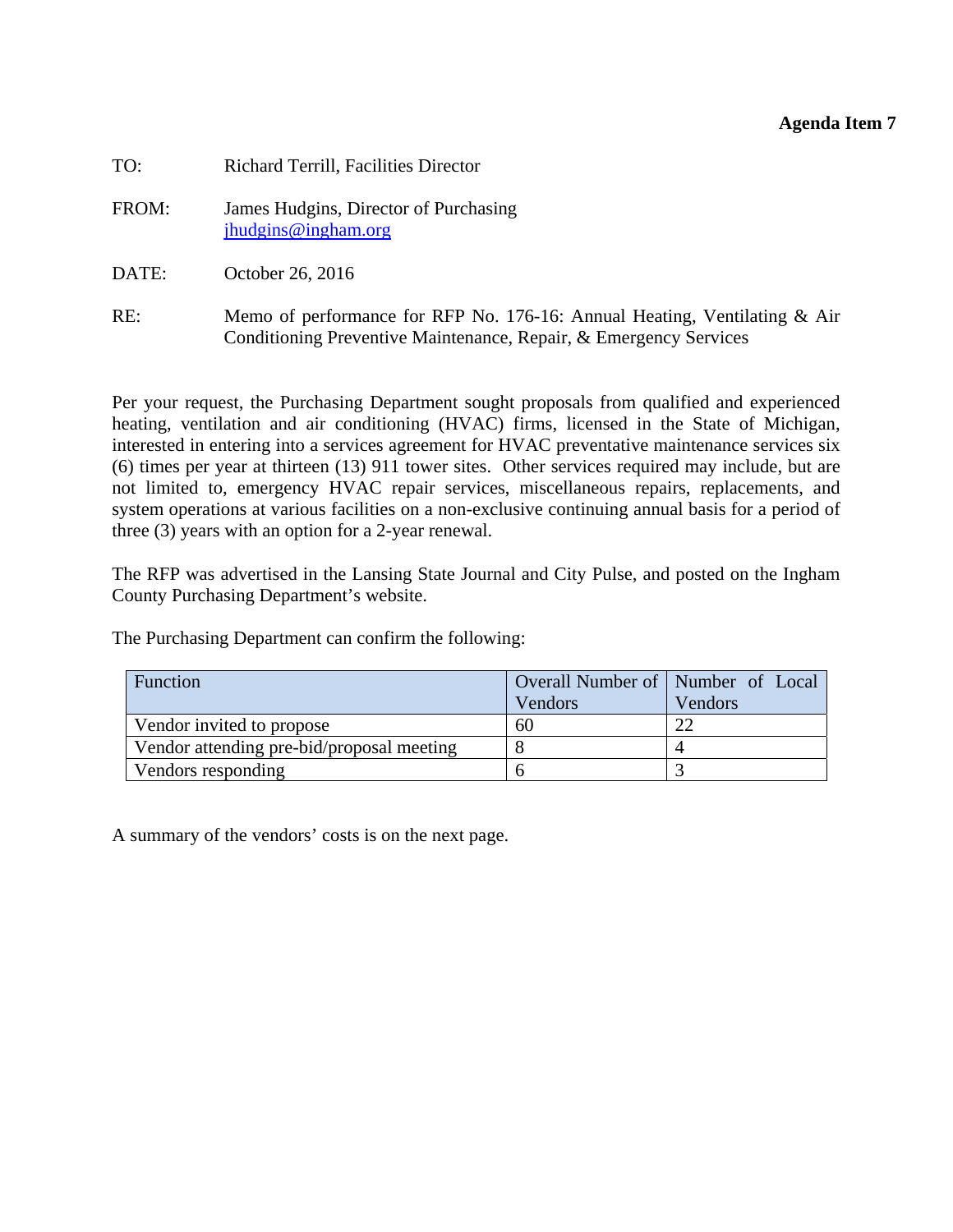### **Agenda Item 7**

| TO:   | Richard Terrill, Facilities Director                                                                                                              |
|-------|---------------------------------------------------------------------------------------------------------------------------------------------------|
| FROM: | James Hudgins, Director of Purchasing<br>jhudgins@ingham.org                                                                                      |
| DATE: | October 26, 2016                                                                                                                                  |
| RE:   | Memo of performance for RFP No. 176-16: Annual Heating, Ventilating $\&$ Air<br>Conditioning Preventive Maintenance, Repair, & Emergency Services |

Per your request, the Purchasing Department sought proposals from qualified and experienced heating, ventilation and air conditioning (HVAC) firms, licensed in the State of Michigan, interested in entering into a services agreement for HVAC preventative maintenance services six (6) times per year at thirteen (13) 911 tower sites. Other services required may include, but are not limited to, emergency HVAC repair services, miscellaneous repairs, replacements, and system operations at various facilities on a non-exclusive continuing annual basis for a period of three (3) years with an option for a 2-year renewal.

The RFP was advertised in the Lansing State Journal and City Pulse, and posted on the Ingham County Purchasing Department's website.

The Purchasing Department can confirm the following:

| Function                                  | Overall Number of   Number of Local |         |
|-------------------------------------------|-------------------------------------|---------|
|                                           | Vendors                             | Vendors |
| Vendor invited to propose                 | 60                                  |         |
| Vendor attending pre-bid/proposal meeting |                                     |         |
| Vendors responding                        |                                     |         |

A summary of the vendors' costs is on the next page.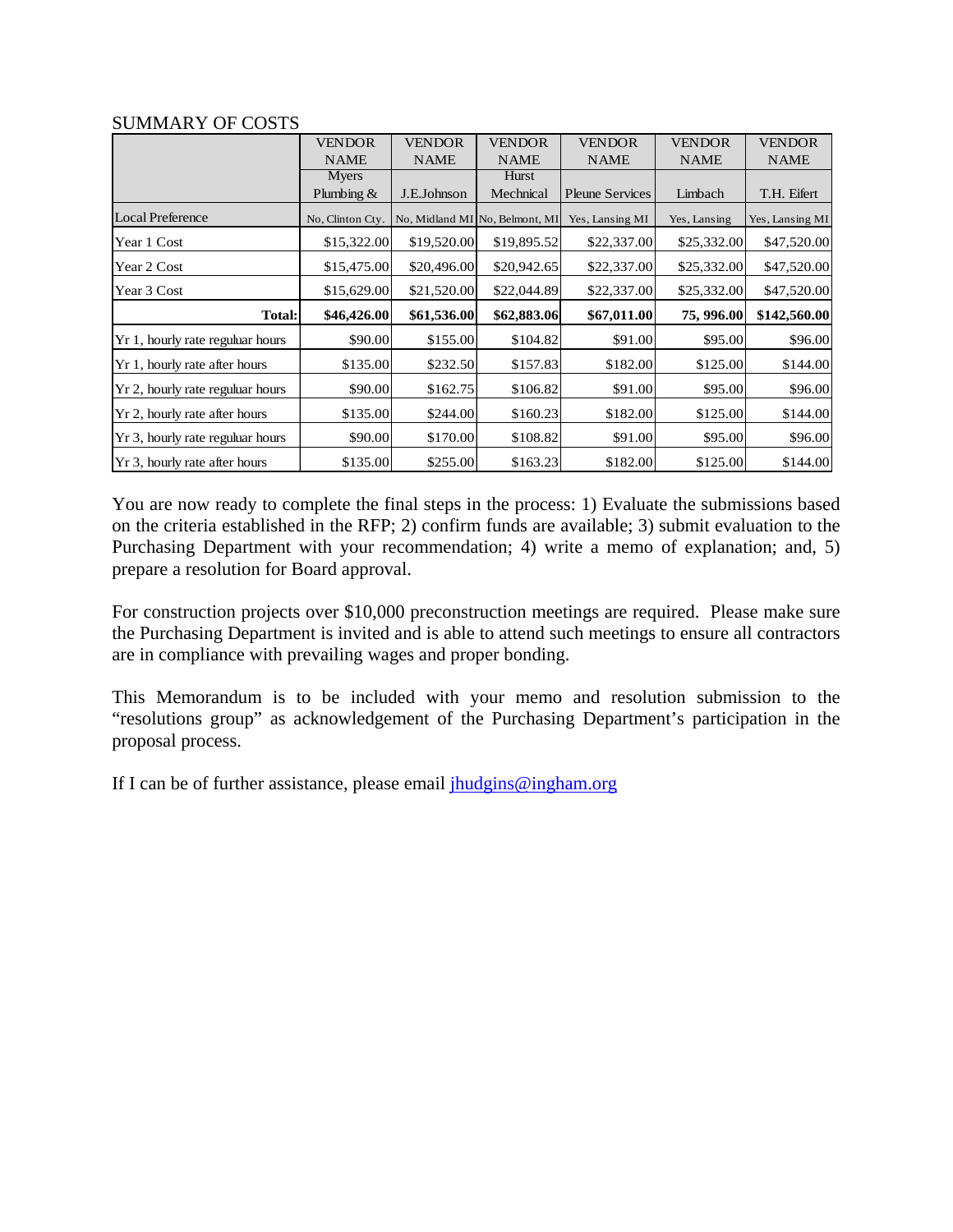|                                  | <b>VENDOR</b>    | <b>VENDOR</b> | <b>VENDOR</b>                  | <b>VENDOR</b>          | <b>VENDOR</b> | <b>VENDOR</b>   |
|----------------------------------|------------------|---------------|--------------------------------|------------------------|---------------|-----------------|
|                                  | <b>NAME</b>      | <b>NAME</b>   | <b>NAME</b>                    | <b>NAME</b>            | <b>NAME</b>   | <b>NAME</b>     |
|                                  | Myers            |               | Hurst                          |                        |               |                 |
|                                  | Plumbing $&$     | J.E.Johnson   | Mechnical                      | <b>Pleune Services</b> | Limbach       | T.H. Eifert     |
| <b>Local Preference</b>          | No, Clinton Cty. |               | No, Midland MI No, Belmont, MI | Yes, Lansing MI        | Yes, Lansing  | Yes, Lansing MI |
| Year 1 Cost                      | \$15,322.00      | \$19,520.00   | \$19,895.52                    | \$22,337.00            | \$25,332.00   | \$47,520.00     |
| Year 2 Cost                      | \$15,475.00      | \$20,496.00   | \$20,942.65                    | \$22,337.00            | \$25,332.00   | \$47,520.00     |
| Year 3 Cost                      | \$15,629.00      | \$21,520.00   | \$22,044.89                    | \$22,337.00            | \$25,332.00   | \$47,520.00     |
| Total:                           | \$46,426.00      | \$61,536.00   | \$62,883.06                    | \$67,011.00            | 75, 996.00    | \$142,560.00    |
| Yr 1, hourly rate reguluar hours | \$90.00          | \$155.00      | \$104.82                       | \$91.00                | \$95.00       | \$96.00         |
| Yr 1, hourly rate after hours    | \$135.00         | \$232.50      | \$157.83                       | \$182.00               | \$125.00      | \$144.00        |
| Yr 2, hourly rate reguluar hours | \$90.00          | \$162.75      | \$106.82                       | \$91.00                | \$95.00       | \$96.00         |
| Yr 2, hourly rate after hours    | \$135.00         | \$244.00      | \$160.23                       | \$182.00               | \$125.00      | \$144.00        |
| Yr 3, hourly rate reguluar hours | \$90.00          | \$170.00      | \$108.82                       | \$91.00                | \$95.00       | \$96.00         |
| Yr 3, hourly rate after hours    | \$135.00         | \$255.00      | \$163.23                       | \$182.00               | \$125.00      | \$144.00        |

#### SUMMARY OF COSTS

You are now ready to complete the final steps in the process: 1) Evaluate the submissions based on the criteria established in the RFP; 2) confirm funds are available; 3) submit evaluation to the Purchasing Department with your recommendation; 4) write a memo of explanation; and, 5) prepare a resolution for Board approval.

For construction projects over \$10,000 preconstruction meetings are required. Please make sure the Purchasing Department is invited and is able to attend such meetings to ensure all contractors are in compliance with prevailing wages and proper bonding.

This Memorandum is to be included with your memo and resolution submission to the "resolutions group" as acknowledgement of the Purchasing Department's participation in the proposal process.

If I can be of further assistance, please email  $\frac{1}{h}$ udgins@ingham.org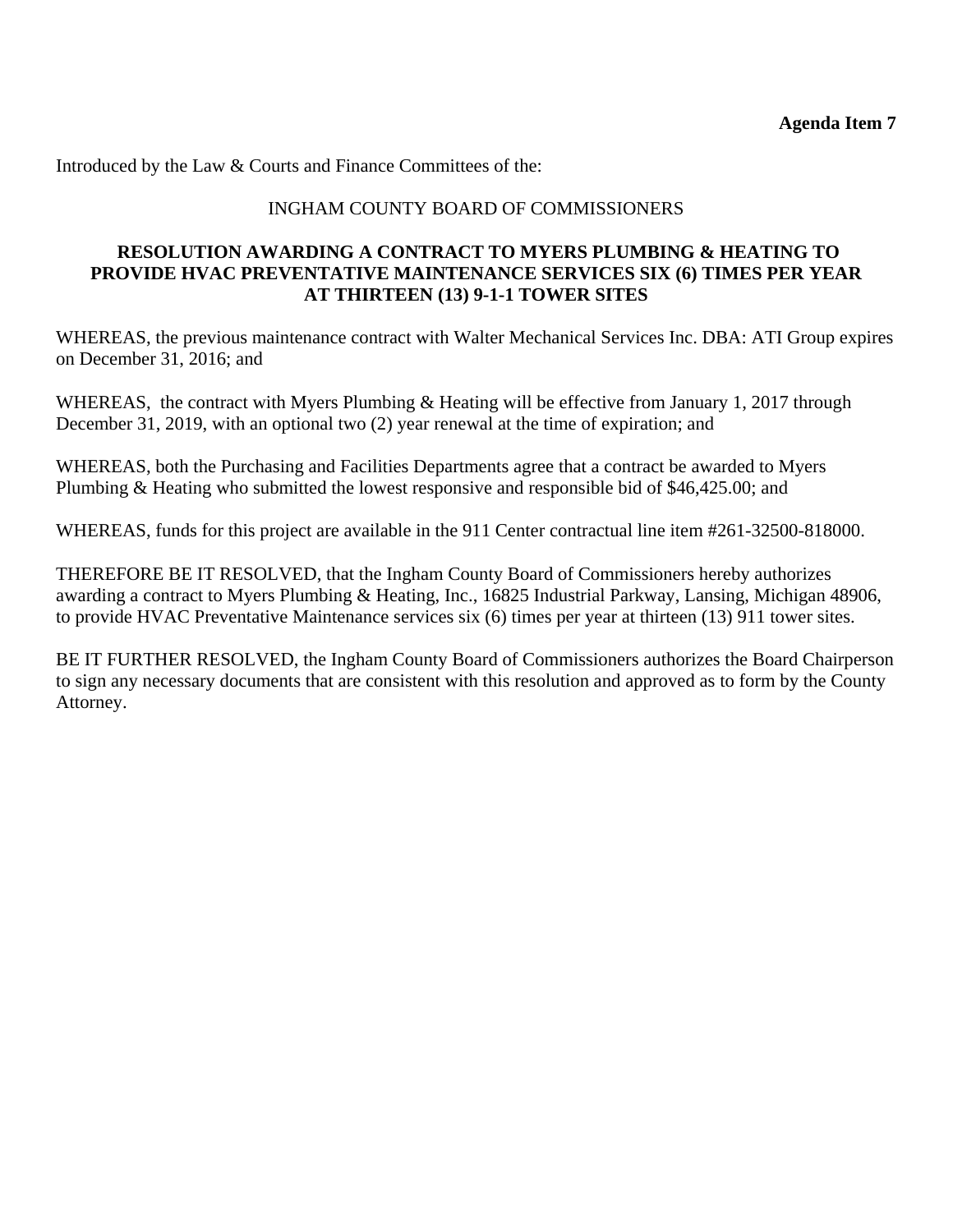Introduced by the Law & Courts and Finance Committees of the:

# INGHAM COUNTY BOARD OF COMMISSIONERS

### **RESOLUTION AWARDING A CONTRACT TO MYERS PLUMBING & HEATING TO PROVIDE HVAC PREVENTATIVE MAINTENANCE SERVICES SIX (6) TIMES PER YEAR AT THIRTEEN (13) 9-1-1 TOWER SITES**

WHEREAS, the previous maintenance contract with Walter Mechanical Services Inc. DBA: ATI Group expires on December 31, 2016; and

WHEREAS, the contract with Myers Plumbing & Heating will be effective from January 1, 2017 through December 31, 2019, with an optional two (2) year renewal at the time of expiration; and

WHEREAS, both the Purchasing and Facilities Departments agree that a contract be awarded to Myers Plumbing & Heating who submitted the lowest responsive and responsible bid of \$46,425.00; and

WHEREAS, funds for this project are available in the 911 Center contractual line item #261-32500-818000.

THEREFORE BE IT RESOLVED, that the Ingham County Board of Commissioners hereby authorizes awarding a contract to Myers Plumbing & Heating, Inc., 16825 Industrial Parkway, Lansing, Michigan 48906, to provide HVAC Preventative Maintenance services six (6) times per year at thirteen (13) 911 tower sites.

BE IT FURTHER RESOLVED, the Ingham County Board of Commissioners authorizes the Board Chairperson to sign any necessary documents that are consistent with this resolution and approved as to form by the County Attorney.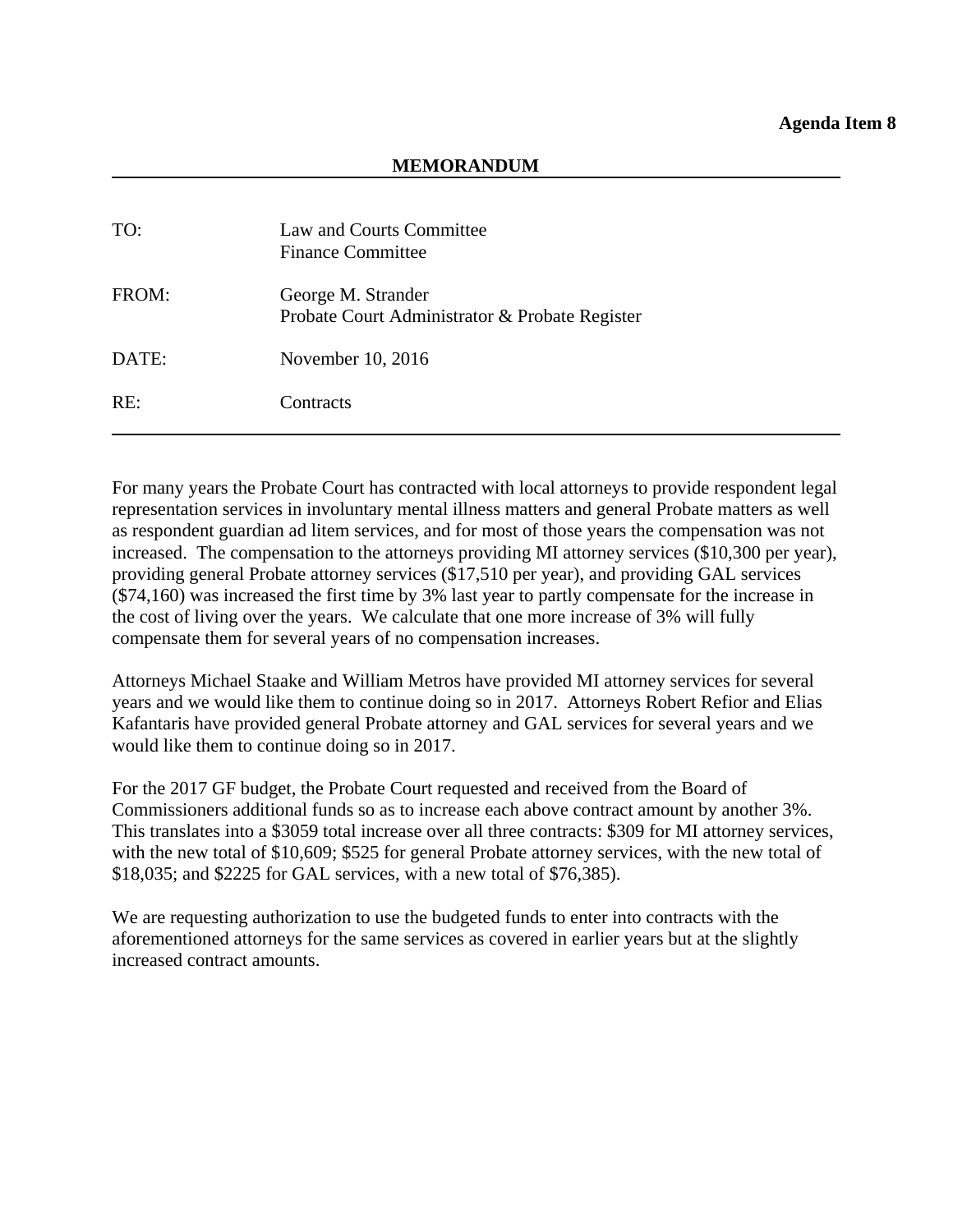<span id="page-28-0"></span>

| TO:   | Law and Courts Committee<br><b>Finance Committee</b>                 |
|-------|----------------------------------------------------------------------|
| FROM: | George M. Strander<br>Probate Court Administrator & Probate Register |
| DATE: | November 10, 2016                                                    |
| RE:   | Contracts                                                            |

For many years the Probate Court has contracted with local attorneys to provide respondent legal representation services in involuntary mental illness matters and general Probate matters as well as respondent guardian ad litem services, and for most of those years the compensation was not increased. The compensation to the attorneys providing MI attorney services (\$10,300 per year), providing general Probate attorney services (\$17,510 per year), and providing GAL services (\$74,160) was increased the first time by 3% last year to partly compensate for the increase in the cost of living over the years. We calculate that one more increase of 3% will fully compensate them for several years of no compensation increases.

Attorneys Michael Staake and William Metros have provided MI attorney services for several years and we would like them to continue doing so in 2017. Attorneys Robert Refior and Elias Kafantaris have provided general Probate attorney and GAL services for several years and we would like them to continue doing so in 2017.

For the 2017 GF budget, the Probate Court requested and received from the Board of Commissioners additional funds so as to increase each above contract amount by another 3%. This translates into a \$3059 total increase over all three contracts: \$309 for MI attorney services, with the new total of \$10,609; \$525 for general Probate attorney services, with the new total of \$18,035; and \$2225 for GAL services, with a new total of \$76,385).

We are requesting authorization to use the budgeted funds to enter into contracts with the aforementioned attorneys for the same services as covered in earlier years but at the slightly increased contract amounts.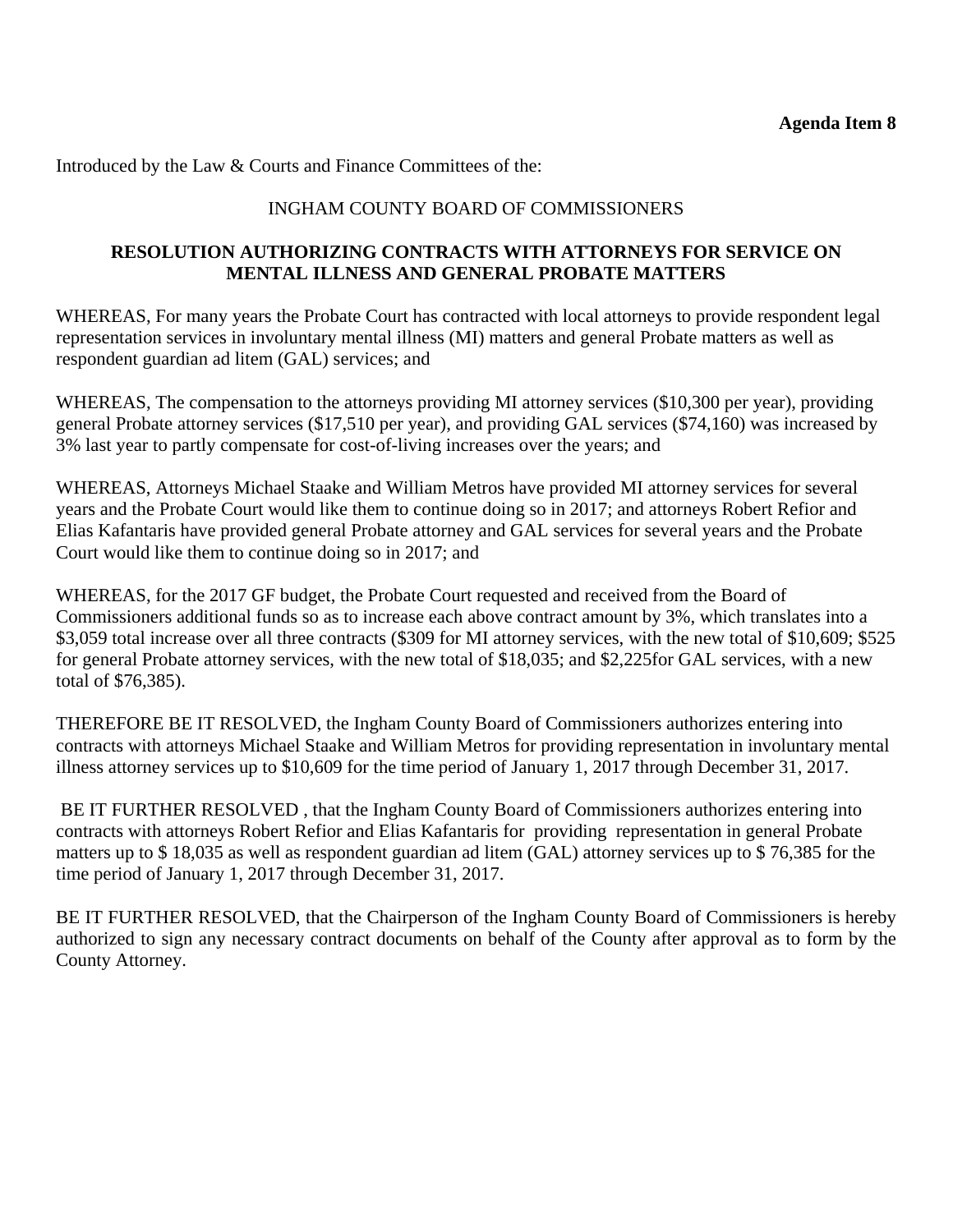Introduced by the Law & Courts and Finance Committees of the:

# INGHAM COUNTY BOARD OF COMMISSIONERS

# **RESOLUTION AUTHORIZING CONTRACTS WITH ATTORNEYS FOR SERVICE ON MENTAL ILLNESS AND GENERAL PROBATE MATTERS**

WHEREAS, For many years the Probate Court has contracted with local attorneys to provide respondent legal representation services in involuntary mental illness (MI) matters and general Probate matters as well as respondent guardian ad litem (GAL) services; and

WHEREAS, The compensation to the attorneys providing MI attorney services (\$10,300 per year), providing general Probate attorney services (\$17,510 per year), and providing GAL services (\$74,160) was increased by 3% last year to partly compensate for cost-of-living increases over the years; and

WHEREAS, Attorneys Michael Staake and William Metros have provided MI attorney services for several years and the Probate Court would like them to continue doing so in 2017; and attorneys Robert Refior and Elias Kafantaris have provided general Probate attorney and GAL services for several years and the Probate Court would like them to continue doing so in 2017; and

WHEREAS, for the 2017 GF budget, the Probate Court requested and received from the Board of Commissioners additional funds so as to increase each above contract amount by 3%, which translates into a \$3,059 total increase over all three contracts (\$309 for MI attorney services, with the new total of \$10,609; \$525 for general Probate attorney services, with the new total of \$18,035; and \$2,225for GAL services, with a new total of \$76,385).

THEREFORE BE IT RESOLVED, the Ingham County Board of Commissioners authorizes entering into contracts with attorneys Michael Staake and William Metros for providing representation in involuntary mental illness attorney services up to \$10,609 for the time period of January 1, 2017 through December 31, 2017.

 BE IT FURTHER RESOLVED , that the Ingham County Board of Commissioners authorizes entering into contracts with attorneys Robert Refior and Elias Kafantaris for providing representation in general Probate matters up to \$ 18,035 as well as respondent guardian ad litem (GAL) attorney services up to \$ 76,385 for the time period of January 1, 2017 through December 31, 2017.

BE IT FURTHER RESOLVED, that the Chairperson of the Ingham County Board of Commissioners is hereby authorized to sign any necessary contract documents on behalf of the County after approval as to form by the County Attorney.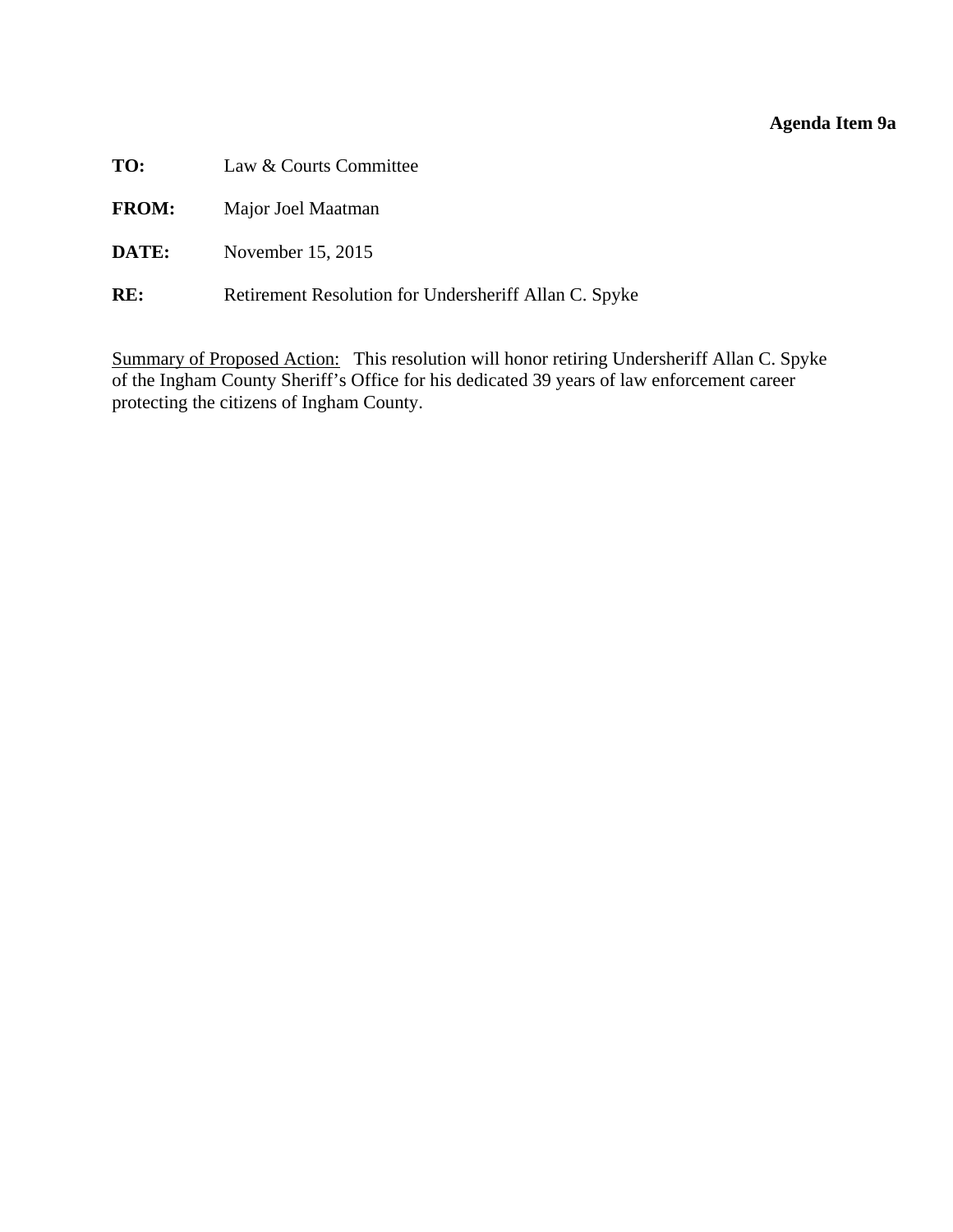# **Agenda Item 9a**

<span id="page-30-0"></span>

| TO: | Law & Courts Committee |  |
|-----|------------------------|--|
|-----|------------------------|--|

- **FROM:** Major Joel Maatman
- **DATE:** November 15, 2015
- **RE:** Retirement Resolution for Undersheriff Allan C. Spyke

Summary of Proposed Action: This resolution will honor retiring Undersheriff Allan C. Spyke of the Ingham County Sheriff's Office for his dedicated 39 years of law enforcement career protecting the citizens of Ingham County.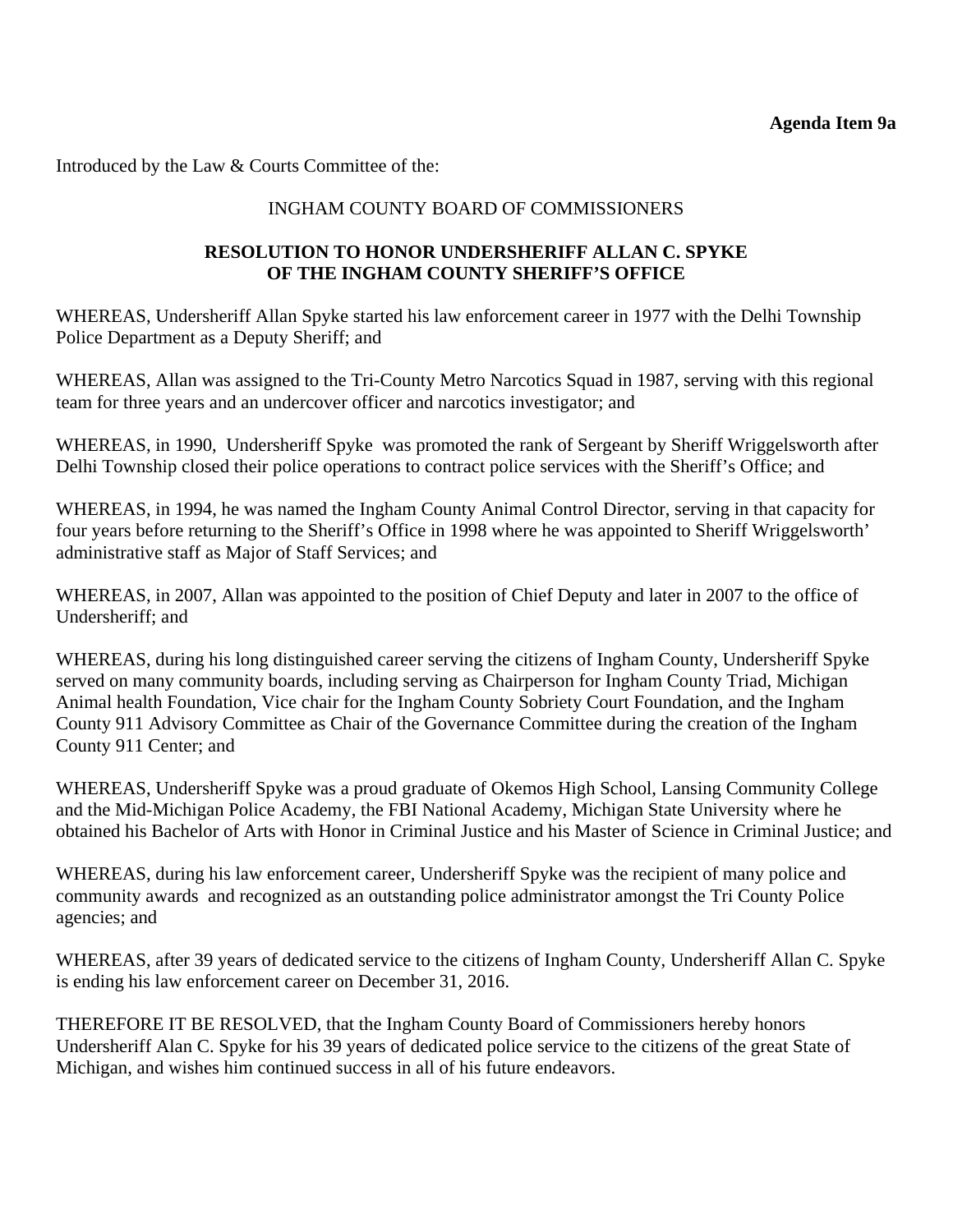Introduced by the Law & Courts Committee of the:

# INGHAM COUNTY BOARD OF COMMISSIONERS

# **RESOLUTION TO HONOR UNDERSHERIFF ALLAN C. SPYKE OF THE INGHAM COUNTY SHERIFF'S OFFICE**

WHEREAS, Undersheriff Allan Spyke started his law enforcement career in 1977 with the Delhi Township Police Department as a Deputy Sheriff; and

WHEREAS, Allan was assigned to the Tri-County Metro Narcotics Squad in 1987, serving with this regional team for three years and an undercover officer and narcotics investigator; and

WHEREAS, in 1990, Undersheriff Spyke was promoted the rank of Sergeant by Sheriff Wriggelsworth after Delhi Township closed their police operations to contract police services with the Sheriff's Office; and

WHEREAS, in 1994, he was named the Ingham County Animal Control Director, serving in that capacity for four years before returning to the Sheriff's Office in 1998 where he was appointed to Sheriff Wriggelsworth' administrative staff as Major of Staff Services; and

WHEREAS, in 2007, Allan was appointed to the position of Chief Deputy and later in 2007 to the office of Undersheriff; and

WHEREAS, during his long distinguished career serving the citizens of Ingham County, Undersheriff Spyke served on many community boards, including serving as Chairperson for Ingham County Triad, Michigan Animal health Foundation, Vice chair for the Ingham County Sobriety Court Foundation, and the Ingham County 911 Advisory Committee as Chair of the Governance Committee during the creation of the Ingham County 911 Center; and

WHEREAS, Undersheriff Spyke was a proud graduate of Okemos High School, Lansing Community College and the Mid-Michigan Police Academy, the FBI National Academy, Michigan State University where he obtained his Bachelor of Arts with Honor in Criminal Justice and his Master of Science in Criminal Justice; and

WHEREAS, during his law enforcement career, Undersheriff Spyke was the recipient of many police and community awards and recognized as an outstanding police administrator amongst the Tri County Police agencies; and

WHEREAS, after 39 years of dedicated service to the citizens of Ingham County, Undersheriff Allan C. Spyke is ending his law enforcement career on December 31, 2016.

THEREFORE IT BE RESOLVED, that the Ingham County Board of Commissioners hereby honors Undersheriff Alan C. Spyke for his 39 years of dedicated police service to the citizens of the great State of Michigan, and wishes him continued success in all of his future endeavors.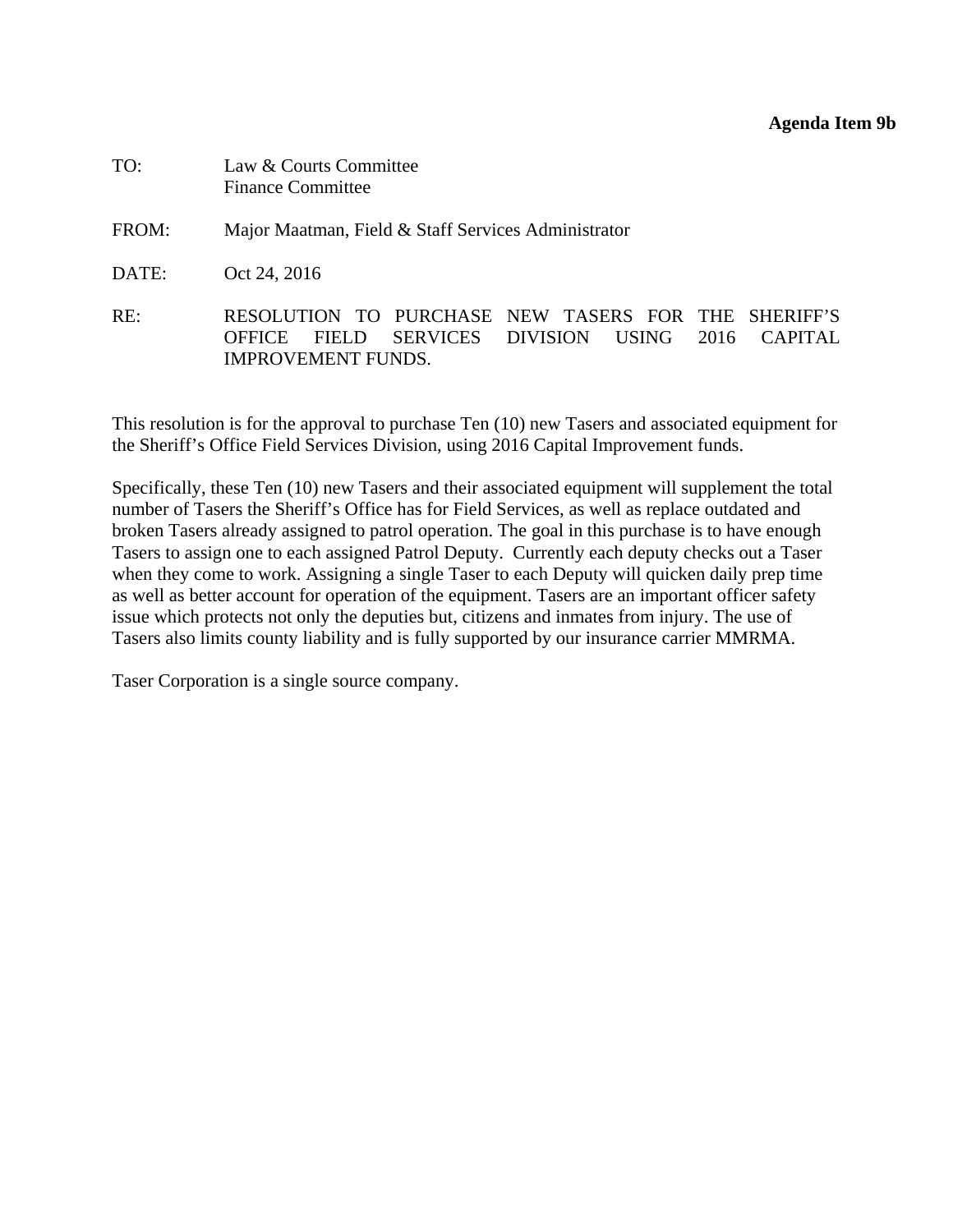#### **Agenda Item 9b**

<span id="page-32-0"></span>

| TO:   | Law & Courts Committee<br><b>Finance Committee</b>                                                                                                                        |
|-------|---------------------------------------------------------------------------------------------------------------------------------------------------------------------------|
| FROM: | Major Maatman, Field & Staff Services Administrator                                                                                                                       |
| DATE: | Oct 24, 2016                                                                                                                                                              |
| RE:   | RESOLUTION TO PURCHASE NEW TASERS FOR THE SHERIFF'S<br>SERVICES DIVISION<br>USING<br>2016<br><b>OFFICE</b><br><b>FIELD</b><br><b>CAPITAL</b><br><b>IMPROVEMENT FUNDS.</b> |

This resolution is for the approval to purchase Ten (10) new Tasers and associated equipment for the Sheriff's Office Field Services Division, using 2016 Capital Improvement funds.

Specifically, these Ten (10) new Tasers and their associated equipment will supplement the total number of Tasers the Sheriff's Office has for Field Services, as well as replace outdated and broken Tasers already assigned to patrol operation. The goal in this purchase is to have enough Tasers to assign one to each assigned Patrol Deputy. Currently each deputy checks out a Taser when they come to work. Assigning a single Taser to each Deputy will quicken daily prep time as well as better account for operation of the equipment. Tasers are an important officer safety issue which protects not only the deputies but, citizens and inmates from injury. The use of Tasers also limits county liability and is fully supported by our insurance carrier MMRMA.

Taser Corporation is a single source company.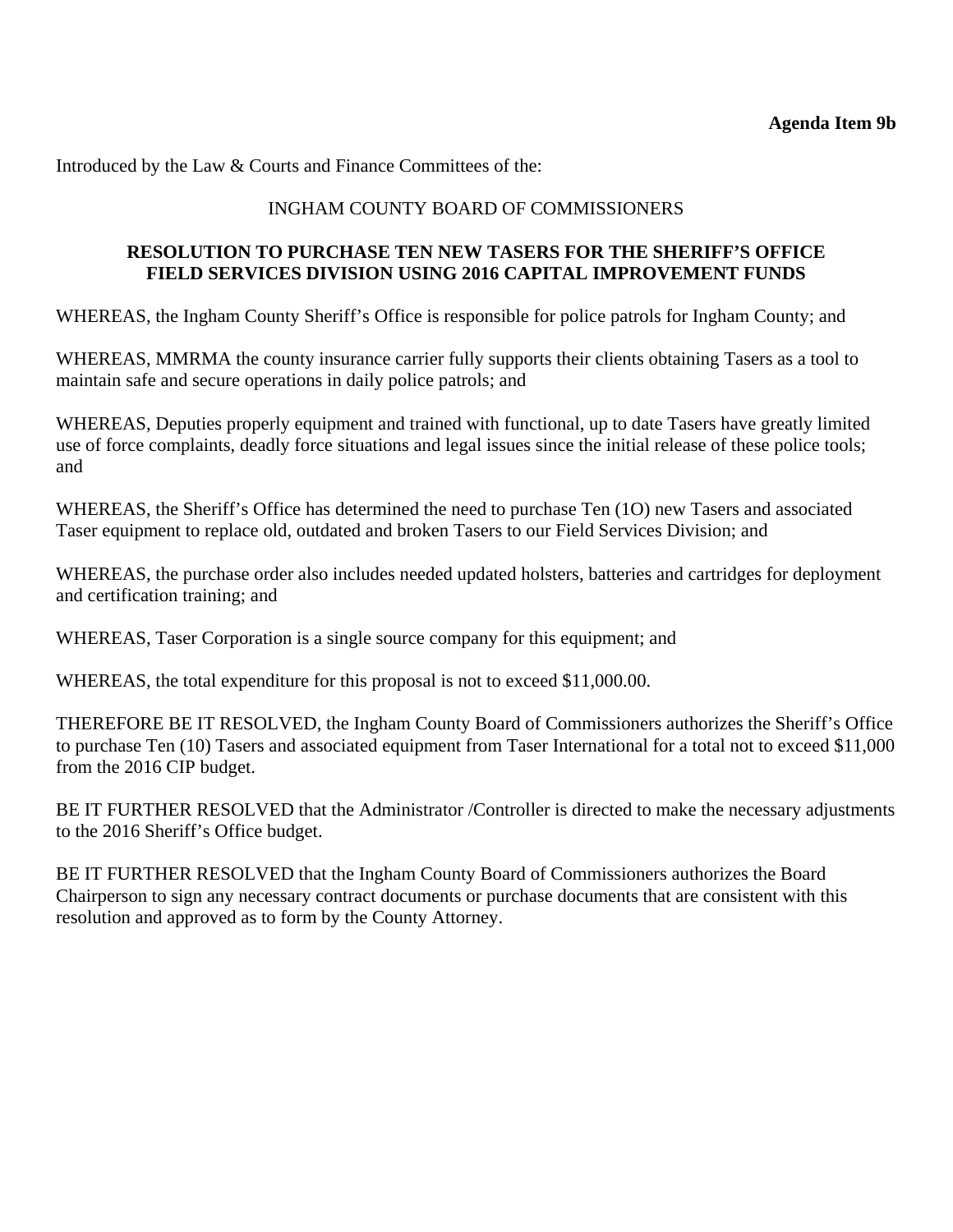Introduced by the Law & Courts and Finance Committees of the:

# INGHAM COUNTY BOARD OF COMMISSIONERS

# **RESOLUTION TO PURCHASE TEN NEW TASERS FOR THE SHERIFF'S OFFICE FIELD SERVICES DIVISION USING 2016 CAPITAL IMPROVEMENT FUNDS**

WHEREAS, the Ingham County Sheriff's Office is responsible for police patrols for Ingham County; and

WHEREAS, MMRMA the county insurance carrier fully supports their clients obtaining Tasers as a tool to maintain safe and secure operations in daily police patrols; and

WHEREAS, Deputies properly equipment and trained with functional, up to date Tasers have greatly limited use of force complaints, deadly force situations and legal issues since the initial release of these police tools; and

WHEREAS, the Sheriff's Office has determined the need to purchase Ten (1O) new Tasers and associated Taser equipment to replace old, outdated and broken Tasers to our Field Services Division; and

WHEREAS, the purchase order also includes needed updated holsters, batteries and cartridges for deployment and certification training; and

WHEREAS, Taser Corporation is a single source company for this equipment; and

WHEREAS, the total expenditure for this proposal is not to exceed \$11,000.00.

THEREFORE BE IT RESOLVED, the Ingham County Board of Commissioners authorizes the Sheriff's Office to purchase Ten (10) Tasers and associated equipment from Taser International for a total not to exceed \$11,000 from the 2016 CIP budget.

BE IT FURTHER RESOLVED that the Administrator /Controller is directed to make the necessary adjustments to the 2016 Sheriff's Office budget.

BE IT FURTHER RESOLVED that the Ingham County Board of Commissioners authorizes the Board Chairperson to sign any necessary contract documents or purchase documents that are consistent with this resolution and approved as to form by the County Attorney.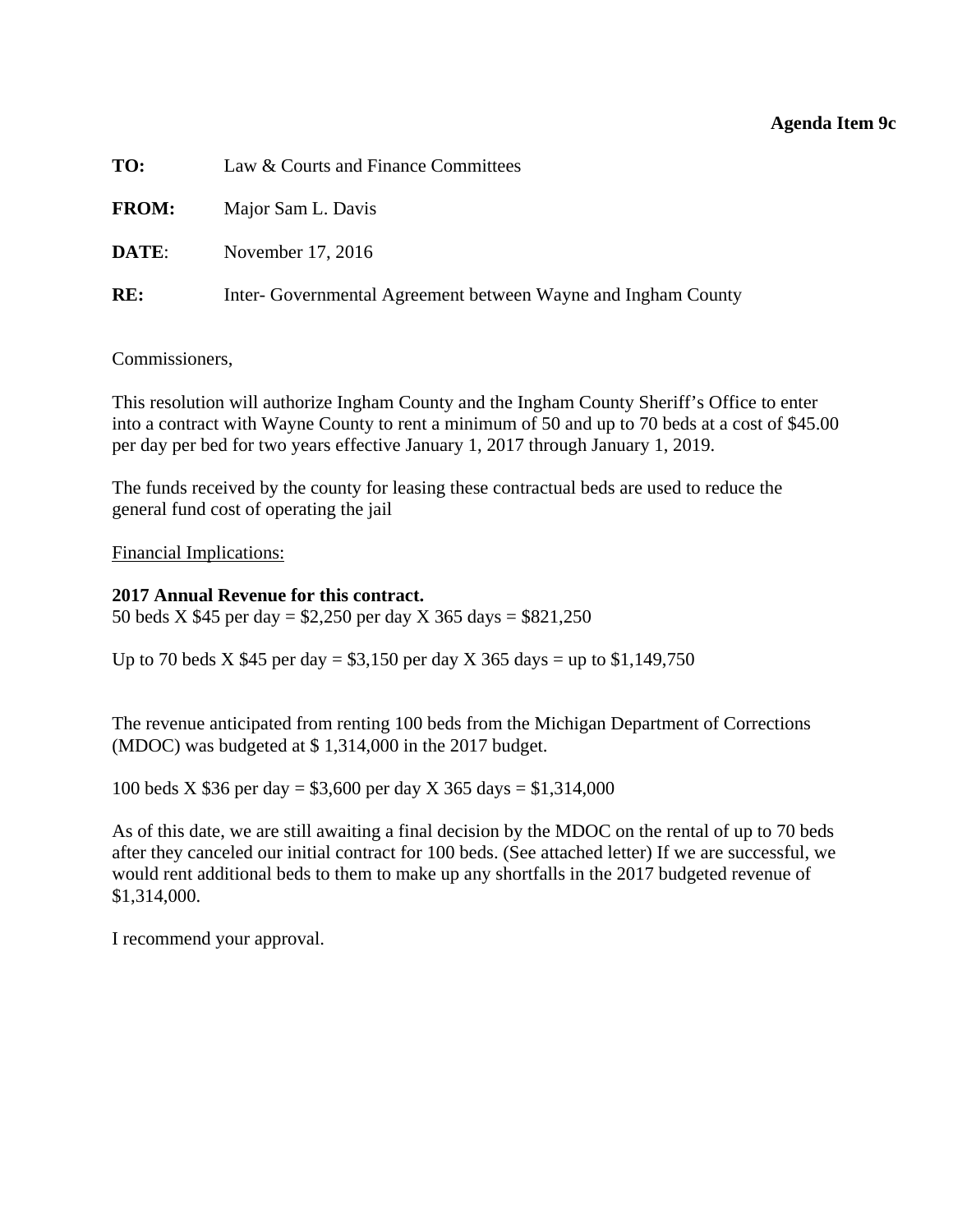#### **Agenda Item 9c**

<span id="page-34-0"></span>

| TO:          | Law & Courts and Finance Committees                           |
|--------------|---------------------------------------------------------------|
| <b>FROM:</b> | Major Sam L. Davis                                            |
| DATE:        | November 17, 2016                                             |
| RE:          | Inter- Governmental Agreement between Wayne and Ingham County |

Commissioners,

This resolution will authorize Ingham County and the Ingham County Sheriff's Office to enter into a contract with Wayne County to rent a minimum of 50 and up to 70 beds at a cost of \$45.00 per day per bed for two years effective January 1, 2017 through January 1, 2019.

The funds received by the county for leasing these contractual beds are used to reduce the general fund cost of operating the jail

Financial Implications:

#### **2017 Annual Revenue for this contract.**

50 beds X \$45 per day = \$2,250 per day X 365 days = \$821,250

Up to 70 beds X  $$45$  per day =  $$3,150$  per day X 365 days = up to  $$1,149,750$ 

The revenue anticipated from renting 100 beds from the Michigan Department of Corrections (MDOC) was budgeted at \$ 1,314,000 in the 2017 budget.

100 beds X \$36 per day = \$3,600 per day X 365 days = \$1,314,000

As of this date, we are still awaiting a final decision by the MDOC on the rental of up to 70 beds after they canceled our initial contract for 100 beds. (See attached letter) If we are successful, we would rent additional beds to them to make up any shortfalls in the 2017 budgeted revenue of \$1,314,000.

I recommend your approval.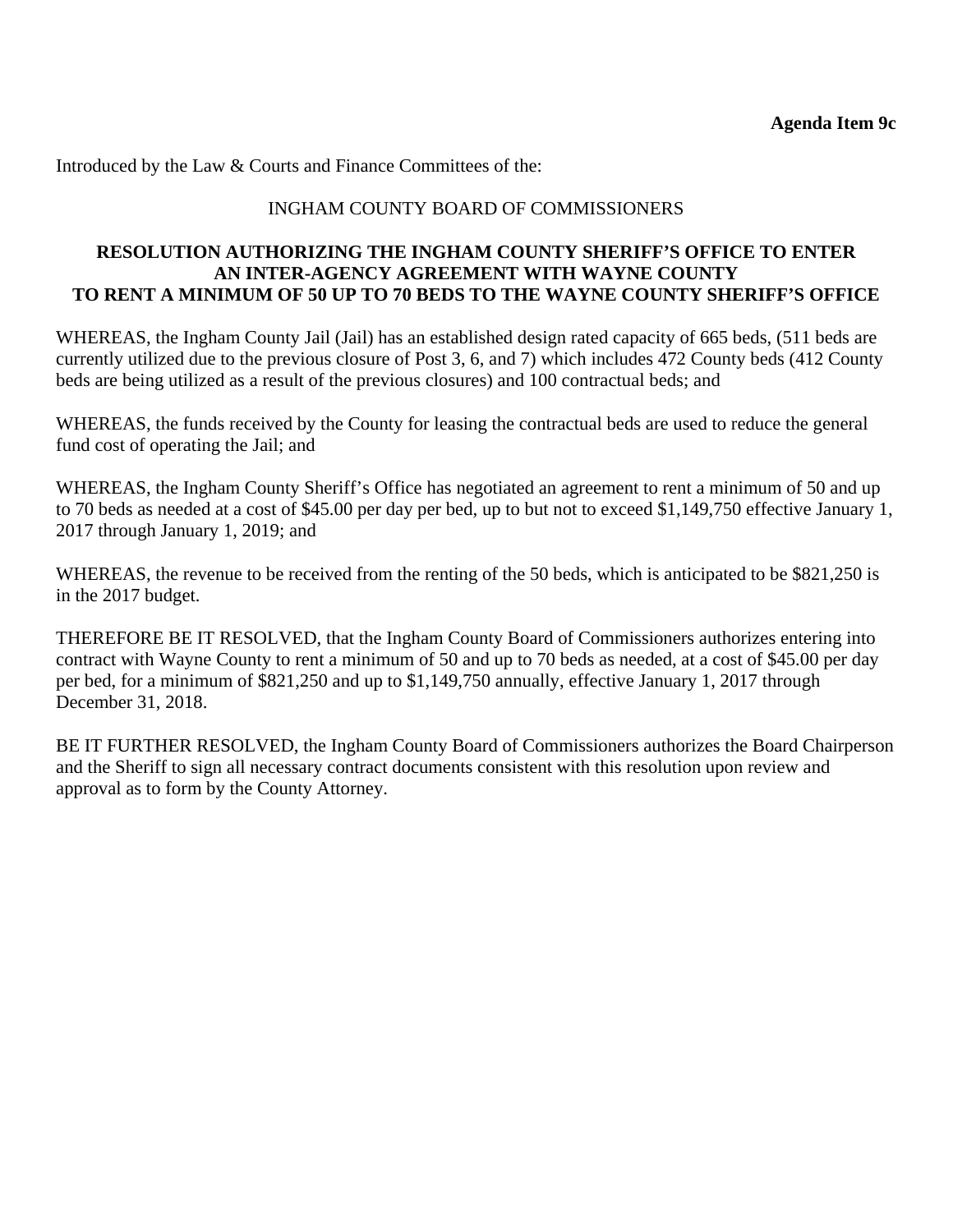Introduced by the Law & Courts and Finance Committees of the:

# INGHAM COUNTY BOARD OF COMMISSIONERS

### **RESOLUTION AUTHORIZING THE INGHAM COUNTY SHERIFF'S OFFICE TO ENTER AN INTER-AGENCY AGREEMENT WITH WAYNE COUNTY TO RENT A MINIMUM OF 50 UP TO 70 BEDS TO THE WAYNE COUNTY SHERIFF'S OFFICE**

WHEREAS, the Ingham County Jail (Jail) has an established design rated capacity of 665 beds, (511 beds are currently utilized due to the previous closure of Post 3, 6, and 7) which includes 472 County beds (412 County beds are being utilized as a result of the previous closures) and 100 contractual beds; and

WHEREAS, the funds received by the County for leasing the contractual beds are used to reduce the general fund cost of operating the Jail; and

WHEREAS, the Ingham County Sheriff's Office has negotiated an agreement to rent a minimum of 50 and up to 70 beds as needed at a cost of \$45.00 per day per bed, up to but not to exceed \$1,149,750 effective January 1, 2017 through January 1, 2019; and

WHEREAS, the revenue to be received from the renting of the 50 beds, which is anticipated to be \$821,250 is in the 2017 budget.

THEREFORE BE IT RESOLVED, that the Ingham County Board of Commissioners authorizes entering into contract with Wayne County to rent a minimum of 50 and up to 70 beds as needed, at a cost of \$45.00 per day per bed, for a minimum of \$821,250 and up to \$1,149,750 annually, effective January 1, 2017 through December 31, 2018.

BE IT FURTHER RESOLVED, the Ingham County Board of Commissioners authorizes the Board Chairperson and the Sheriff to sign all necessary contract documents consistent with this resolution upon review and approval as to form by the County Attorney.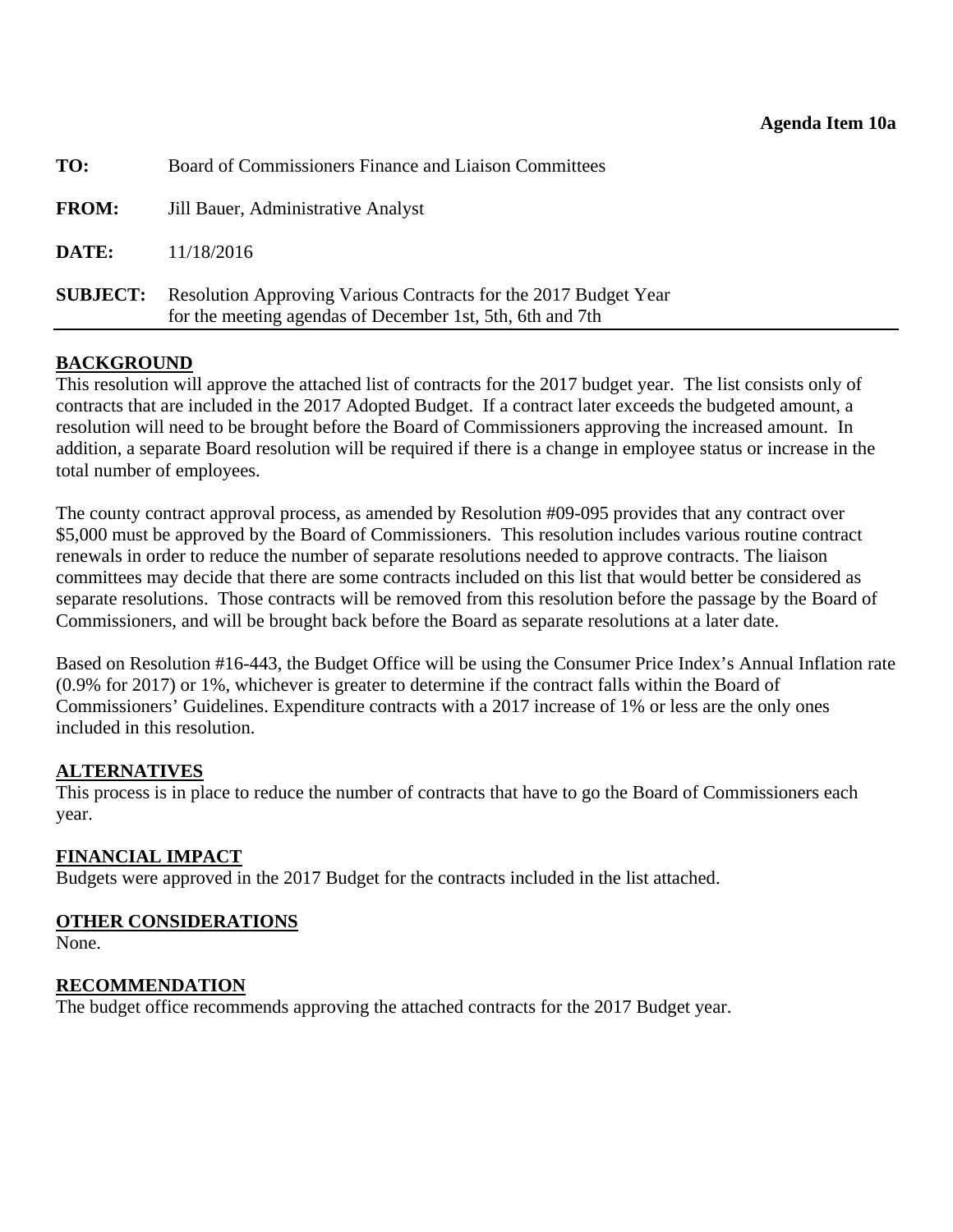<span id="page-36-0"></span>

| <b>SUBJECT:</b> | Resolution Approving Various Contracts for the 2017 Budget Year<br>for the meeting agendas of December 1st, 5th, 6th and 7th |
|-----------------|------------------------------------------------------------------------------------------------------------------------------|
| DATE:           | 11/18/2016                                                                                                                   |
| <b>FROM:</b>    | Jill Bauer, Administrative Analyst                                                                                           |
| TO:             | Board of Commissioners Finance and Liaison Committees                                                                        |

### **BACKGROUND**

This resolution will approve the attached list of contracts for the 2017 budget year. The list consists only of contracts that are included in the 2017 Adopted Budget. If a contract later exceeds the budgeted amount, a resolution will need to be brought before the Board of Commissioners approving the increased amount. In addition, a separate Board resolution will be required if there is a change in employee status or increase in the total number of employees.

The county contract approval process, as amended by Resolution #09-095 provides that any contract over \$5,000 must be approved by the Board of Commissioners. This resolution includes various routine contract renewals in order to reduce the number of separate resolutions needed to approve contracts. The liaison committees may decide that there are some contracts included on this list that would better be considered as separate resolutions. Those contracts will be removed from this resolution before the passage by the Board of Commissioners, and will be brought back before the Board as separate resolutions at a later date.

Based on Resolution #16-443, the Budget Office will be using the Consumer Price Index's Annual Inflation rate (0.9% for 2017) or 1%, whichever is greater to determine if the contract falls within the Board of Commissioners' Guidelines. Expenditure contracts with a 2017 increase of 1% or less are the only ones included in this resolution.

#### **ALTERNATIVES**

This process is in place to reduce the number of contracts that have to go the Board of Commissioners each year.

#### **FINANCIAL IMPACT**

Budgets were approved in the 2017 Budget for the contracts included in the list attached.

#### **OTHER CONSIDERATIONS**

None.

# **RECOMMENDATION**

The budget office recommends approving the attached contracts for the 2017 Budget year.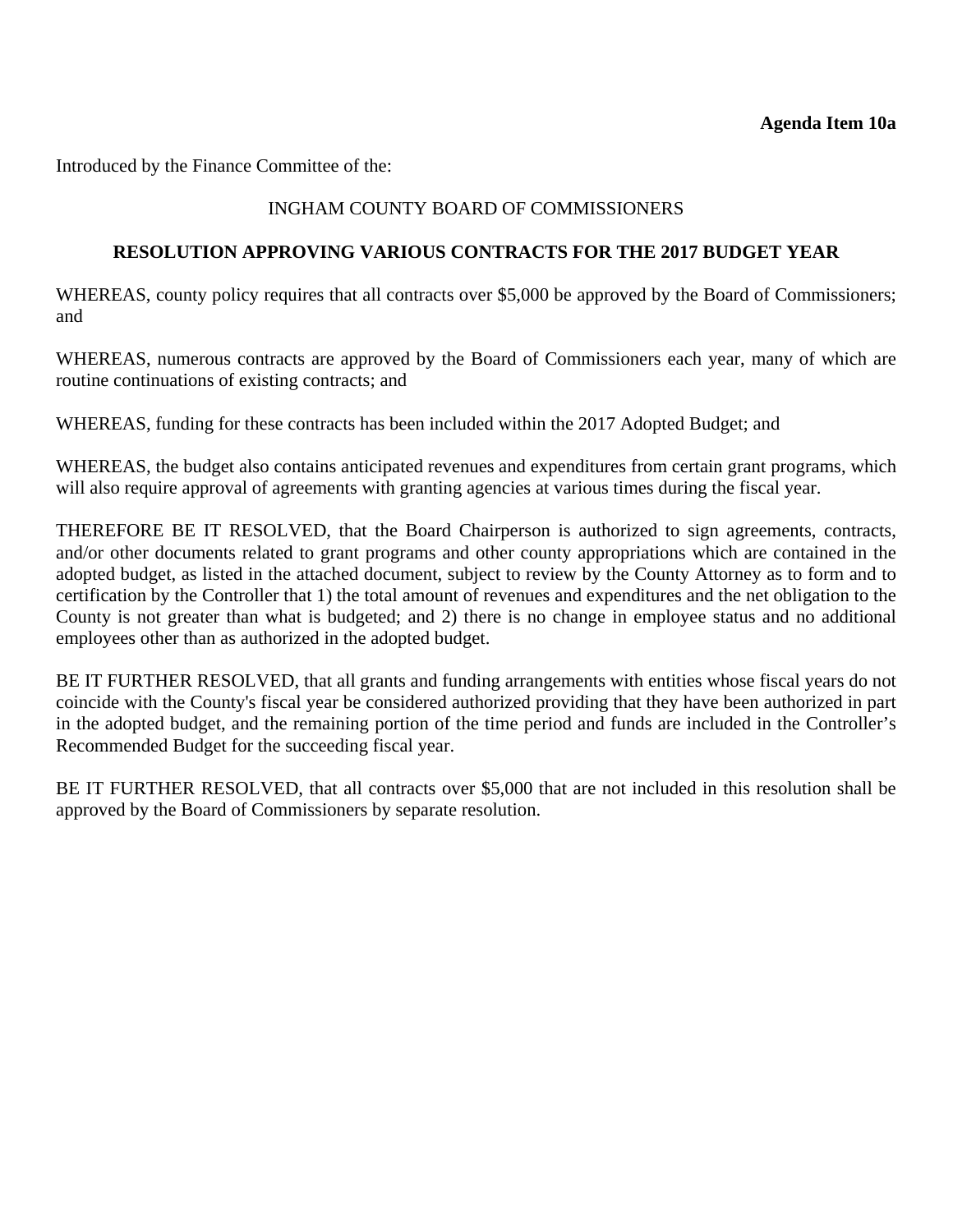Introduced by the Finance Committee of the:

# INGHAM COUNTY BOARD OF COMMISSIONERS

#### **RESOLUTION APPROVING VARIOUS CONTRACTS FOR THE 2017 BUDGET YEAR**

WHEREAS, county policy requires that all contracts over \$5,000 be approved by the Board of Commissioners; and

WHEREAS, numerous contracts are approved by the Board of Commissioners each year, many of which are routine continuations of existing contracts; and

WHEREAS, funding for these contracts has been included within the 2017 Adopted Budget; and

WHEREAS, the budget also contains anticipated revenues and expenditures from certain grant programs, which will also require approval of agreements with granting agencies at various times during the fiscal year.

THEREFORE BE IT RESOLVED, that the Board Chairperson is authorized to sign agreements, contracts, and/or other documents related to grant programs and other county appropriations which are contained in the adopted budget, as listed in the attached document, subject to review by the County Attorney as to form and to certification by the Controller that 1) the total amount of revenues and expenditures and the net obligation to the County is not greater than what is budgeted; and 2) there is no change in employee status and no additional employees other than as authorized in the adopted budget.

BE IT FURTHER RESOLVED, that all grants and funding arrangements with entities whose fiscal years do not coincide with the County's fiscal year be considered authorized providing that they have been authorized in part in the adopted budget, and the remaining portion of the time period and funds are included in the Controller's Recommended Budget for the succeeding fiscal year.

BE IT FURTHER RESOLVED, that all contracts over \$5,000 that are not included in this resolution shall be approved by the Board of Commissioners by separate resolution.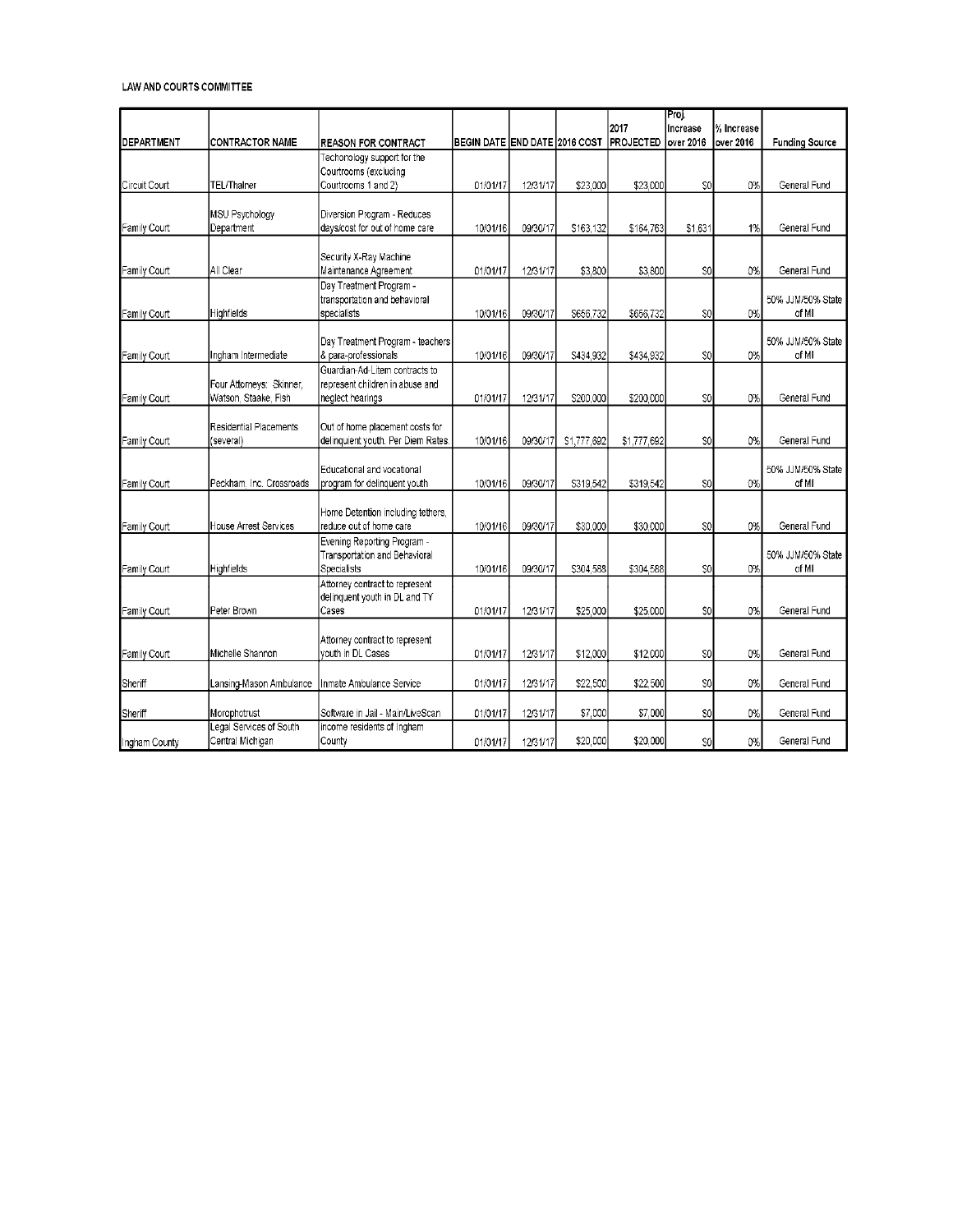|                     |                          |                                    |                               |          |            |                  | Proj.          |            |                       |
|---------------------|--------------------------|------------------------------------|-------------------------------|----------|------------|------------------|----------------|------------|-----------------------|
|                     |                          |                                    |                               |          |            | 2017             | Increase       | % Increase |                       |
| <b>I</b> DEPARTMENT | <b>CONTRACTOR NAME</b>   | <b>REASON FOR CONTRACT</b>         | BEGIN DATE END DATE 2016 COST |          |            | <b>PROJECTED</b> | over 2016      | over 2016  | <b>Funding Source</b> |
|                     |                          | Techonology support for the        |                               |          |            |                  |                |            |                       |
|                     |                          | Courtrooms (excluding              |                               |          |            |                  |                |            |                       |
| Circuit Court       | <b>TEL/ThaIner</b>       | Courtrooms 1 and 2)                | 01/01/17                      | 12/31/17 | \$23,000   | \$23,000         | \$0            | 0%         | General Fund          |
|                     |                          |                                    |                               |          |            |                  |                |            |                       |
|                     | <b>MSU Psychology</b>    | Diversion Program - Reduces        |                               |          |            |                  |                |            |                       |
| Family Court        | Department               | days/cost for out of home care     | 10/01/16                      | 09/30/17 | \$163,132  | \$164,763        | \$1,631        | 1%         | General Fund          |
|                     |                          |                                    |                               |          |            |                  |                |            |                       |
|                     |                          |                                    |                               |          |            |                  |                |            |                       |
|                     |                          | Security X-Ray Machine             |                               |          |            |                  |                |            |                       |
| Family Court        | All Clear                | Maintenance Agreement              | 01/01/17                      | 12/31/17 | \$3,800    | \$3,800          | SO             | 0%         | General Fund          |
|                     |                          | Day Treatment Program -            |                               |          |            |                  |                |            |                       |
|                     |                          | transportation and behavioral      |                               |          |            |                  |                |            | 50% JJM/50% State     |
| Family Court        | Highfields               | specialists                        | 10/01/16                      | 09/30/17 | S656,732   | \$656,732        | SO             | 0%         | of MI                 |
|                     |                          |                                    |                               |          |            |                  |                |            |                       |
|                     |                          | Day Treatment Program - teachers   |                               |          |            |                  |                |            | 50% JJM/50% State     |
| Family Court        | Ingham Intermediate      | & para-professionals               | 10/01/16                      | 09/30/17 | S434,932   | \$434,932        | SO             | 0%         | of MI                 |
|                     |                          | Guardian-Ad-Litem contracts to     |                               |          |            |                  |                |            |                       |
|                     | Four Attorneys: Skinner, | represent children in abuse and    |                               |          |            |                  |                |            |                       |
| Family Court        | Watson, Staake, Fish     | neglect hearings                   | 01/01/17                      | 12/31/17 | \$200,000  | \$200,000        | SO             | 0%         | General Fund          |
|                     |                          |                                    |                               |          |            |                  |                |            |                       |
|                     | Residential Placements   | Out of home placement costs for    |                               |          |            |                  |                |            |                       |
|                     | (several)                | delinquient youth. Per Diem Rates. | 10/01/16                      | 09/30/17 |            |                  | SO             | 0%         | General Fund          |
| Family Court        |                          |                                    |                               |          | S1,777,692 | \$1,777,692      |                |            |                       |
|                     |                          |                                    |                               |          |            |                  |                |            |                       |
|                     |                          | Educational and vocational         |                               |          |            |                  |                |            | 50% JJM/50% State     |
| Family Court        | Peckham, Inc. Crossroads | program for delinquent youth       | 10/01/16                      | 09/30/17 | S319,542   | \$319,542        | SO             | 0%         | of MI                 |
|                     |                          |                                    |                               |          |            |                  |                |            |                       |
|                     |                          | Home Detention including tethers,  |                               |          |            |                  |                |            |                       |
| Family Court        | House Arrest Services    | reduce out of home care            | 10/01/16                      | 09/30/17 | \$30,000   | \$30,000         | SO             | 0%         | General Fund          |
|                     |                          | Evening Reporting Program -        |                               |          |            |                  |                |            |                       |
|                     |                          | Transportation and Behavioral      |                               |          |            |                  |                |            | 50% JJM/50% State     |
| Family Court        | Highfields               | Specialists                        | 10/01/16                      | 09/30/17 | \$304,588  | \$304,588        | SO             | 0%         | of MI                 |
|                     |                          | Attorney contract to represent     |                               |          |            |                  |                |            |                       |
|                     |                          | delinquent youth in DL and TY      |                               |          |            |                  |                |            |                       |
| Family Court        | Peter Brown              | Cases                              | 01/01/17                      | 12/31/17 | \$25,000   | \$25,000         | SO             | 0%         | General Fund          |
|                     |                          |                                    |                               |          |            |                  |                |            |                       |
|                     |                          |                                    |                               |          |            |                  |                |            |                       |
|                     |                          | Attorney contract to represent     |                               |          |            |                  |                |            |                       |
| Family Court        | Michelle Shannon         | vouth in DL Cases                  | 01/01/17                      | 12/31/17 | \$12,000   | \$12,000         | SO             | 0%         | General Fund          |
|                     |                          |                                    |                               |          |            |                  |                |            |                       |
| Sheriff             | Lansing-Mason Ambulance  | Inmate Ambulance Service           | 01/01/17                      | 12/31/17 | \$22,500   | \$22,500         | SO             | 0%         | General Fund          |
|                     |                          |                                    |                               |          |            |                  |                |            |                       |
| Sheriff             | Morophotrust             | Software in Jail - Main/LiveScan   | 01/01/17                      | 12/31/17 | \$7,000    | \$7.000          | S <sub>0</sub> | 0%         | General Fund          |
|                     | Legal Services of South  | income residents of Ingham         |                               |          |            |                  |                |            |                       |
| Ingham County       | Central Michigan         | County                             | 01/01/17                      | 12/31/17 | \$20,000   | \$20,000         | SO             | 0%         | General Fund          |
|                     |                          |                                    |                               |          |            |                  |                |            |                       |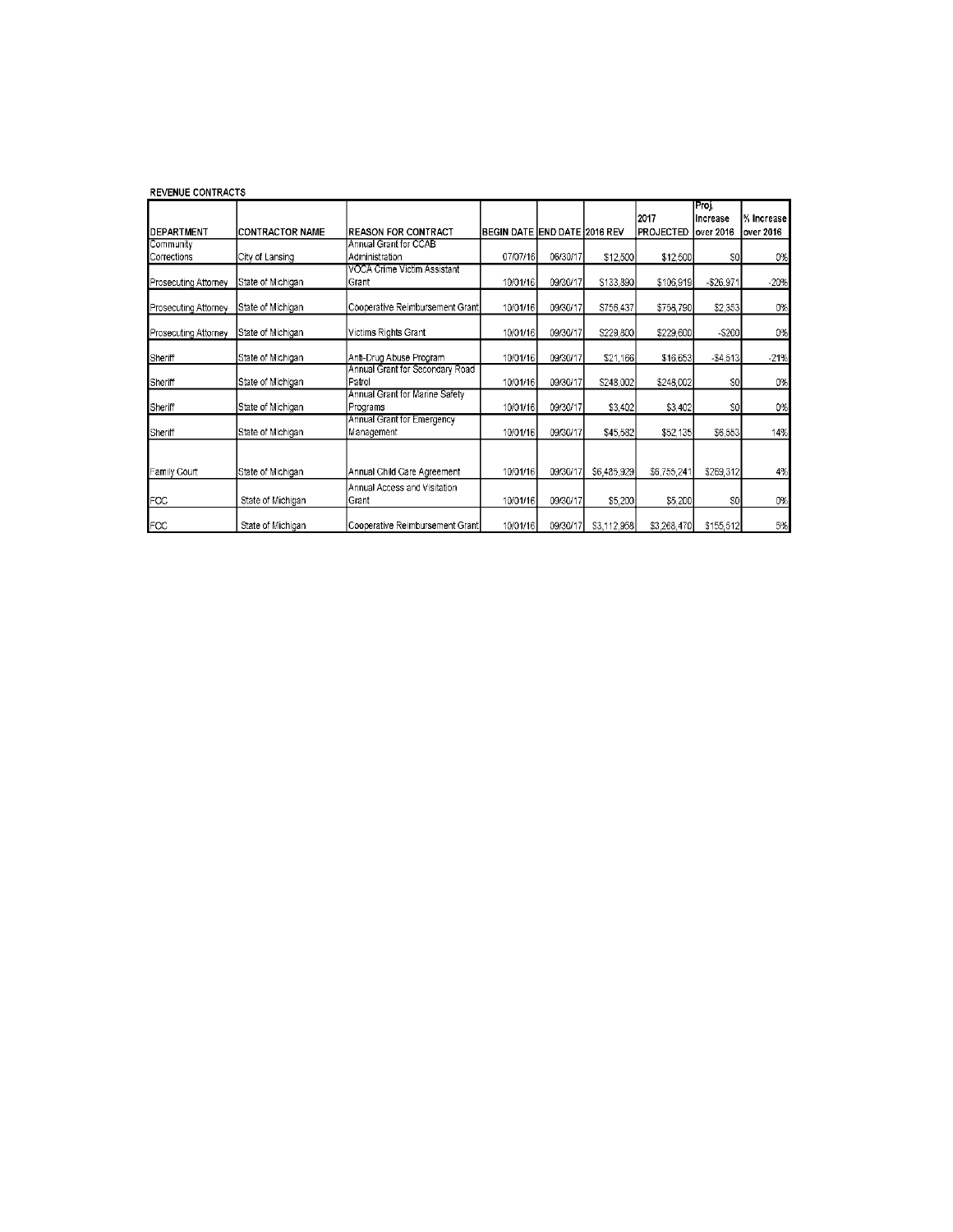| <b>REVENUE CONTRACTS</b> |                         |                                                |                              |          |             |                          |                                 |                           |
|--------------------------|-------------------------|------------------------------------------------|------------------------------|----------|-------------|--------------------------|---------------------------------|---------------------------|
| DEPARTMENT               | <b>ICONTRACTOR NAME</b> | <b>REASON FOR CONTRACT</b>                     | BEGIN DATE END DATE 2016 REV |          |             | 2017<br><b>PROJECTED</b> | [Proj.<br>Increase<br>over 2016 | % Increase l<br>over 2016 |
| Community<br>Corrections | City of Lansing         | <b>Annual Grant for CCAB</b><br>Administration | 07/07/16                     | 06/30/17 | \$12,500    | \$12,500                 | SO                              | 0%                        |
| Prosecuting Attorney     | State of Michigan       | VOCA Crime Victim Assistant<br>Grant           | 10/01/16                     | 09/30/17 | \$133,890   | \$106,919                | $- $26.971$                     | $-20%$                    |
| Prosecuting Attorney     | State of Michigan       | Cooperative Reimbursement Grant                | 10/01/16                     | 09/30/17 | \$756,437   | \$758,790                | \$2,353                         | 0%                        |
| Prosecuting Attorney     | State of Michigan       | Victims Rights Grant                           | 10/01/16                     | 09/30/17 | \$229,800   | \$229,600                | $-5200$                         | 0%                        |
| Sheriff                  | State of Michigan       | Anti-Drug Abuse Program                        | 10/01/16                     | 09/30/17 | \$21,166    | \$16,653                 | $-$4.513$                       | $-21%$                    |
| Sheriff                  | State of Michigan       | Annual Grant for Secondary Road<br>Patrol      | 10/01/16                     | 09/30/17 | \$248,002   | \$248,002                | SO                              | 0%                        |
| Sheriff                  | State of Michigan       | Annual Grant for Marine Safety<br>Programs     | 10/01/16                     | 09/30/17 | \$3,402     | \$3,402                  | $\boldsymbol{\mathsf{SO}}$      | 0%                        |
| Sheriff                  | State of Michigan       | Annual Grant for Emergency<br>Management       | 10/01/16                     | 09/30/17 | \$45,582    | \$52,135                 | \$6,553                         | 14%                       |
| Family Court             | State of Michigan       | Annual Child Care Agreement                    | 10/01/16                     | 09/30/17 | \$6,485,929 | \$6,755,241              | \$269,312                       | 4%                        |
| FOC                      | State of Michigan       | Annual Access and Visitation<br>Grant          | 10/01/16                     | 09/30/17 | \$5,200     | \$5,200                  | SO                              | 0%                        |
| FOC                      | State of Michigan       | Cooperative Reimbursement Grant                | 10/01/16                     | 09/30/17 | S3,112,958  | \$3,268,470              | \$155.512                       | 5%                        |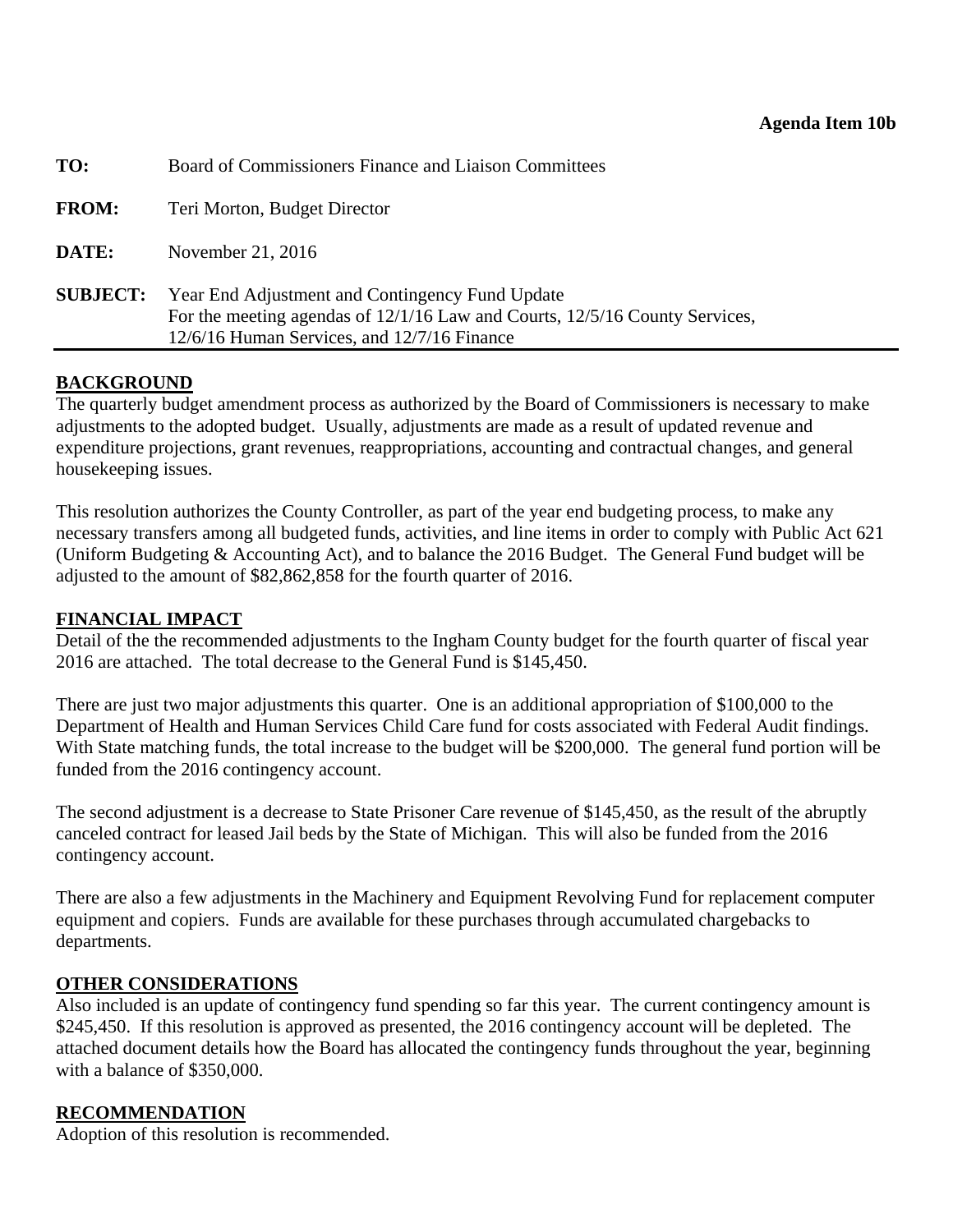<span id="page-40-0"></span>

| For the meeting agendas of 12/1/16 Law and Courts, 12/5/16 County Services, |
|-----------------------------------------------------------------------------|
|                                                                             |

### **BACKGROUND**

The quarterly budget amendment process as authorized by the Board of Commissioners is necessary to make adjustments to the adopted budget. Usually, adjustments are made as a result of updated revenue and expenditure projections, grant revenues, reappropriations, accounting and contractual changes, and general housekeeping issues.

This resolution authorizes the County Controller, as part of the year end budgeting process, to make any necessary transfers among all budgeted funds, activities, and line items in order to comply with Public Act 621 (Uniform Budgeting & Accounting Act), and to balance the 2016 Budget. The General Fund budget will be adjusted to the amount of \$82,862,858 for the fourth quarter of 2016.

### **FINANCIAL IMPACT**

Detail of the the recommended adjustments to the Ingham County budget for the fourth quarter of fiscal year 2016 are attached. The total decrease to the General Fund is \$145,450.

There are just two major adjustments this quarter. One is an additional appropriation of \$100,000 to the Department of Health and Human Services Child Care fund for costs associated with Federal Audit findings. With State matching funds, the total increase to the budget will be \$200,000. The general fund portion will be funded from the 2016 contingency account.

The second adjustment is a decrease to State Prisoner Care revenue of \$145,450, as the result of the abruptly canceled contract for leased Jail beds by the State of Michigan. This will also be funded from the 2016 contingency account.

There are also a few adjustments in the Machinery and Equipment Revolving Fund for replacement computer equipment and copiers. Funds are available for these purchases through accumulated chargebacks to departments.

#### **OTHER CONSIDERATIONS**

Also included is an update of contingency fund spending so far this year. The current contingency amount is \$245,450. If this resolution is approved as presented, the 2016 contingency account will be depleted. The attached document details how the Board has allocated the contingency funds throughout the year, beginning with a balance of \$350,000.

#### **RECOMMENDATION**

Adoption of this resolution is recommended.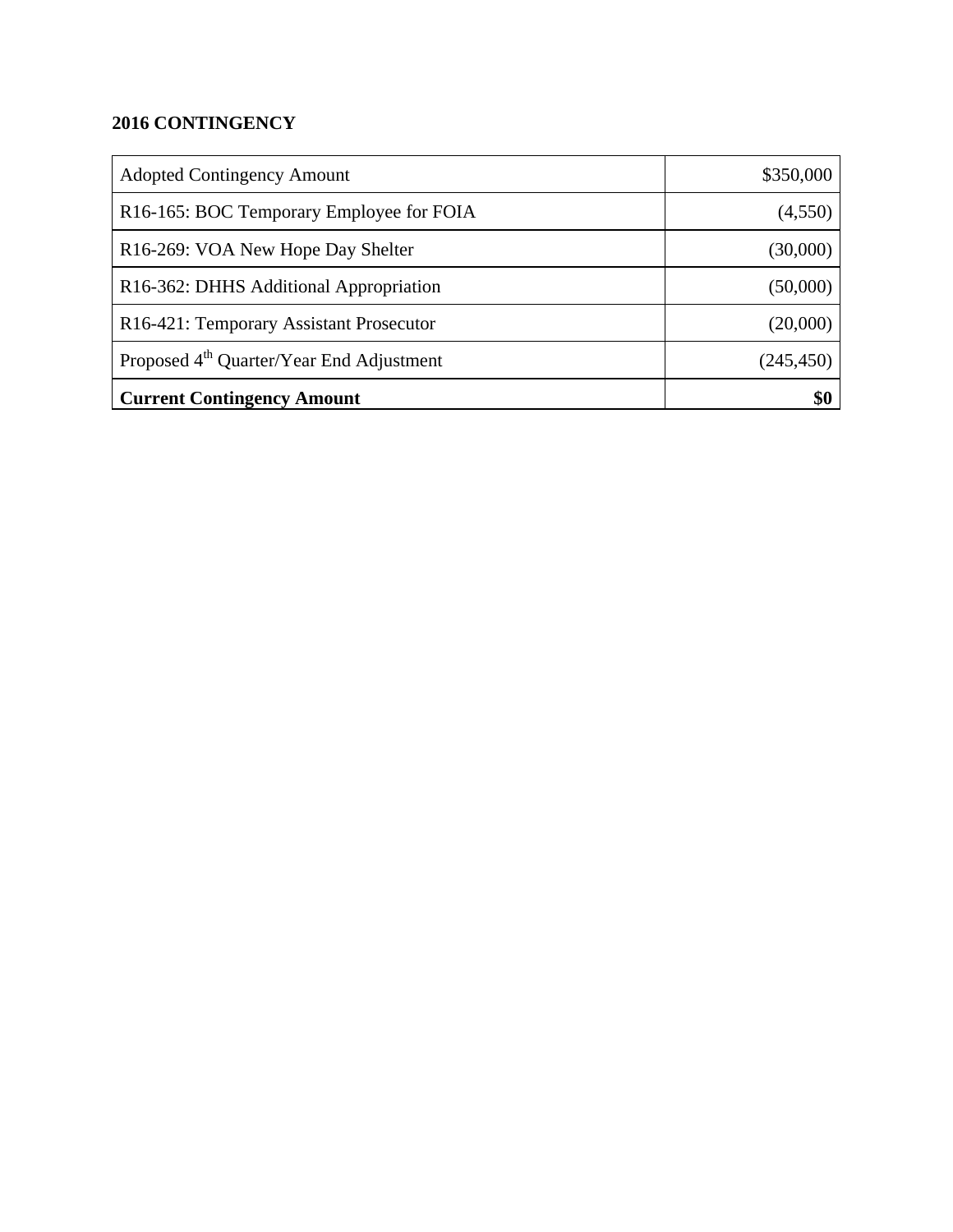# **2016 CONTINGENCY**

| <b>Adopted Contingency Amount</b>                    | \$350,000  |
|------------------------------------------------------|------------|
| R16-165: BOC Temporary Employee for FOIA             | (4,550)    |
| R16-269: VOA New Hope Day Shelter                    | (30,000)   |
| R16-362: DHHS Additional Appropriation               | (50,000)   |
| R16-421: Temporary Assistant Prosecutor              | (20,000)   |
| Proposed 4 <sup>th</sup> Quarter/Year End Adjustment | (245, 450) |
| <b>Current Contingency Amount</b>                    | \$0        |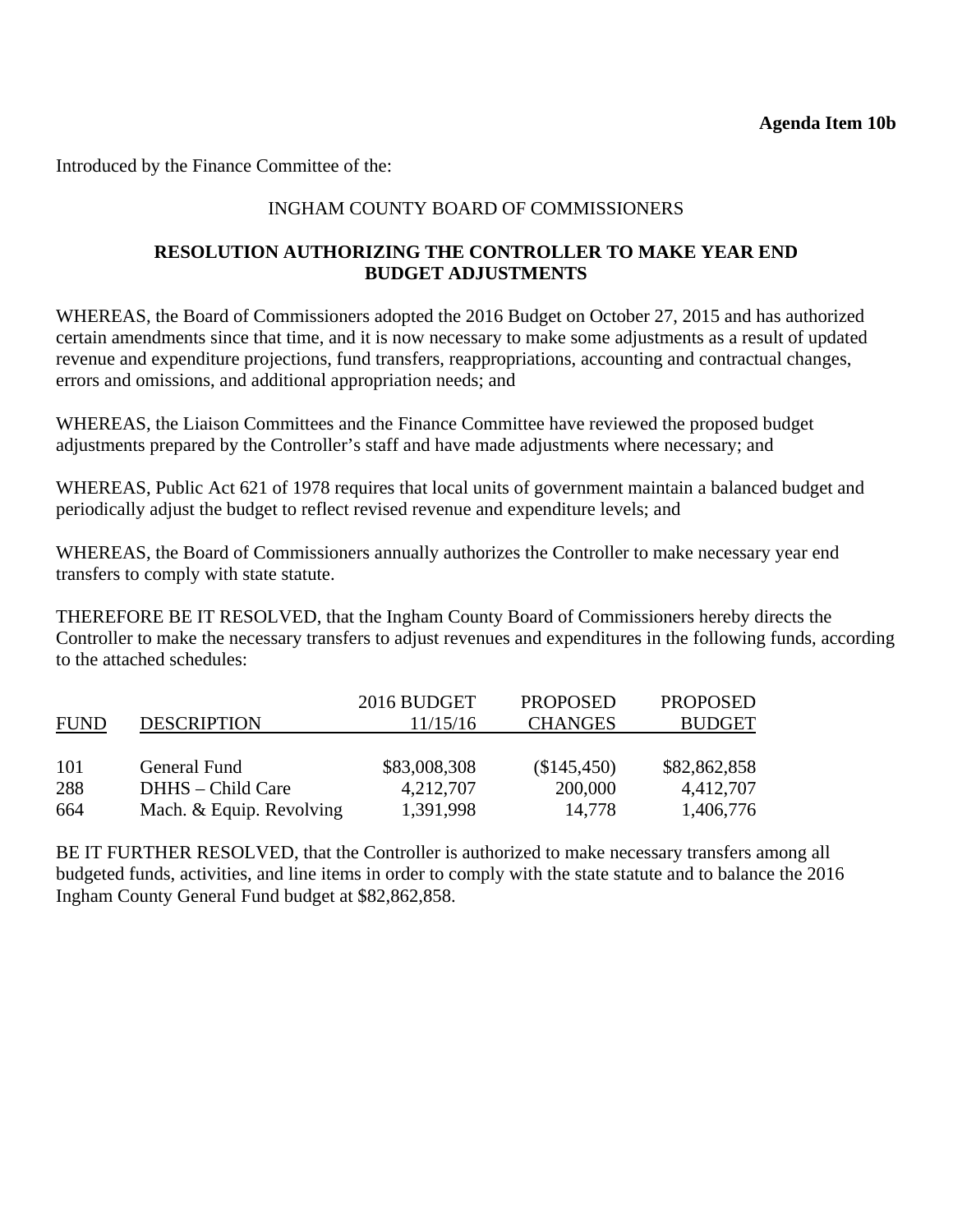Introduced by the Finance Committee of the:

# INGHAM COUNTY BOARD OF COMMISSIONERS

# **RESOLUTION AUTHORIZING THE CONTROLLER TO MAKE YEAR END BUDGET ADJUSTMENTS**

WHEREAS, the Board of Commissioners adopted the 2016 Budget on October 27, 2015 and has authorized certain amendments since that time, and it is now necessary to make some adjustments as a result of updated revenue and expenditure projections, fund transfers, reappropriations, accounting and contractual changes, errors and omissions, and additional appropriation needs; and

WHEREAS, the Liaison Committees and the Finance Committee have reviewed the proposed budget adjustments prepared by the Controller's staff and have made adjustments where necessary; and

WHEREAS, Public Act 621 of 1978 requires that local units of government maintain a balanced budget and periodically adjust the budget to reflect revised revenue and expenditure levels; and

WHEREAS, the Board of Commissioners annually authorizes the Controller to make necessary year end transfers to comply with state statute.

THEREFORE BE IT RESOLVED, that the Ingham County Board of Commissioners hereby directs the Controller to make the necessary transfers to adjust revenues and expenditures in the following funds, according to the attached schedules:

|             |                          | 2016 BUDGET  | <b>PROPOSED</b> | <b>PROPOSED</b> |
|-------------|--------------------------|--------------|-----------------|-----------------|
| <b>FUND</b> | <b>DESCRIPTION</b>       | 11/15/16     | <b>CHANGES</b>  | <b>BUDGET</b>   |
|             |                          |              |                 |                 |
| 101         | General Fund             | \$83,008,308 | (\$145,450)     | \$82,862,858    |
| 288         | DHHS – Child Care        | 4,212,707    | 200,000         | 4,412,707       |
| 664         | Mach. & Equip. Revolving | 1,391,998    | 14,778          | 1,406,776       |

BE IT FURTHER RESOLVED, that the Controller is authorized to make necessary transfers among all budgeted funds, activities, and line items in order to comply with the state statute and to balance the 2016 Ingham County General Fund budget at \$82,862,858.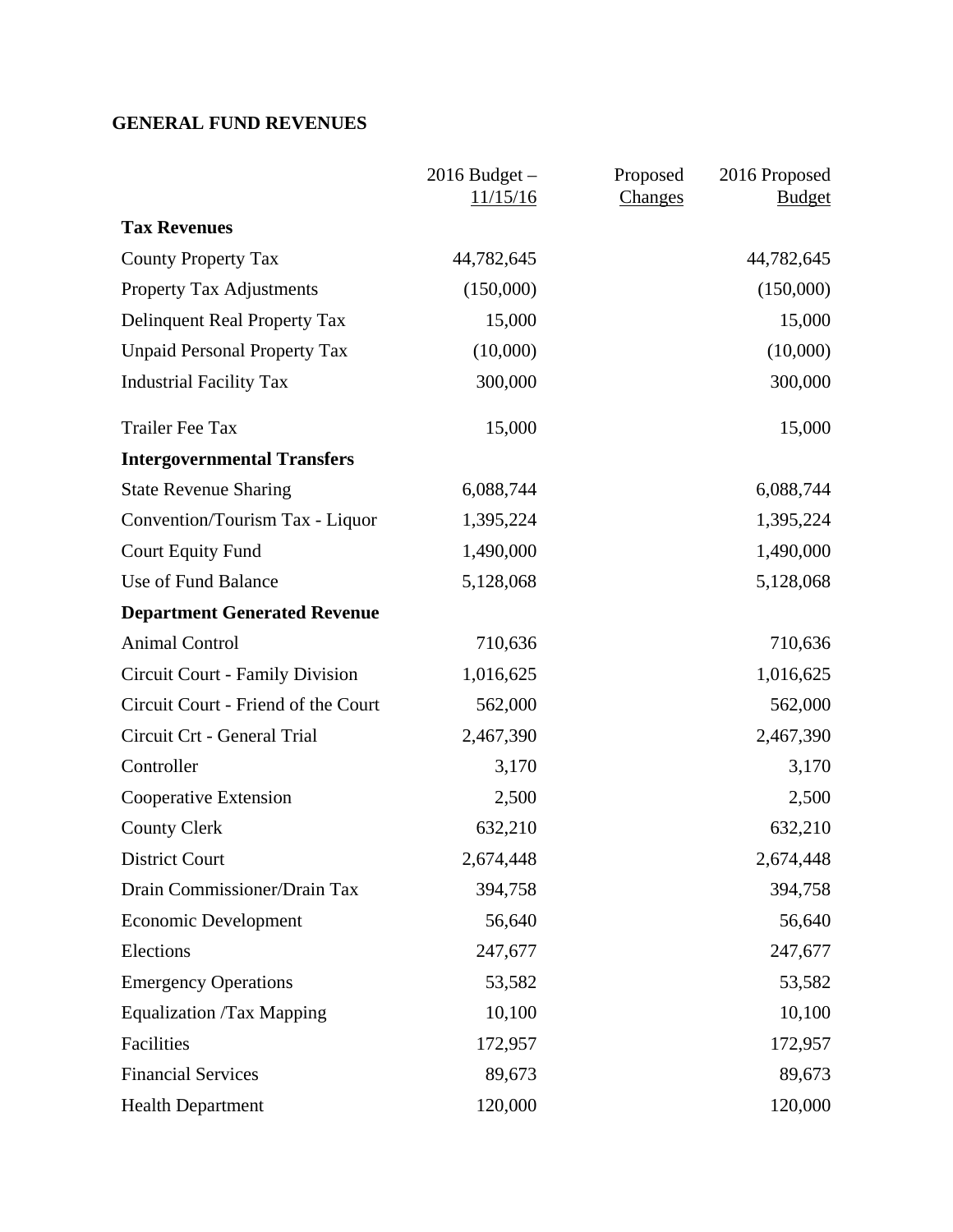# **GENERAL FUND REVENUES**

|                                     | $2016$ Budget $-$<br>11/15/16 | Proposed<br>Changes | 2016 Proposed<br><b>Budget</b> |
|-------------------------------------|-------------------------------|---------------------|--------------------------------|
| <b>Tax Revenues</b>                 |                               |                     |                                |
| <b>County Property Tax</b>          | 44,782,645                    |                     | 44,782,645                     |
| <b>Property Tax Adjustments</b>     | (150,000)                     |                     | (150,000)                      |
| Delinquent Real Property Tax        | 15,000                        |                     | 15,000                         |
| <b>Unpaid Personal Property Tax</b> | (10,000)                      |                     | (10,000)                       |
| <b>Industrial Facility Tax</b>      | 300,000                       |                     | 300,000                        |
| <b>Trailer Fee Tax</b>              | 15,000                        |                     | 15,000                         |
| <b>Intergovernmental Transfers</b>  |                               |                     |                                |
| <b>State Revenue Sharing</b>        | 6,088,744                     |                     | 6,088,744                      |
| Convention/Tourism Tax - Liquor     | 1,395,224                     |                     | 1,395,224                      |
| <b>Court Equity Fund</b>            | 1,490,000                     |                     | 1,490,000                      |
| Use of Fund Balance                 | 5,128,068                     |                     | 5,128,068                      |
| <b>Department Generated Revenue</b> |                               |                     |                                |
| <b>Animal Control</b>               | 710,636                       |                     | 710,636                        |
| Circuit Court - Family Division     | 1,016,625                     |                     | 1,016,625                      |
| Circuit Court - Friend of the Court | 562,000                       |                     | 562,000                        |
| Circuit Crt - General Trial         | 2,467,390                     |                     | 2,467,390                      |
| Controller                          | 3,170                         |                     | 3,170                          |
| Cooperative Extension               | 2,500                         |                     | 2,500                          |
| <b>County Clerk</b>                 | 632,210                       |                     | 632,210                        |
| <b>District Court</b>               | 2,674,448                     |                     | 2,674,448                      |
| Drain Commissioner/Drain Tax        | 394,758                       |                     | 394,758                        |
| <b>Economic Development</b>         | 56,640                        |                     | 56,640                         |
| Elections                           | 247,677                       |                     | 247,677                        |
| <b>Emergency Operations</b>         | 53,582                        |                     | 53,582                         |
| <b>Equalization /Tax Mapping</b>    | 10,100                        |                     | 10,100                         |
| Facilities                          | 172,957                       |                     | 172,957                        |
| <b>Financial Services</b>           | 89,673                        |                     | 89,673                         |
| <b>Health Department</b>            | 120,000                       |                     | 120,000                        |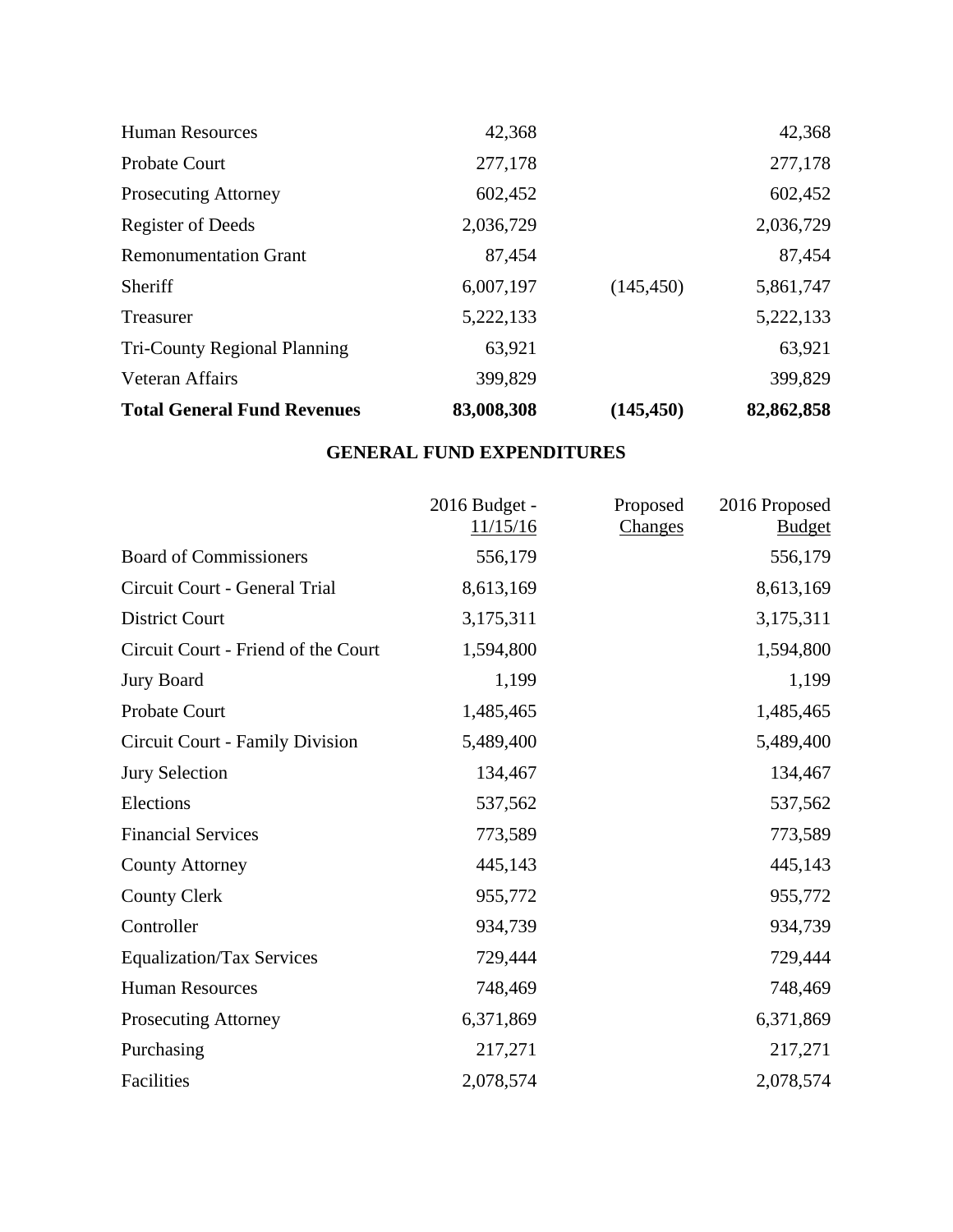| <b>Total General Fund Revenues</b>  | 83,008,308 | (145, 450) | 82,862,858 |
|-------------------------------------|------------|------------|------------|
| Veteran Affairs                     | 399,829    |            | 399,829    |
| <b>Tri-County Regional Planning</b> | 63,921     |            | 63,921     |
| Treasurer                           | 5,222,133  |            | 5,222,133  |
| Sheriff                             | 6,007,197  | (145, 450) | 5,861,747  |
| <b>Remonumentation Grant</b>        | 87,454     |            | 87,454     |
| <b>Register of Deeds</b>            | 2,036,729  |            | 2,036,729  |
| <b>Prosecuting Attorney</b>         | 602,452    |            | 602,452    |
| <b>Probate Court</b>                | 277,178    |            | 277,178    |
| <b>Human Resources</b>              | 42,368     |            | 42,368     |

# **GENERAL FUND EXPENDITURES**

|                                     | 2016 Budget -<br>11/15/16 | Proposed<br>Changes | 2016 Proposed<br><b>Budget</b> |
|-------------------------------------|---------------------------|---------------------|--------------------------------|
| <b>Board of Commissioners</b>       | 556,179                   |                     | 556,179                        |
| Circuit Court - General Trial       | 8,613,169                 |                     | 8,613,169                      |
| <b>District Court</b>               | 3,175,311                 |                     | 3,175,311                      |
| Circuit Court - Friend of the Court | 1,594,800                 |                     | 1,594,800                      |
| <b>Jury Board</b>                   | 1,199                     |                     | 1,199                          |
| Probate Court                       | 1,485,465                 |                     | 1,485,465                      |
| Circuit Court - Family Division     | 5,489,400                 |                     | 5,489,400                      |
| <b>Jury Selection</b>               | 134,467                   |                     | 134,467                        |
| Elections                           | 537,562                   |                     | 537,562                        |
| <b>Financial Services</b>           | 773,589                   |                     | 773,589                        |
| <b>County Attorney</b>              | 445,143                   |                     | 445,143                        |
| <b>County Clerk</b>                 | 955,772                   |                     | 955,772                        |
| Controller                          | 934,739                   |                     | 934,739                        |
| <b>Equalization/Tax Services</b>    | 729,444                   |                     | 729,444                        |
| <b>Human Resources</b>              | 748,469                   |                     | 748,469                        |
| <b>Prosecuting Attorney</b>         | 6,371,869                 |                     | 6,371,869                      |
| Purchasing                          | 217,271                   |                     | 217,271                        |
| Facilities                          | 2,078,574                 |                     | 2,078,574                      |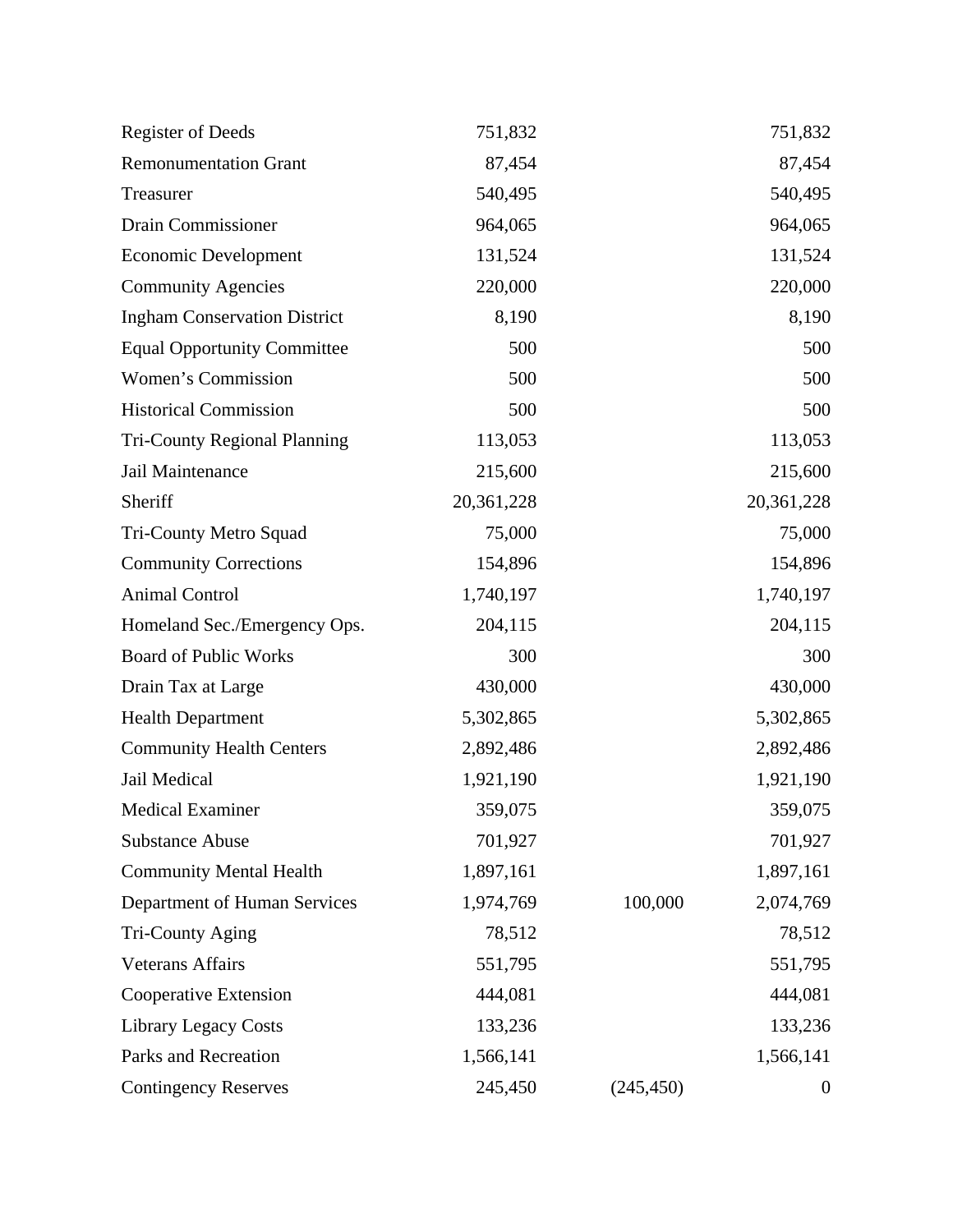| <b>Register of Deeds</b>            | 751,832    |            | 751,832          |
|-------------------------------------|------------|------------|------------------|
| <b>Remonumentation Grant</b>        | 87,454     |            | 87,454           |
| Treasurer                           | 540,495    |            | 540,495          |
| <b>Drain Commissioner</b>           | 964,065    |            | 964,065          |
| <b>Economic Development</b>         | 131,524    |            | 131,524          |
| <b>Community Agencies</b>           | 220,000    |            | 220,000          |
| <b>Ingham Conservation District</b> | 8,190      |            | 8,190            |
| <b>Equal Opportunity Committee</b>  | 500        |            | 500              |
| Women's Commission                  | 500        |            | 500              |
| <b>Historical Commission</b>        | 500        |            | 500              |
| <b>Tri-County Regional Planning</b> | 113,053    |            | 113,053          |
| Jail Maintenance                    | 215,600    |            | 215,600          |
| Sheriff                             | 20,361,228 |            | 20,361,228       |
| Tri-County Metro Squad              | 75,000     |            | 75,000           |
| <b>Community Corrections</b>        | 154,896    |            | 154,896          |
| <b>Animal Control</b>               | 1,740,197  |            | 1,740,197        |
| Homeland Sec./Emergency Ops.        | 204,115    |            | 204,115          |
| <b>Board of Public Works</b>        | 300        |            | 300              |
| Drain Tax at Large                  | 430,000    |            | 430,000          |
| <b>Health Department</b>            | 5,302,865  |            | 5,302,865        |
| <b>Community Health Centers</b>     | 2,892,486  |            | 2,892,486        |
| Jail Medical                        | 1,921,190  |            | 1,921,190        |
| <b>Medical Examiner</b>             | 359,075    |            | 359,075          |
| <b>Substance Abuse</b>              | 701,927    |            | 701,927          |
| <b>Community Mental Health</b>      | 1,897,161  |            | 1,897,161        |
| Department of Human Services        | 1,974,769  | 100,000    | 2,074,769        |
| Tri-County Aging                    | 78,512     |            | 78,512           |
| <b>Veterans Affairs</b>             | 551,795    |            | 551,795          |
| Cooperative Extension               | 444,081    |            | 444,081          |
| <b>Library Legacy Costs</b>         | 133,236    |            | 133,236          |
| Parks and Recreation                | 1,566,141  |            | 1,566,141        |
| <b>Contingency Reserves</b>         | 245,450    | (245, 450) | $\boldsymbol{0}$ |